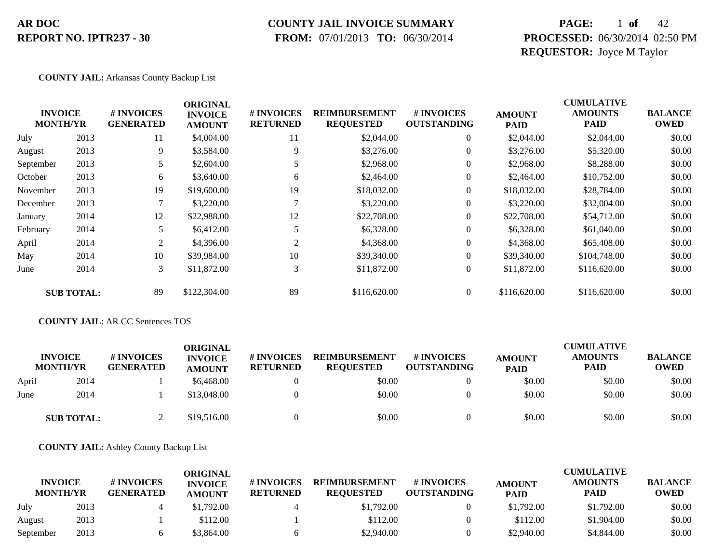#### **COUNTY JAIL INVOICE SUMMARY**

 **FROM:** 07/01/2013 **TO:** 06/30/2014

### **PAGE:** 1 **of** 42 **PROCESSED:** 06/30/2014 02:50 PM **REQUESTOR:** Joyce M Taylor

#### **COUNTY JAIL:** Arkansas County Backup List

|           |                                   |                                | <b>ORIGINAL</b>                 |                               |                                          |                                  |                              | <b>CUMULATIVE</b>             |                               |
|-----------|-----------------------------------|--------------------------------|---------------------------------|-------------------------------|------------------------------------------|----------------------------------|------------------------------|-------------------------------|-------------------------------|
|           | <b>INVOICE</b><br><b>MONTH/YR</b> | # INVOICES<br><b>GENERATED</b> | <b>INVOICE</b><br><b>AMOUNT</b> | # INVOICES<br><b>RETURNED</b> | <b>REIMBURSEMENT</b><br><b>REQUESTED</b> | # INVOICES<br><b>OUTSTANDING</b> | <b>AMOUNT</b><br><b>PAID</b> | <b>AMOUNTS</b><br><b>PAID</b> | <b>BALANCE</b><br><b>OWED</b> |
| July      | 2013                              | 11                             | \$4,004.00                      | 11                            | \$2,044.00                               | $\theta$                         | \$2,044.00                   | \$2,044.00                    | \$0.00                        |
| August    | 2013                              | 9                              | \$3,584.00                      | 9                             | \$3,276.00                               | 0                                | \$3,276.00                   | \$5,320.00                    | \$0.00                        |
| September | 2013                              | 5                              | \$2,604.00                      |                               | \$2,968.00                               | 0                                | \$2,968.00                   | \$8,288.00                    | \$0.00                        |
| October   | 2013                              | 6                              | \$3,640.00                      | 6                             | \$2,464.00                               | 0                                | \$2,464.00                   | \$10,752.00                   | \$0.00                        |
| November  | 2013                              | 19                             | \$19,600.00                     | 19                            | \$18,032.00                              | $\overline{0}$                   | \$18,032.00                  | \$28,784.00                   | \$0.00                        |
| December  | 2013                              | 7                              | \$3,220.00                      |                               | \$3,220.00                               | $\overline{0}$                   | \$3,220.00                   | \$32,004.00                   | \$0.00                        |
| January   | 2014                              | 12                             | \$22,988.00                     | 12                            | \$22,708.00                              | $\overline{0}$                   | \$22,708.00                  | \$54,712.00                   | \$0.00                        |
| February  | 2014                              |                                | \$6,412.00                      |                               | \$6,328.00                               | $\overline{0}$                   | \$6,328.00                   | \$61,040.00                   | \$0.00                        |
| April     | 2014                              | 2                              | \$4,396.00                      | 2                             | \$4,368.00                               | $\overline{0}$                   | \$4,368,00                   | \$65,408.00                   | \$0.00                        |
| May       | 2014                              | 10                             | \$39,984.00                     | 10                            | \$39,340.00                              | $\Omega$                         | \$39,340.00                  | \$104,748.00                  | \$0.00                        |
| June      | 2014                              | 3                              | \$11,872.00                     | 3                             | \$11,872.00                              | $\overline{0}$                   | \$11,872.00                  | \$116,620.00                  | \$0.00                        |
|           | <b>SUB TOTAL:</b>                 | 89                             | \$122,304.00                    | 89                            | \$116,620.00                             | $\Omega$                         | \$116,620.00                 | \$116,620.00                  | \$0.00                        |

#### **COUNTY JAIL:** AR CC Sentences TOS

|       | <b>INVOICE</b><br><b>MONTH/YR</b> | # INVOICES<br><b>GENERATED</b> | ORIGINAL<br><b>INVOICE</b><br><b>AMOUNT</b> | # INVOICES<br><b>RETURNED</b> | <b>REIMBURSEMENT</b><br><b>REQUESTED</b> | <b>#INVOICES</b><br><b>OUTSTANDING</b> | <b>AMOUNT</b><br><b>PAID</b> | <b>CUMULATIVE</b><br><b>AMOUNTS</b><br><b>PAID</b> | <b>BALANCE</b><br><b>OWED</b> |
|-------|-----------------------------------|--------------------------------|---------------------------------------------|-------------------------------|------------------------------------------|----------------------------------------|------------------------------|----------------------------------------------------|-------------------------------|
| April | 2014                              |                                | \$6,468.00                                  |                               | \$0.00                                   |                                        | \$0.00                       | \$0.00                                             | \$0.00                        |
| June  | 2014                              |                                | \$13,048.00                                 |                               | \$0.00                                   |                                        | \$0.00                       | \$0.00                                             | \$0.00                        |
|       | <b>SUB TOTAL:</b>                 |                                | \$19,516.00                                 |                               | \$0.00                                   |                                        | \$0.00                       | \$0.00                                             | \$0.00                        |

**COUNTY JAIL:** Ashley County Backup List

|                                   |      |                                       | ORIGINAL                        |                               |                                          |                                        |                              | <b>CUMULATIVE</b>             |                        |
|-----------------------------------|------|---------------------------------------|---------------------------------|-------------------------------|------------------------------------------|----------------------------------------|------------------------------|-------------------------------|------------------------|
| <b>INVOICE</b><br><b>MONTH/YR</b> |      | <b># INVOICES</b><br><b>GENERATED</b> | <b>INVOICE</b><br><b>AMOUNT</b> | # INVOICES<br><b>RETURNED</b> | <b>REIMBURSEMENT</b><br><b>REOUESTED</b> | <b>#INVOICES</b><br><b>OUTSTANDING</b> | <b>AMOUNT</b><br><b>PAID</b> | <b>AMOUNTS</b><br><b>PAID</b> | <b>BALANCE</b><br>OWED |
| July                              | 2013 |                                       | \$1,792.00                      |                               | \$1,792.00                               |                                        | \$1,792.00                   | \$1,792.00                    | \$0.00                 |
| August                            | 2013 |                                       | \$112.00                        |                               | \$112.00                                 |                                        | \$112.00                     | \$1,904.00                    | \$0.00                 |
| September                         | 2013 |                                       | \$3.864.00                      |                               | \$2,940.00                               |                                        | \$2,940.00                   | \$4,844.00                    | \$0.00                 |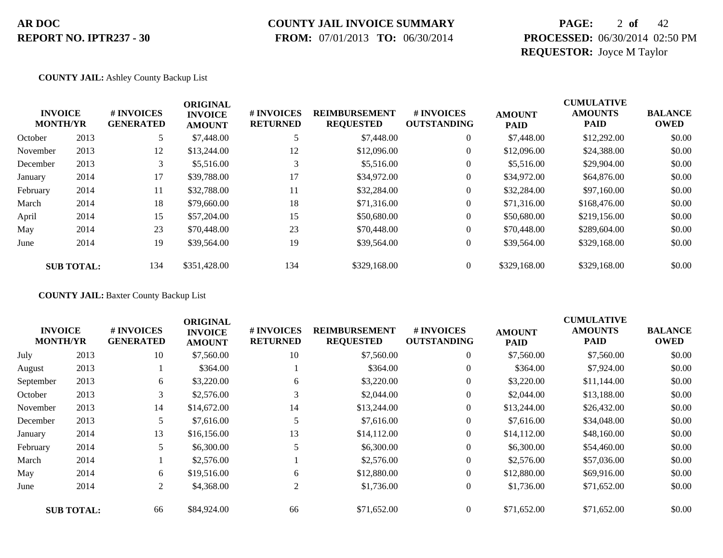#### **COUNTY JAIL INVOICE SUMMARY**

 **FROM:** 07/01/2013 **TO:** 06/30/2014

### **PAGE:** 2 **of** 42 **PROCESSED:** 06/30/2014 02:50 PM **REQUESTOR:** Joyce M Taylor

**COUNTY JAIL:** Ashley County Backup List

|          | <b>INVOICE</b><br><b>MONTH/YR</b> | <b>#INVOICES</b><br><b>GENERATED</b> | <b>ORIGINAL</b><br><b>INVOICE</b><br><b>AMOUNT</b> | # INVOICES<br><b>RETURNED</b> | <b>REIMBURSEMENT</b><br><b>REQUESTED</b> | # INVOICES<br><b>OUTSTANDING</b> | <b>AMOUNT</b><br><b>PAID</b> | <b>CUMULATIVE</b><br><b>AMOUNTS</b><br><b>PAID</b> | <b>BALANCE</b><br><b>OWED</b> |
|----------|-----------------------------------|--------------------------------------|----------------------------------------------------|-------------------------------|------------------------------------------|----------------------------------|------------------------------|----------------------------------------------------|-------------------------------|
| October  | 2013                              |                                      | \$7,448.00                                         |                               | \$7,448.00                               | $\theta$                         | \$7,448.00                   | \$12,292.00                                        | \$0.00                        |
| November | 2013                              | 12                                   | \$13,244.00                                        | 12                            | \$12,096.00                              | 0                                | \$12,096.00                  | \$24,388.00                                        | \$0.00                        |
| December | 2013                              | 3                                    | \$5,516.00                                         |                               | \$5,516.00                               | $\overline{0}$                   | \$5,516.00                   | \$29,904.00                                        | \$0.00                        |
| January  | 2014                              | 17                                   | \$39,788.00                                        | 17                            | \$34,972.00                              | $\overline{0}$                   | \$34,972.00                  | \$64,876.00                                        | \$0.00                        |
| February | 2014                              | 11                                   | \$32,788.00                                        | 11                            | \$32,284.00                              | $\boldsymbol{0}$                 | \$32,284.00                  | \$97,160.00                                        | \$0.00                        |
| March    | 2014                              | 18                                   | \$79,660.00                                        | 18                            | \$71,316.00                              | $\overline{0}$                   | \$71,316.00                  | \$168,476.00                                       | \$0.00                        |
| April    | 2014                              | 15                                   | \$57,204.00                                        | 15                            | \$50,680.00                              | $\overline{0}$                   | \$50,680.00                  | \$219,156.00                                       | \$0.00                        |
| May      | 2014                              | 23                                   | \$70,448.00                                        | 23                            | \$70,448.00                              | $\overline{0}$                   | \$70,448.00                  | \$289,604.00                                       | \$0.00                        |
| June     | 2014                              | 19                                   | \$39,564.00                                        | 19                            | \$39,564.00                              | $\boldsymbol{0}$                 | \$39,564.00                  | \$329,168.00                                       | \$0.00                        |
|          | <b>SUB TOTAL:</b>                 | 134                                  | \$351,428.00                                       | 134                           | \$329,168.00                             | $\overline{0}$                   | \$329,168.00                 | \$329,168.00                                       | \$0.00                        |

**COUNTY JAIL:** Baxter County Backup List

|           | <b>CUMULATIVE</b><br><b>ORIGINAL</b> |                                |                                 |                               |                                          |                                  |                              |                               |                               |
|-----------|--------------------------------------|--------------------------------|---------------------------------|-------------------------------|------------------------------------------|----------------------------------|------------------------------|-------------------------------|-------------------------------|
|           | <b>INVOICE</b><br><b>MONTH/YR</b>    | # INVOICES<br><b>GENERATED</b> | <b>INVOICE</b><br><b>AMOUNT</b> | # INVOICES<br><b>RETURNED</b> | <b>REIMBURSEMENT</b><br><b>REQUESTED</b> | # INVOICES<br><b>OUTSTANDING</b> | <b>AMOUNT</b><br><b>PAID</b> | <b>AMOUNTS</b><br><b>PAID</b> | <b>BALANCE</b><br><b>OWED</b> |
| July      | 2013                                 | 10                             | \$7,560.00                      | 10                            | \$7,560.00                               | $\overline{0}$                   | \$7,560.00                   | \$7,560.00                    | \$0.00                        |
| August    | 2013                                 |                                | \$364.00                        |                               | \$364.00                                 | $\overline{0}$                   | \$364.00                     | \$7,924.00                    | \$0.00                        |
| September | 2013                                 | 6                              | \$3,220.00                      | 6                             | \$3,220.00                               | $\overline{0}$                   | \$3,220.00                   | \$11,144.00                   | \$0.00                        |
| October   | 2013                                 | 3                              | \$2,576.00                      |                               | \$2,044.00                               | $\boldsymbol{0}$                 | \$2,044.00                   | \$13,188.00                   | \$0.00                        |
| November  | 2013                                 | 14                             | \$14,672.00                     | 14                            | \$13,244.00                              | $\overline{0}$                   | \$13,244.00                  | \$26,432.00                   | \$0.00                        |
| December  | 2013                                 | 5                              | \$7,616.00                      |                               | \$7,616.00                               | $\overline{0}$                   | \$7,616.00                   | \$34,048.00                   | \$0.00                        |
| January   | 2014                                 | 13                             | \$16,156.00                     | 13                            | \$14,112.00                              | $\overline{0}$                   | \$14,112.00                  | \$48,160.00                   | \$0.00                        |
| February  | 2014                                 | 5                              | \$6,300.00                      |                               | \$6,300.00                               | $\overline{0}$                   | \$6,300.00                   | \$54,460.00                   | \$0.00                        |
| March     | 2014                                 |                                | \$2,576.00                      |                               | \$2,576.00                               | $\overline{0}$                   | \$2,576.00                   | \$57,036.00                   | \$0.00                        |
| May       | 2014                                 | 6                              | \$19,516.00                     | 6                             | \$12,880.00                              | $\overline{0}$                   | \$12,880.00                  | \$69,916.00                   | \$0.00                        |
| June      | 2014                                 | 2                              | \$4,368.00                      | 2                             | \$1,736.00                               | $\overline{0}$                   | \$1,736.00                   | \$71,652.00                   | \$0.00                        |
|           | <b>SUB TOTAL:</b>                    | 66                             | \$84,924.00                     | 66                            | \$71,652.00                              | $\overline{0}$                   | \$71,652.00                  | \$71,652.00                   | \$0.00                        |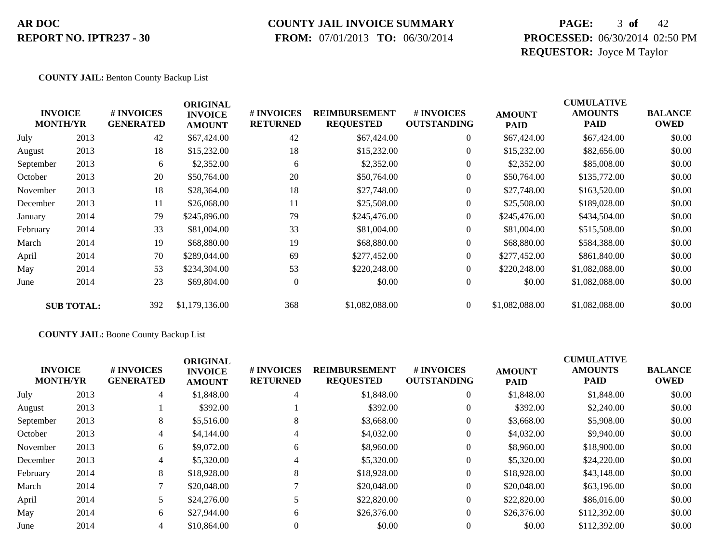#### **COUNTY JAIL INVOICE SUMMARY**

 **FROM:** 07/01/2013 **TO:** 06/30/2014

### **PAGE:** 3 **of** 42 **PROCESSED:** 06/30/2014 02:50 PM **REQUESTOR:** Joyce M Taylor

**COUNTY JAIL:** Benton County Backup List

|           | <b>INVOICE</b><br><b>MONTH/YR</b> | # INVOICES<br><b>GENERATED</b> | <b>ORIGINAL</b><br><b>INVOICE</b><br><b>AMOUNT</b> | # INVOICES<br><b>RETURNED</b> | <b>REIMBURSEMENT</b><br><b>REQUESTED</b> | # INVOICES<br><b>OUTSTANDING</b> | <b>AMOUNT</b><br><b>PAID</b> | <b>CUMULATIVE</b><br><b>AMOUNTS</b><br><b>PAID</b> | <b>BALANCE</b><br><b>OWED</b> |
|-----------|-----------------------------------|--------------------------------|----------------------------------------------------|-------------------------------|------------------------------------------|----------------------------------|------------------------------|----------------------------------------------------|-------------------------------|
| July      | 2013                              | 42                             | \$67,424.00                                        | 42                            | \$67,424.00                              | $\overline{0}$                   | \$67,424.00                  | \$67,424.00                                        | \$0.00                        |
| August    | 2013                              | 18                             | \$15,232.00                                        | 18                            | \$15,232.00                              | $\overline{0}$                   | \$15,232.00                  | \$82,656.00                                        | \$0.00                        |
| September | 2013                              | 6                              | \$2,352.00                                         | 6                             | \$2,352.00                               | $\overline{0}$                   | \$2,352.00                   | \$85,008.00                                        | \$0.00                        |
| October   | 2013                              | 20                             | \$50,764.00                                        | 20                            | \$50,764.00                              | $\mathbf{0}$                     | \$50,764.00                  | \$135,772.00                                       | \$0.00                        |
| November  | 2013                              | 18                             | \$28,364.00                                        | 18                            | \$27,748.00                              | $\boldsymbol{0}$                 | \$27,748.00                  | \$163,520.00                                       | \$0.00                        |
| December  | 2013                              | 11                             | \$26,068.00                                        | 11                            | \$25,508.00                              | $\overline{0}$                   | \$25,508.00                  | \$189,028.00                                       | \$0.00                        |
| January   | 2014                              | 79                             | \$245,896.00                                       | 79                            | \$245,476.00                             | $\overline{0}$                   | \$245,476.00                 | \$434,504.00                                       | \$0.00                        |
| February  | 2014                              | 33                             | \$81,004.00                                        | 33                            | \$81,004.00                              | $\overline{0}$                   | \$81,004.00                  | \$515,508.00                                       | \$0.00                        |
| March     | 2014                              | 19                             | \$68,880.00                                        | 19                            | \$68,880.00                              | $\overline{0}$                   | \$68,880.00                  | \$584,388.00                                       | \$0.00                        |
| April     | 2014                              | 70                             | \$289,044.00                                       | 69                            | \$277,452.00                             | $\Omega$                         | \$277,452.00                 | \$861,840.00                                       | \$0.00                        |
| May       | 2014                              | 53                             | \$234,304.00                                       | 53                            | \$220,248.00                             | $\overline{0}$                   | \$220,248.00                 | \$1,082,088.00                                     | \$0.00                        |
| June      | 2014                              | 23                             | \$69,804.00                                        | $\theta$                      | \$0.00                                   | $\overline{0}$                   | \$0.00                       | \$1,082,088.00                                     | \$0.00                        |
|           | <b>SUB TOTAL:</b>                 | 392                            | \$1,179,136.00                                     | 368                           | \$1,082,088.00                           | $\overline{0}$                   | \$1,082,088.00               | \$1,082,088.00                                     | \$0.00                        |

#### **COUNTY JAIL:** Boone County Backup List

| <b>INVOICE</b><br><b>MONTH/YR</b> |      | # INVOICES<br><b>GENERATED</b> | <b>ORIGINAL</b><br><b>INVOICE</b><br><b>AMOUNT</b> | <b># INVOICES</b><br><b>RETURNED</b> | <b>REIMBURSEMENT</b><br><b>REQUESTED</b> | # INVOICES<br><b>OUTSTANDING</b> | <b>AMOUNT</b><br><b>PAID</b> | <b>CUMULATIVE</b><br><b>AMOUNTS</b><br><b>PAID</b> | <b>BALANCE</b><br><b>OWED</b> |
|-----------------------------------|------|--------------------------------|----------------------------------------------------|--------------------------------------|------------------------------------------|----------------------------------|------------------------------|----------------------------------------------------|-------------------------------|
| July                              | 2013 | 4                              | \$1,848.00                                         | 4                                    | \$1,848.00                               |                                  | \$1,848.00                   | \$1,848.00                                         | \$0.00                        |
| August                            | 2013 |                                | \$392.00                                           |                                      | \$392.00                                 |                                  | \$392.00                     | \$2,240.00                                         | \$0.00                        |
| September                         | 2013 | 8                              | \$5,516.00                                         | 8                                    | \$3,668.00                               |                                  | \$3,668.00                   | \$5,908.00                                         | \$0.00                        |
| October                           | 2013 | 4                              | \$4,144.00                                         | 4                                    | \$4,032.00                               |                                  | \$4,032.00                   | \$9,940.00                                         | \$0.00                        |
| November                          | 2013 | 6                              | \$9,072.00                                         | 6                                    | \$8,960.00                               |                                  | \$8,960.00                   | \$18,900.00                                        | \$0.00                        |
| December                          | 2013 | 4                              | \$5,320.00                                         | 4                                    | \$5,320.00                               |                                  | \$5,320.00                   | \$24,220.00                                        | \$0.00                        |
| February                          | 2014 | 8                              | \$18,928.00                                        | 8                                    | \$18,928.00                              |                                  | \$18,928.00                  | \$43,148.00                                        | \$0.00                        |
| March                             | 2014 |                                | \$20,048.00                                        |                                      | \$20,048.00                              |                                  | \$20,048.00                  | \$63,196.00                                        | \$0.00                        |
| April                             | 2014 | 5                              | \$24,276.00                                        |                                      | \$22,820.00                              |                                  | \$22,820.00                  | \$86,016.00                                        | \$0.00                        |
| May                               | 2014 | 6                              | \$27,944.00                                        | 6                                    | \$26,376.00                              |                                  | \$26,376.00                  | \$112,392.00                                       | \$0.00                        |
| June                              | 2014 | 4                              | \$10,864.00                                        |                                      | \$0.00                                   |                                  | \$0.00                       | \$112,392.00                                       | \$0.00                        |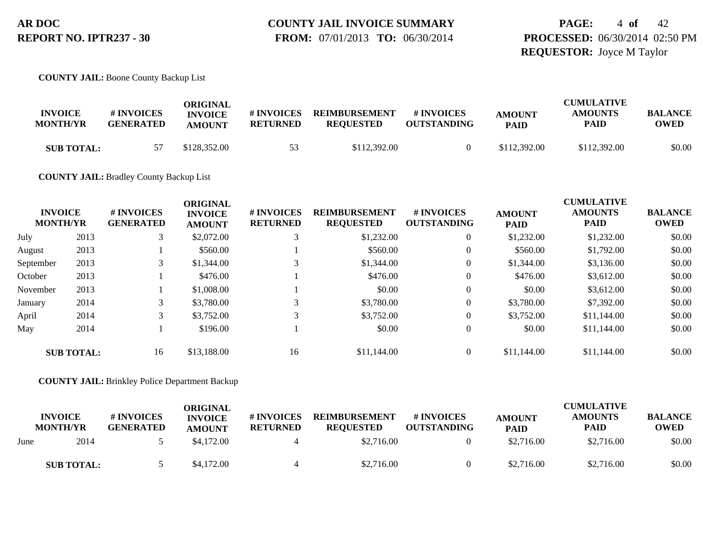**PAGE:** 4 **of** 42 **PROCESSED:** 06/30/2014 02:50 PM **REQUESTOR:** Joyce M Taylor

**COUNTY JAIL:** Boone County Backup List

| <b>INVOICE</b><br><b>MONTH/YR</b> | # INVOICES<br><b>GENERATED</b> | ORIGINAL<br><b>INVOICE</b><br><b>AMOUNT</b> | # INVOICES<br><b>RETURNED</b> | <b>REIMBURSEMENT</b><br><b>REOUESTED</b> | # INVOICES<br><b>OUTSTANDING</b> | <b>AMOUNT</b><br><b>PAID</b> | <b>CUMULATIVE</b><br><b>AMOUNTS</b><br>PAID | <b>BALANCE</b><br><b>OWED</b> |
|-----------------------------------|--------------------------------|---------------------------------------------|-------------------------------|------------------------------------------|----------------------------------|------------------------------|---------------------------------------------|-------------------------------|
| <b>SUB TOTAL:</b>                 |                                | \$128,352.00                                | 53                            | \$112,392.00                             |                                  | \$112,392.00                 | \$112,392.00                                | \$0.00                        |

**COUNTY JAIL:** Bradley County Backup List

|           |                   |                  | <b>ORIGINAL</b> |                 |                      |                    | <b>CUMULATIVE</b> |                |                |  |
|-----------|-------------------|------------------|-----------------|-----------------|----------------------|--------------------|-------------------|----------------|----------------|--|
|           | <b>INVOICE</b>    | <b>#INVOICES</b> | <b>INVOICE</b>  | # INVOICES      | <b>REIMBURSEMENT</b> | # INVOICES         | <b>AMOUNT</b>     | <b>AMOUNTS</b> | <b>BALANCE</b> |  |
|           | <b>MONTH/YR</b>   | <b>GENERATED</b> | <b>AMOUNT</b>   | <b>RETURNED</b> | <b>REQUESTED</b>     | <b>OUTSTANDING</b> | <b>PAID</b>       | <b>PAID</b>    | <b>OWED</b>    |  |
| July      | 2013              | 3                | \$2,072.00      |                 | \$1,232.00           | $\theta$           | \$1,232.00        | \$1,232.00     | \$0.00         |  |
| August    | 2013              |                  | \$560.00        |                 | \$560.00             | $\overline{0}$     | \$560.00          | \$1,792.00     | \$0.00         |  |
| September | 2013              | 3                | \$1,344.00      |                 | \$1,344.00           | $\theta$           | \$1,344.00        | \$3,136.00     | \$0.00         |  |
| October   | 2013              |                  | \$476.00        |                 | \$476.00             | $\theta$           | \$476.00          | \$3,612.00     | \$0.00         |  |
| November  | 2013              |                  | \$1,008.00      |                 | \$0.00               | $\theta$           | \$0.00            | \$3,612.00     | \$0.00         |  |
| January   | 2014              | 3                | \$3,780.00      |                 | \$3,780.00           | $\theta$           | \$3,780.00        | \$7,392.00     | \$0.00         |  |
| April     | 2014              | 3                | \$3,752.00      |                 | \$3,752.00           | $\theta$           | \$3,752.00        | \$11,144.00    | \$0.00         |  |
| May       | 2014              |                  | \$196.00        |                 | \$0.00               | $\theta$           | \$0.00            | \$11,144.00    | \$0.00         |  |
|           | <b>SUB TOTAL:</b> | 16               | \$13,188,00     | 16              | \$11,144.00          |                    | \$11,144.00       | \$11,144.00    | \$0.00         |  |

#### **COUNTY JAIL:** Brinkley Police Department Backup

|      |                                   |                                | ORIGINAL                        |                               |                                          |                                  |                              | <b>CUMULATIVE</b>             |                               |
|------|-----------------------------------|--------------------------------|---------------------------------|-------------------------------|------------------------------------------|----------------------------------|------------------------------|-------------------------------|-------------------------------|
|      | <b>INVOICE</b><br><b>MONTH/YR</b> | # INVOICES<br><b>GENERATED</b> | <b>INVOICE</b><br><b>AMOUNT</b> | # INVOICES<br><b>RETURNED</b> | <b>REIMBURSEMENT</b><br><b>REQUESTED</b> | # INVOICES<br><b>OUTSTANDING</b> | <b>AMOUNT</b><br><b>PAID</b> | <b>AMOUNTS</b><br><b>PAID</b> | <b>BALANCE</b><br><b>OWED</b> |
| June | 2014                              |                                | \$4,172.00                      |                               | \$2,716.00                               |                                  | \$2,716.00                   | \$2,716.00                    | \$0.00                        |
|      | <b>SUB TOTAL:</b>                 |                                | \$4,172.00                      |                               | \$2,716.00                               |                                  | \$2,716.00                   | \$2,716.00                    | \$0.00                        |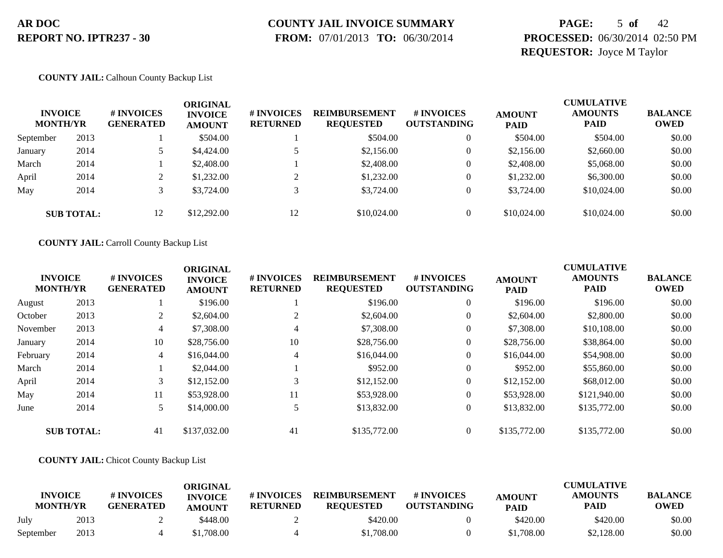# **COUNTY JAIL INVOICE SUMMARY**

 **FROM:** 07/01/2013 **TO:** 06/30/2014

### **PAGE:** 5 **of** 42 **PROCESSED:** 06/30/2014 02:50 PM **REQUESTOR:** Joyce M Taylor

#### **COUNTY JAIL:** Calhoun County Backup List

| <b>INVOICE</b><br><b>MONTH/YR</b> |                   | # INVOICES<br><b>GENERATED</b> | ORIGINAL<br><b>INVOICE</b><br><b>AMOUNT</b> | <b># INVOICES</b><br><b>RETURNED</b> | <b>REIMBURSEMENT</b><br><b>REQUESTED</b> | # INVOICES<br><b>OUTSTANDING</b> | <b>AMOUNT</b><br><b>PAID</b> | <b>CUMULATIVE</b><br><b>AMOUNTS</b><br><b>PAID</b> | <b>BALANCE</b><br><b>OWED</b> |
|-----------------------------------|-------------------|--------------------------------|---------------------------------------------|--------------------------------------|------------------------------------------|----------------------------------|------------------------------|----------------------------------------------------|-------------------------------|
| September                         | 2013              |                                | \$504.00                                    |                                      | \$504.00                                 |                                  | \$504.00                     | \$504.00                                           | \$0.00                        |
| January                           | 2014              |                                | \$4,424.00                                  |                                      | \$2,156.00                               |                                  | \$2,156.00                   | \$2,660.00                                         | \$0.00                        |
| March                             | 2014              |                                | \$2,408.00                                  |                                      | \$2,408.00                               |                                  | \$2,408.00                   | \$5,068.00                                         | \$0.00                        |
| April                             | 2014              |                                | \$1,232.00                                  |                                      | \$1,232.00                               |                                  | \$1,232.00                   | \$6,300.00                                         | \$0.00                        |
| May                               | 2014              |                                | \$3,724.00                                  |                                      | \$3,724.00                               |                                  | \$3,724.00                   | \$10,024.00                                        | \$0.00                        |
|                                   | <b>SUB TOTAL:</b> | 12                             | \$12,292.00                                 | 12                                   | \$10,024.00                              |                                  | \$10,024.00                  | \$10,024.00                                        | \$0.00                        |

#### **COUNTY JAIL:** Carroll County Backup List

|          | <b>INVOICE</b><br><b>MONTH/YR</b> | <b>#INVOICES</b><br><b>GENERATED</b> | <b>ORIGINAL</b><br><b>INVOICE</b><br><b>AMOUNT</b> | <b># INVOICES</b><br><b>RETURNED</b> | <b>REIMBURSEMENT</b><br><b>REQUESTED</b> | # INVOICES<br><b>OUTSTANDING</b> | <b>AMOUNT</b><br><b>PAID</b> | <b>CUMULATIVE</b><br><b>AMOUNTS</b><br><b>PAID</b> | <b>BALANCE</b><br><b>OWED</b> |
|----------|-----------------------------------|--------------------------------------|----------------------------------------------------|--------------------------------------|------------------------------------------|----------------------------------|------------------------------|----------------------------------------------------|-------------------------------|
| August   | 2013                              |                                      | \$196.00                                           |                                      | \$196.00                                 | 0                                | \$196.00                     | \$196.00                                           | \$0.00                        |
| October  | 2013                              | 2                                    | \$2,604.00                                         |                                      | \$2,604.00                               | $\mathbf{0}$                     | \$2,604.00                   | \$2,800.00                                         | \$0.00                        |
| November | 2013                              | $\overline{4}$                       | \$7,308.00                                         | 4                                    | \$7,308.00                               | $\theta$                         | \$7,308.00                   | \$10,108.00                                        | \$0.00                        |
| January  | 2014                              | 10                                   | \$28,756.00                                        | 10                                   | \$28,756.00                              | $\mathbf{0}$                     | \$28,756.00                  | \$38,864.00                                        | \$0.00                        |
| February | 2014                              | $\overline{4}$                       | \$16,044.00                                        | 4                                    | \$16,044.00                              | $\overline{0}$                   | \$16,044.00                  | \$54,908.00                                        | \$0.00                        |
| March    | 2014                              |                                      | \$2,044.00                                         |                                      | \$952.00                                 | $\theta$                         | \$952.00                     | \$55,860.00                                        | \$0.00                        |
| April    | 2014                              | $\mathfrak{Z}$                       | \$12,152.00                                        | 3                                    | \$12,152.00                              | $\boldsymbol{0}$                 | \$12,152.00                  | \$68,012.00                                        | \$0.00                        |
| May      | 2014                              | 11                                   | \$53,928.00                                        | 11                                   | \$53,928.00                              | $\overline{0}$                   | \$53,928.00                  | \$121,940.00                                       | \$0.00                        |
| June     | 2014                              | 5                                    | \$14,000.00                                        |                                      | \$13,832.00                              | $\boldsymbol{0}$                 | \$13,832.00                  | \$135,772.00                                       | \$0.00                        |
|          | <b>SUB TOTAL:</b>                 | 41                                   | \$137,032.00                                       | 41                                   | \$135,772.00                             |                                  | \$135,772.00                 | \$135,772.00                                       | \$0.00                        |

#### **COUNTY JAIL:** Chicot County Backup List

| <b>INVOICE</b><br><b>MONTH/YR</b> |      | # INVOICES<br><b>GENERATED</b> | ORIGINAL<br><b>INVOICE</b><br><b>AMOUNT</b> | # INVOICES<br><b>RETURNED</b> | <b>REIMBURSEMENT</b><br><b>REOUESTED</b> | # INVOICES<br><b>OUTSTANDING</b> | <b>AMOUNT</b><br><b>PAID</b> | <b>CUMULATIVE</b><br><b>AMOUNTS</b><br><b>PAID</b> | <b>BALANCE</b><br><b>OWED</b> |
|-----------------------------------|------|--------------------------------|---------------------------------------------|-------------------------------|------------------------------------------|----------------------------------|------------------------------|----------------------------------------------------|-------------------------------|
| July                              | 2013 |                                | \$448.00                                    |                               | \$420.00                                 |                                  | \$420.00                     | \$420.00                                           | \$0.00                        |
| September                         | 2013 |                                | ,708.00                                     |                               | \$1,708.00                               |                                  | \$1,708.00                   | \$2,128.00                                         | \$0.00                        |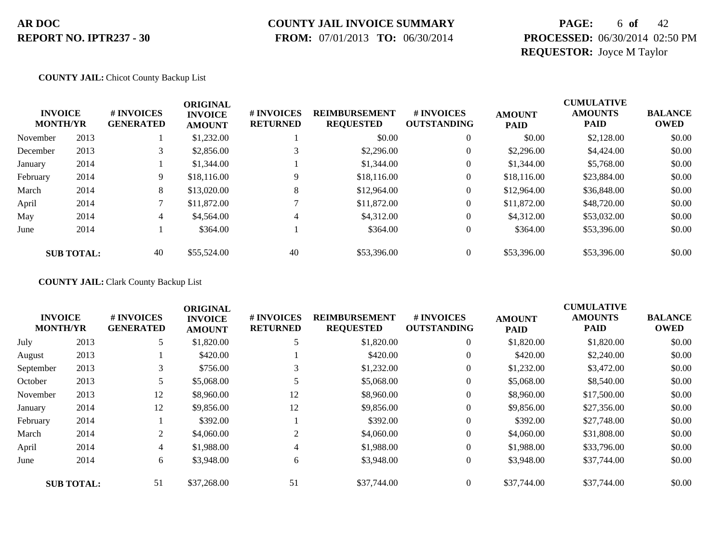## **COUNTY JAIL INVOICE SUMMARY**

 **FROM:** 07/01/2013 **TO:** 06/30/2014

### **PAGE:** 6 **of** 42 **PROCESSED:** 06/30/2014 02:50 PM **REQUESTOR:** Joyce M Taylor

#### **COUNTY JAIL:** Chicot County Backup List

|          | <b>INVOICE</b><br><b>MONTH/YR</b> | # INVOICES<br><b>GENERATED</b> | <b>ORIGINAL</b><br><b>INVOICE</b><br><b>AMOUNT</b> | # INVOICES<br><b>RETURNED</b> | <b>REIMBURSEMENT</b><br><b>REQUESTED</b> | <b>#INVOICES</b><br><b>OUTSTANDING</b> | <b>AMOUNT</b><br><b>PAID</b> | <b>CUMULATIVE</b><br><b>AMOUNTS</b><br><b>PAID</b> | <b>BALANCE</b><br><b>OWED</b> |
|----------|-----------------------------------|--------------------------------|----------------------------------------------------|-------------------------------|------------------------------------------|----------------------------------------|------------------------------|----------------------------------------------------|-------------------------------|
| November | 2013                              |                                | \$1,232.00                                         |                               | \$0.00                                   | $\theta$                               | \$0.00                       | \$2,128.00                                         | \$0.00                        |
| December | 2013                              | 3                              | \$2,856.00                                         |                               | \$2,296.00                               | 0                                      | \$2,296.00                   | \$4,424.00                                         | \$0.00                        |
| January  | 2014                              |                                | \$1,344.00                                         |                               | \$1,344.00                               | 0                                      | \$1,344.00                   | \$5,768.00                                         | \$0.00                        |
| February | 2014                              | 9                              | \$18,116.00                                        | 9                             | \$18,116.00                              | 0                                      | \$18,116.00                  | \$23,884.00                                        | \$0.00                        |
| March    | 2014                              | 8                              | \$13,020.00                                        | 8                             | \$12,964.00                              | 0                                      | \$12,964.00                  | \$36,848.00                                        | \$0.00                        |
| April    | 2014                              |                                | \$11,872.00                                        |                               | \$11,872.00                              | $\overline{0}$                         | \$11,872.00                  | \$48,720.00                                        | \$0.00                        |
| May      | 2014                              | 4                              | \$4,564.00                                         | 4                             | \$4,312.00                               | $\overline{0}$                         | \$4,312.00                   | \$53,032.00                                        | \$0.00                        |
| June     | 2014                              |                                | \$364.00                                           |                               | \$364.00                                 | $\overline{0}$                         | \$364.00                     | \$53,396.00                                        | \$0.00                        |
|          | <b>SUB TOTAL:</b>                 | 40                             | \$55,524.00                                        | 40                            | \$53,396.00                              | $\Omega$                               | \$53,396.00                  | \$53,396.00                                        | \$0.00                        |

#### **COUNTY JAIL:** Clark County Backup List

|                                   |                   |                                      | <b>ORIGINAL</b>                 |                               |                                          |                                  | <b>CUMULATIVE</b>            |                               |                               |  |
|-----------------------------------|-------------------|--------------------------------------|---------------------------------|-------------------------------|------------------------------------------|----------------------------------|------------------------------|-------------------------------|-------------------------------|--|
| <b>INVOICE</b><br><b>MONTH/YR</b> |                   | <b>#INVOICES</b><br><b>GENERATED</b> | <b>INVOICE</b><br><b>AMOUNT</b> | # INVOICES<br><b>RETURNED</b> | <b>REIMBURSEMENT</b><br><b>REQUESTED</b> | # INVOICES<br><b>OUTSTANDING</b> | <b>AMOUNT</b><br><b>PAID</b> | <b>AMOUNTS</b><br><b>PAID</b> | <b>BALANCE</b><br><b>OWED</b> |  |
| July                              | 2013              | 5                                    | \$1,820.00                      | 5                             | \$1,820.00                               | $\overline{0}$                   | \$1,820.00                   | \$1,820.00                    | \$0.00                        |  |
| August                            | 2013              |                                      | \$420.00                        |                               | \$420.00                                 | $\theta$                         | \$420.00                     | \$2,240.00                    | \$0.00                        |  |
| September                         | 2013              | 3                                    | \$756.00                        | 3                             | \$1,232.00                               | $\theta$                         | \$1,232.00                   | \$3,472.00                    | \$0.00                        |  |
| October                           | 2013              |                                      | \$5,068.00                      |                               | \$5,068.00                               | $\theta$                         | \$5,068.00                   | \$8,540.00                    | \$0.00                        |  |
| November                          | 2013              | 12                                   | \$8,960.00                      | 12                            | \$8,960.00                               | $\overline{0}$                   | \$8,960.00                   | \$17,500.00                   | \$0.00                        |  |
| January                           | 2014              | 12                                   | \$9,856.00                      | 12                            | \$9,856.00                               | $\theta$                         | \$9,856.00                   | \$27,356.00                   | \$0.00                        |  |
| February                          | 2014              |                                      | \$392.00                        |                               | \$392.00                                 | $\overline{0}$                   | \$392.00                     | \$27,748.00                   | \$0.00                        |  |
| March                             | 2014              | 2                                    | \$4,060.00                      |                               | \$4,060,00                               | $\overline{0}$                   | \$4,060.00                   | \$31,808.00                   | \$0.00                        |  |
| April                             | 2014              | 4                                    | \$1,988.00                      | 4                             | \$1,988.00                               | $\overline{0}$                   | \$1,988.00                   | \$33,796.00                   | \$0.00                        |  |
| June                              | 2014              | 6                                    | \$3,948.00                      | 6                             | \$3,948.00                               | $\overline{0}$                   | \$3,948.00                   | \$37,744.00                   | \$0.00                        |  |
|                                   | <b>SUB TOTAL:</b> | 51                                   | \$37,268.00                     | 51                            | \$37,744.00                              | $\Omega$                         | \$37,744.00                  | \$37,744.00                   | \$0.00                        |  |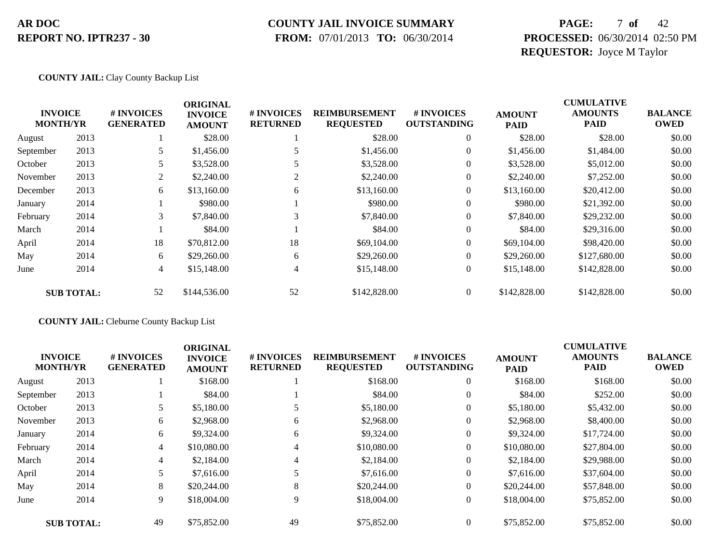#### **COUNTY JAIL INVOICE SUMMARY**

 **FROM:** 07/01/2013 **TO:** 06/30/2014

### **PAGE:** 7 **of** 42 **PROCESSED:** 06/30/2014 02:50 PM **REQUESTOR:** Joyce M Taylor

#### **COUNTY JAIL:** Clay County Backup List

|                 |                   |                                | <b>ORIGINAL</b>                 |                               |                                          |                                  |                              | <b>CUMULATIVE</b>             |                               |
|-----------------|-------------------|--------------------------------|---------------------------------|-------------------------------|------------------------------------------|----------------------------------|------------------------------|-------------------------------|-------------------------------|
| <b>MONTH/YR</b> | <b>INVOICE</b>    | # INVOICES<br><b>GENERATED</b> | <b>INVOICE</b><br><b>AMOUNT</b> | # INVOICES<br><b>RETURNED</b> | <b>REIMBURSEMENT</b><br><b>REQUESTED</b> | # INVOICES<br><b>OUTSTANDING</b> | <b>AMOUNT</b><br><b>PAID</b> | <b>AMOUNTS</b><br><b>PAID</b> | <b>BALANCE</b><br><b>OWED</b> |
| August          | 2013              |                                | \$28.00                         |                               | \$28.00                                  | $\theta$                         | \$28.00                      | \$28.00                       | \$0.00                        |
| September       | 2013              |                                | \$1,456.00                      |                               | \$1,456.00                               | $\overline{0}$                   | \$1,456.00                   | \$1,484.00                    | \$0.00                        |
| October         | 2013              | 5                              | \$3,528.00                      |                               | \$3,528.00                               | 0                                | \$3,528.00                   | \$5,012.00                    | \$0.00                        |
| November        | 2013              | 2                              | \$2,240.00                      | $\overline{2}$                | \$2,240.00                               | $\overline{0}$                   | \$2,240.00                   | \$7,252.00                    | \$0.00                        |
| December        | 2013              | 6                              | \$13,160.00                     | 6                             | \$13,160.00                              | $\overline{0}$                   | \$13,160.00                  | \$20,412.00                   | \$0.00                        |
| January         | 2014              |                                | \$980.00                        |                               | \$980.00                                 | $\boldsymbol{0}$                 | \$980.00                     | \$21,392.00                   | \$0.00                        |
| February        | 2014              | 3                              | \$7,840.00                      | 3                             | \$7,840.00                               | $\overline{0}$                   | \$7,840.00                   | \$29,232.00                   | \$0.00                        |
| March           | 2014              |                                | \$84.00                         |                               | \$84.00                                  | $\overline{0}$                   | \$84.00                      | \$29,316.00                   | \$0.00                        |
| April           | 2014              | 18                             | \$70,812.00                     | 18                            | \$69,104.00                              | $\overline{0}$                   | \$69,104.00                  | \$98,420.00                   | \$0.00                        |
| May             | 2014              | 6                              | \$29,260.00                     | 6                             | \$29,260.00                              | $\overline{0}$                   | \$29,260.00                  | \$127,680.00                  | \$0.00                        |
| June            | 2014              | $\overline{4}$                 | \$15,148.00                     | 4                             | \$15,148.00                              | $\overline{0}$                   | \$15,148.00                  | \$142,828.00                  | \$0.00                        |
|                 | <b>SUB TOTAL:</b> | 52                             | \$144,536.00                    | 52                            | \$142,828.00                             | $\overline{0}$                   | \$142,828.00                 | \$142,828.00                  | \$0.00                        |

#### **COUNTY JAIL:** Cleburne County Backup List

|           | <b>INVOICE</b><br><b>MONTH/YR</b> | # INVOICES<br><b>GENERATED</b> | <b>ORIGINAL</b><br><b>INVOICE</b><br><b>AMOUNT</b> | # INVOICES<br><b>RETURNED</b> | <b>REIMBURSEMENT</b><br><b>REQUESTED</b> | # INVOICES<br><b>OUTSTANDING</b> | <b>AMOUNT</b><br><b>PAID</b> | <b>CUMULATIVE</b><br><b>AMOUNTS</b><br><b>PAID</b> | <b>BALANCE</b><br><b>OWED</b> |
|-----------|-----------------------------------|--------------------------------|----------------------------------------------------|-------------------------------|------------------------------------------|----------------------------------|------------------------------|----------------------------------------------------|-------------------------------|
| August    | 2013                              |                                | \$168.00                                           |                               | \$168.00                                 | $\overline{0}$                   | \$168.00                     | \$168.00                                           | \$0.00                        |
| September | 2013                              |                                | \$84.00                                            |                               | \$84.00                                  | $\overline{0}$                   | \$84.00                      | \$252.00                                           | \$0.00                        |
| October   | 2013                              | 5.                             | \$5,180.00                                         |                               | \$5,180.00                               | $\overline{0}$                   | \$5,180.00                   | \$5,432.00                                         | \$0.00                        |
| November  | 2013                              | 6                              | \$2,968.00                                         | 6                             | \$2,968.00                               | $\overline{0}$                   | \$2,968.00                   | \$8,400.00                                         | \$0.00                        |
| January   | 2014                              | 6                              | \$9,324.00                                         | 6                             | \$9,324.00                               | $\overline{0}$                   | \$9,324.00                   | \$17,724.00                                        | \$0.00                        |
| February  | 2014                              | $\overline{4}$                 | \$10,080.00                                        | 4                             | \$10,080.00                              | $\theta$                         | \$10,080.00                  | \$27,804.00                                        | \$0.00                        |
| March     | 2014                              | $\overline{4}$                 | \$2,184.00                                         | $\overline{4}$                | \$2,184.00                               | $\overline{0}$                   | \$2,184.00                   | \$29,988.00                                        | \$0.00                        |
| April     | 2014                              | 5                              | \$7,616.00                                         |                               | \$7,616.00                               | $\overline{0}$                   | \$7,616.00                   | \$37,604.00                                        | \$0.00                        |
| May       | 2014                              | 8                              | \$20,244.00                                        | 8                             | \$20,244.00                              | $\overline{0}$                   | \$20,244.00                  | \$57,848.00                                        | \$0.00                        |
| June      | 2014                              | 9                              | \$18,004.00                                        | 9                             | \$18,004.00                              | $\overline{0}$                   | \$18,004.00                  | \$75,852.00                                        | \$0.00                        |
|           | <b>SUB TOTAL:</b>                 | 49                             | \$75,852.00                                        | 49                            | \$75,852.00                              | $\theta$                         | \$75,852.00                  | \$75,852.00                                        | \$0.00                        |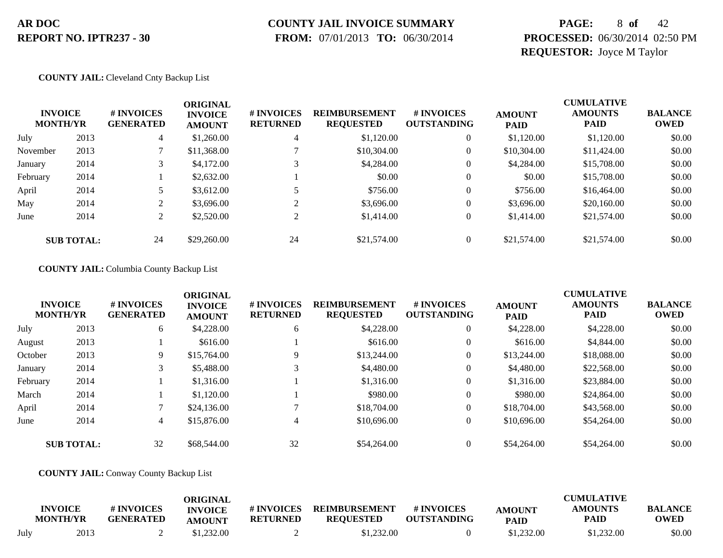# **COUNTY JAIL INVOICE SUMMARY**

 **FROM:** 07/01/2013 **TO:** 06/30/2014

### **PAGE:** 8 **of** 42 **PROCESSED:** 06/30/2014 02:50 PM **REQUESTOR:** Joyce M Taylor

#### **COUNTY JAIL:** Cleveland Cnty Backup List

| <b>INVOICE</b><br><b>MONTH/YR</b> |                   | # INVOICES<br><b>GENERATED</b> | <b>ORIGINAL</b><br><b>INVOICE</b><br><b>AMOUNT</b> | # INVOICES<br><b>RETURNED</b> | <b>REIMBURSEMENT</b><br><b>REQUESTED</b> | # INVOICES<br><b>OUTSTANDING</b> | <b>AMOUNT</b><br><b>PAID</b> | <b>CUMULATIVE</b><br><b>AMOUNTS</b><br><b>PAID</b> | <b>BALANCE</b><br><b>OWED</b> |
|-----------------------------------|-------------------|--------------------------------|----------------------------------------------------|-------------------------------|------------------------------------------|----------------------------------|------------------------------|----------------------------------------------------|-------------------------------|
| July                              | 2013              | 4                              | \$1,260.00                                         | 4                             | \$1,120.00                               |                                  | \$1,120.00                   | \$1,120.00                                         | \$0.00                        |
| November                          | 2013              |                                | \$11,368.00                                        |                               | \$10,304.00                              |                                  | \$10,304.00                  | \$11,424.00                                        | \$0.00                        |
| January                           | 2014              | 3                              | \$4,172.00                                         |                               | \$4,284.00                               | 0                                | \$4,284.00                   | \$15,708.00                                        | \$0.00                        |
| February                          | 2014              |                                | \$2,632.00                                         |                               | \$0.00                                   | $\overline{0}$                   | \$0.00                       | \$15,708.00                                        | \$0.00                        |
| April                             | 2014              |                                | \$3,612.00                                         |                               | \$756.00                                 |                                  | \$756.00                     | \$16,464.00                                        | \$0.00                        |
| May                               | 2014              | $\gamma$                       | \$3,696.00                                         |                               | \$3,696.00                               |                                  | \$3,696.00                   | \$20,160.00                                        | \$0.00                        |
| June                              | 2014              | 2                              | \$2,520.00                                         |                               | \$1,414.00                               | $\overline{0}$                   | \$1,414.00                   | \$21,574.00                                        | \$0.00                        |
|                                   | <b>SUB TOTAL:</b> | 24                             | \$29,260.00                                        | 24                            | \$21,574.00                              |                                  | \$21,574.00                  | \$21,574.00                                        | \$0.00                        |

#### **COUNTY JAIL:** Columbia County Backup List

|          | <b>INVOICE</b><br><b>MONTH/YR</b> | # INVOICES<br><b>GENERATED</b> | <b>ORIGINAL</b><br><b>INVOICE</b><br><b>AMOUNT</b> | # INVOICES<br><b>RETURNED</b> | <b>REIMBURSEMENT</b><br><b>REQUESTED</b> | # INVOICES<br><b>OUTSTANDING</b> | <b>AMOUNT</b><br><b>PAID</b> | <b>CUMULATIVE</b><br><b>AMOUNTS</b><br><b>PAID</b> | <b>BALANCE</b><br><b>OWED</b> |
|----------|-----------------------------------|--------------------------------|----------------------------------------------------|-------------------------------|------------------------------------------|----------------------------------|------------------------------|----------------------------------------------------|-------------------------------|
| July     | 2013                              | 6                              | \$4,228.00                                         | 6                             | \$4,228.00                               | $\overline{0}$                   | \$4,228.00                   | \$4,228.00                                         | \$0.00                        |
| August   | 2013                              |                                | \$616.00                                           |                               | \$616.00                                 | $\overline{0}$                   | \$616.00                     | \$4,844.00                                         | \$0.00                        |
| October  | 2013                              | 9                              | \$15,764.00                                        | Q                             | \$13,244.00                              | $\overline{0}$                   | \$13,244.00                  | \$18,088,00                                        | \$0.00                        |
| January  | 2014                              | 3                              | \$5,488.00                                         |                               | \$4,480.00                               | $\overline{0}$                   | \$4,480.00                   | \$22,568.00                                        | \$0.00                        |
| February | 2014                              |                                | \$1,316.00                                         |                               | \$1,316.00                               | $\overline{0}$                   | \$1,316.00                   | \$23,884.00                                        | \$0.00                        |
| March    | 2014                              |                                | \$1,120.00                                         |                               | \$980.00                                 | $\overline{0}$                   | \$980.00                     | \$24,864.00                                        | \$0.00                        |
| April    | 2014                              |                                | \$24,136.00                                        |                               | \$18,704.00                              | $\overline{0}$                   | \$18,704.00                  | \$43,568.00                                        | \$0.00                        |
| June     | 2014                              | 4                              | \$15,876.00                                        | 4                             | \$10,696.00                              | $\overline{0}$                   | \$10,696.00                  | \$54,264.00                                        | \$0.00                        |
|          | <b>SUB TOTAL:</b>                 | 32                             | \$68,544.00                                        | 32                            | \$54,264.00                              | $\Omega$                         | \$54,264.00                  | \$54,264.00                                        | \$0.00                        |

#### **COUNTY JAIL:** Conway County Backup List

|      | <b>INVOICE</b><br><b>MONTH/YR</b> | # INVOICES<br><b>GENERATED</b> | <b>ORIGINAL</b><br><b>INVOICE</b><br><b>AMOUNT</b> | # INVOICES<br><b>RETURNED</b> | <b>REIMBURSEMENT</b><br><b>REOUESTED</b> | <b>#INVOICES</b><br><b>OUTSTANDING</b> | <b>AMOUNT</b><br><b>PAID</b> | <b>CUMULATIVE</b><br><b>AMOUNTS</b><br>PAID | <b>BALANCE</b><br><b>OWED</b> |
|------|-----------------------------------|--------------------------------|----------------------------------------------------|-------------------------------|------------------------------------------|----------------------------------------|------------------------------|---------------------------------------------|-------------------------------|
| July | 2013                              |                                | \$1.232.00                                         |                               | \$1,232.00                               |                                        | \$1,232.00                   | \$1,232.00                                  | \$0.00                        |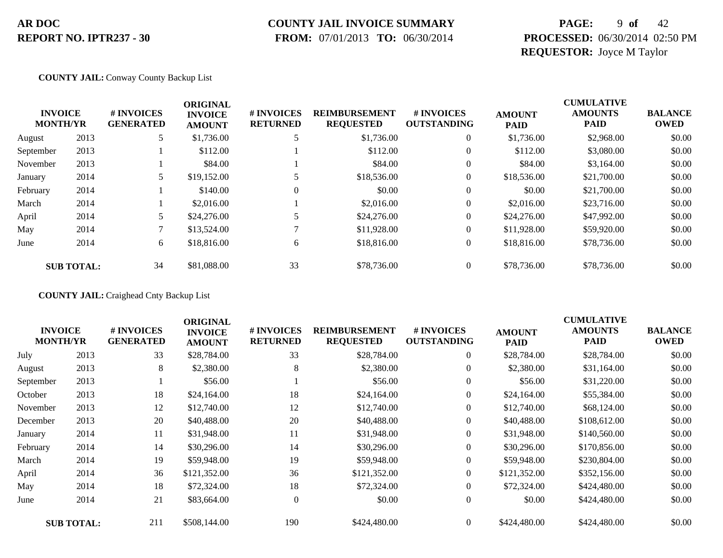### **COUNTY JAIL INVOICE SUMMARY**

 **FROM:** 07/01/2013 **TO:** 06/30/2014

### **PAGE:** 9 **of** 42 **PROCESSED:** 06/30/2014 02:50 PM **REQUESTOR:** Joyce M Taylor

#### **COUNTY JAIL:** Conway County Backup List

| <b>INVOICE</b><br><b>MONTH/YR</b> |                   | # INVOICES<br><b>GENERATED</b> | <b>ORIGINAL</b><br><b>INVOICE</b><br><b>AMOUNT</b> | # INVOICES<br><b>RETURNED</b> | <b>REIMBURSEMENT</b><br><b>REQUESTED</b> | # INVOICES<br><b>OUTSTANDING</b> | <b>AMOUNT</b><br><b>PAID</b> | <b>CUMULATIVE</b><br><b>AMOUNTS</b><br><b>PAID</b> | <b>BALANCE</b><br><b>OWED</b> |
|-----------------------------------|-------------------|--------------------------------|----------------------------------------------------|-------------------------------|------------------------------------------|----------------------------------|------------------------------|----------------------------------------------------|-------------------------------|
| August                            | 2013              |                                | \$1,736.00                                         | 5                             | \$1,736.00                               | $\overline{0}$                   | \$1,736.00                   | \$2,968.00                                         | \$0.00                        |
| September                         | 2013              |                                | \$112.00                                           |                               | \$112.00                                 | $\overline{0}$                   | \$112.00                     | \$3,080.00                                         | \$0.00                        |
| November                          | 2013              |                                | \$84.00                                            |                               | \$84.00                                  | $\overline{0}$                   | \$84.00                      | \$3,164.00                                         | \$0.00                        |
| January                           | 2014              |                                | \$19,152.00                                        |                               | \$18,536.00                              | $\mathbf{0}$                     | \$18,536.00                  | \$21,700.00                                        | \$0.00                        |
| February                          | 2014              |                                | \$140.00                                           | $\Omega$                      | \$0.00                                   | $\overline{0}$                   | \$0.00                       | \$21,700.00                                        | \$0.00                        |
| March                             | 2014              |                                | \$2,016.00                                         |                               | \$2,016.00                               | $\overline{0}$                   | \$2,016.00                   | \$23,716.00                                        | \$0.00                        |
| April                             | 2014              |                                | \$24,276.00                                        |                               | \$24,276.00                              | $\overline{0}$                   | \$24,276.00                  | \$47,992.00                                        | \$0.00                        |
| May                               | 2014              |                                | \$13,524.00                                        |                               | \$11,928.00                              | $\overline{0}$                   | \$11,928.00                  | \$59,920.00                                        | \$0.00                        |
| June                              | 2014              | 6                              | \$18,816.00                                        | 6                             | \$18,816.00                              | $\overline{0}$                   | \$18,816.00                  | \$78,736.00                                        | \$0.00                        |
|                                   | <b>SUB TOTAL:</b> | 34                             | \$81,088,00                                        | 33                            | \$78,736.00                              | $\overline{0}$                   | \$78,736.00                  | \$78,736.00                                        | \$0.00                        |

**COUNTY JAIL:** Craighead Cnty Backup List

|                                   |                   |                                | <b>ORIGINAL</b>                 |                               |                                          |                                  |                              | <b>CUMULATIVE</b>             |                               |
|-----------------------------------|-------------------|--------------------------------|---------------------------------|-------------------------------|------------------------------------------|----------------------------------|------------------------------|-------------------------------|-------------------------------|
| <b>INVOICE</b><br><b>MONTH/YR</b> |                   | # INVOICES<br><b>GENERATED</b> | <b>INVOICE</b><br><b>AMOUNT</b> | # INVOICES<br><b>RETURNED</b> | <b>REIMBURSEMENT</b><br><b>REQUESTED</b> | # INVOICES<br><b>OUTSTANDING</b> | <b>AMOUNT</b><br><b>PAID</b> | <b>AMOUNTS</b><br><b>PAID</b> | <b>BALANCE</b><br><b>OWED</b> |
| July                              | 2013              | 33                             | \$28,784.00                     | 33                            | \$28,784.00                              | $\boldsymbol{0}$                 | \$28,784.00                  | \$28,784.00                   | \$0.00                        |
| August                            | 2013              | 8                              | \$2,380.00                      | 8                             | \$2,380.00                               | $\mathbf{0}$                     | \$2,380.00                   | \$31,164.00                   | \$0.00                        |
| September                         | 2013              |                                | \$56.00                         |                               | \$56.00                                  | $\overline{0}$                   | \$56.00                      | \$31,220.00                   | \$0.00                        |
| October                           | 2013              | 18                             | \$24,164.00                     | 18                            | \$24,164.00                              | $\boldsymbol{0}$                 | \$24,164.00                  | \$55,384.00                   | \$0.00                        |
| November                          | 2013              | 12                             | \$12,740.00                     | 12                            | \$12,740.00                              | $\overline{0}$                   | \$12,740.00                  | \$68,124.00                   | \$0.00                        |
| December                          | 2013              | 20                             | \$40,488.00                     | 20                            | \$40,488.00                              | $\overline{0}$                   | \$40,488.00                  | \$108,612.00                  | \$0.00                        |
| January                           | 2014              | 11                             | \$31,948.00                     | 11                            | \$31,948.00                              | $\mathbf{0}$                     | \$31,948.00                  | \$140,560.00                  | \$0.00                        |
| February                          | 2014              | 14                             | \$30,296.00                     | 14                            | \$30,296.00                              | $\boldsymbol{0}$                 | \$30,296.00                  | \$170,856.00                  | \$0.00                        |
| March                             | 2014              | 19                             | \$59,948.00                     | 19                            | \$59,948.00                              | $\mathbf{0}$                     | \$59,948.00                  | \$230,804.00                  | \$0.00                        |
| April                             | 2014              | 36                             | \$121,352.00                    | 36                            | \$121,352.00                             | $\overline{0}$                   | \$121,352.00                 | \$352,156.00                  | \$0.00                        |
| May                               | 2014              | 18                             | \$72,324.00                     | 18                            | \$72,324.00                              | $\overline{0}$                   | \$72,324.00                  | \$424,480.00                  | \$0.00                        |
| June                              | 2014              | 21                             | \$83,664.00                     | $\Omega$                      | \$0.00                                   | $\mathbf{0}$                     | \$0.00                       | \$424,480.00                  | \$0.00                        |
|                                   | <b>SUB TOTAL:</b> | 211                            | \$508,144.00                    | 190                           | \$424,480.00                             | $\Omega$                         | \$424,480.00                 | \$424,480.00                  | \$0.00                        |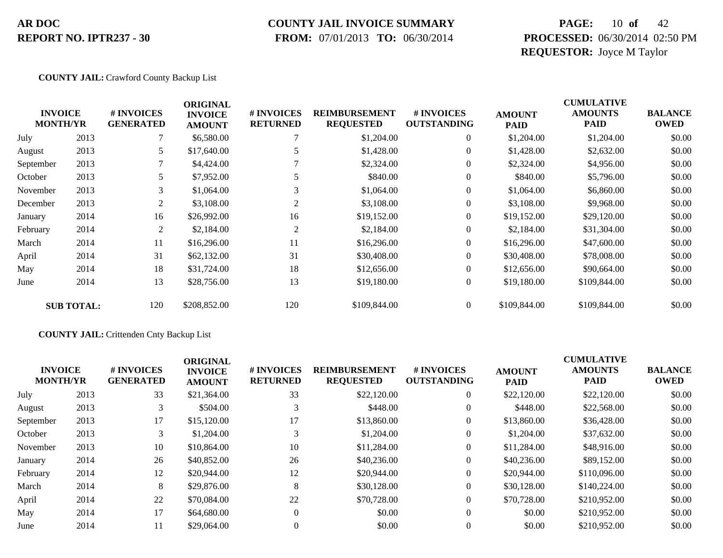### **COUNTY JAIL INVOICE SUMMARY**

 **FROM:** 07/01/2013 **TO:** 06/30/2014

### **PAGE:** 10 **of** 42 **PROCESSED:** 06/30/2014 02:50 PM **REQUESTOR:** Joyce M Taylor

#### **COUNTY JAIL:** Crawford County Backup List

| <b>MONTH/YR</b> | <b>INVOICE</b>    | # INVOICES<br><b>GENERATED</b> | <b>ORIGINAL</b><br><b>INVOICE</b><br><b>AMOUNT</b> | # INVOICES<br><b>RETURNED</b> | <b>REIMBURSEMENT</b><br><b>REQUESTED</b> | # INVOICES<br><b>OUTSTANDING</b> | <b>AMOUNT</b><br><b>PAID</b> | <b>CUMULATIVE</b><br><b>AMOUNTS</b><br><b>PAID</b> | <b>BALANCE</b><br><b>OWED</b> |
|-----------------|-------------------|--------------------------------|----------------------------------------------------|-------------------------------|------------------------------------------|----------------------------------|------------------------------|----------------------------------------------------|-------------------------------|
| July            | 2013              |                                | \$6,580.00                                         |                               | \$1,204.00                               | $\overline{0}$                   | \$1,204.00                   | \$1,204.00                                         | \$0.00                        |
| August          | 2013              | 5                              | \$17,640.00                                        |                               | \$1,428.00                               | $\overline{0}$                   | \$1,428.00                   | \$2,632.00                                         | \$0.00                        |
| September       | 2013              | $\tau$                         | \$4,424.00                                         |                               | \$2,324.00                               | $\theta$                         | \$2,324.00                   | \$4,956.00                                         | \$0.00                        |
| October         | 2013              | 5                              | \$7,952.00                                         |                               | \$840.00                                 | $\theta$                         | \$840.00                     | \$5,796.00                                         | \$0.00                        |
| November        | 2013              | 3                              | \$1,064.00                                         | 3                             | \$1,064.00                               | $\boldsymbol{0}$                 | \$1,064.00                   | \$6,860.00                                         | \$0.00                        |
| December        | 2013              | 2                              | \$3,108.00                                         | $\overline{c}$                | \$3,108.00                               | $\mathbf{0}$                     | \$3,108.00                   | \$9,968.00                                         | \$0.00                        |
| January         | 2014              | 16                             | \$26,992.00                                        | 16                            | \$19,152.00                              | $\overline{0}$                   | \$19,152.00                  | \$29,120.00                                        | \$0.00                        |
| February        | 2014              | 2                              | \$2,184.00                                         | 2                             | \$2,184.00                               | $\boldsymbol{0}$                 | \$2,184.00                   | \$31,304.00                                        | \$0.00                        |
| March           | 2014              | 11                             | \$16,296.00                                        | 11                            | \$16,296.00                              | $\boldsymbol{0}$                 | \$16,296.00                  | \$47,600.00                                        | \$0.00                        |
| April           | 2014              | 31                             | \$62,132.00                                        | 31                            | \$30,408.00                              | $\overline{0}$                   | \$30,408.00                  | \$78,008.00                                        | \$0.00                        |
| May             | 2014              | 18                             | \$31,724.00                                        | 18                            | \$12,656.00                              | $\overline{0}$                   | \$12,656.00                  | \$90,664.00                                        | \$0.00                        |
| June            | 2014              | 13                             | \$28,756.00                                        | 13                            | \$19,180.00                              | $\boldsymbol{0}$                 | \$19,180.00                  | \$109,844.00                                       | \$0.00                        |
|                 | <b>SUB TOTAL:</b> | 120                            | \$208,852.00                                       | 120                           | \$109,844.00                             | $\overline{0}$                   | \$109,844.00                 | \$109,844.00                                       | \$0.00                        |

#### **COUNTY JAIL:** Crittenden Cnty Backup List

|                                   |      |                                | <b>ORIGINAL</b>                 |                                      |                                          |                                  |                              | <b>CUMULATIVE</b>             |                               |
|-----------------------------------|------|--------------------------------|---------------------------------|--------------------------------------|------------------------------------------|----------------------------------|------------------------------|-------------------------------|-------------------------------|
| <b>INVOICE</b><br><b>MONTH/YR</b> |      | # INVOICES<br><b>GENERATED</b> | <b>INVOICE</b><br><b>AMOUNT</b> | <b># INVOICES</b><br><b>RETURNED</b> | <b>REIMBURSEMENT</b><br><b>REQUESTED</b> | # INVOICES<br><b>OUTSTANDING</b> | <b>AMOUNT</b><br><b>PAID</b> | <b>AMOUNTS</b><br><b>PAID</b> | <b>BALANCE</b><br><b>OWED</b> |
| July                              | 2013 | 33                             | \$21,364.00                     | 33                                   | \$22,120.00                              | $\overline{0}$                   | \$22,120.00                  | \$22,120.00                   | \$0.00                        |
| August                            | 2013 | 3                              | \$504.00                        |                                      | \$448.00                                 | $\overline{0}$                   | \$448.00                     | \$22,568.00                   | \$0.00                        |
| September                         | 2013 | 17                             | \$15,120.00                     | 17                                   | \$13,860.00                              | $\boldsymbol{0}$                 | \$13,860.00                  | \$36,428.00                   | \$0.00                        |
| October                           | 2013 | 3                              | \$1,204.00                      |                                      | \$1,204.00                               | $\overline{0}$                   | \$1,204.00                   | \$37,632.00                   | \$0.00                        |
| November                          | 2013 | 10                             | \$10,864.00                     | 10                                   | \$11,284.00                              | $\overline{0}$                   | \$11,284.00                  | \$48,916.00                   | \$0.00                        |
| January                           | 2014 | 26                             | \$40,852.00                     | 26                                   | \$40,236.00                              | $\overline{0}$                   | \$40,236.00                  | \$89,152.00                   | \$0.00                        |
| February                          | 2014 | 12                             | \$20,944.00                     | 12                                   | \$20,944.00                              | $\overline{0}$                   | \$20,944.00                  | \$110,096.00                  | \$0.00                        |
| March                             | 2014 | 8                              | \$29,876.00                     | 8                                    | \$30,128,00                              | $\overline{0}$                   | \$30,128,00                  | \$140,224,00                  | \$0.00                        |
| April                             | 2014 | 22                             | \$70,084.00                     | 22                                   | \$70,728.00                              | $\overline{0}$                   | \$70,728.00                  | \$210,952.00                  | \$0.00                        |
| May                               | 2014 | 17                             | \$64,680.00                     | $\theta$                             | \$0.00                                   | $\overline{0}$                   | \$0.00                       | \$210,952.00                  | \$0.00                        |
| June                              | 2014 | 11                             | \$29,064.00                     | $\Omega$                             | \$0.00                                   | $\Omega$                         | \$0.00                       | \$210,952.00                  | \$0.00                        |
|                                   |      |                                |                                 |                                      |                                          |                                  |                              |                               |                               |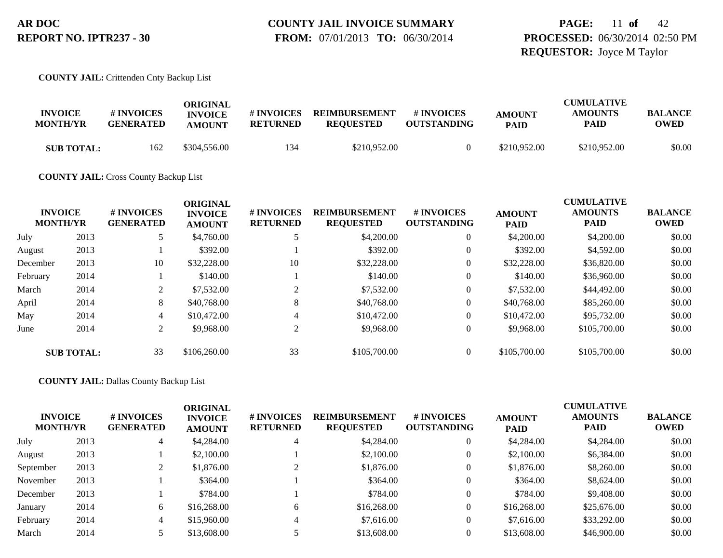### **PAGE:** 11 **of** 42 **PROCESSED:** 06/30/2014 02:50 PM **REQUESTOR:** Joyce M Taylor

#### **COUNTY JAIL:** Crittenden Cnty Backup List

| <b>INVOICE</b><br><b>MONTH/YR</b> | # INVOICES<br><b>GENERATED</b> | ORIGINAL<br><b>INVOICE</b><br><b>AMOUNT</b> | # INVOICES<br><b>RETURNED</b> | <b>REIMBURSEMENT</b><br><b>REOUESTED</b> | <b>#INVOICES</b><br><b>OUTSTANDING</b> | <b>AMOUNT</b><br><b>PAID</b> | <b>CUMULATIVE</b><br><b>AMOUNTS</b><br><b>PAID</b> | <b>BALANCE</b><br>OWED |
|-----------------------------------|--------------------------------|---------------------------------------------|-------------------------------|------------------------------------------|----------------------------------------|------------------------------|----------------------------------------------------|------------------------|
| <b>SUB TOTAL:</b>                 | 162                            | \$304,556.00                                | 134                           | \$210.952.00                             |                                        | \$210,952.00                 | \$210,952.00                                       | \$0.00                 |

**COUNTY JAIL:** Cross County Backup List

|          | <b>INVOICE</b><br><b>MONTH/YR</b> | # INVOICES<br><b>GENERATED</b> | <b>ORIGINAL</b><br><b>INVOICE</b><br><b>AMOUNT</b> | # INVOICES<br><b>RETURNED</b> | <b>REIMBURSEMENT</b><br><b>REQUESTED</b> | # INVOICES<br><b>OUTSTANDING</b> | <b>AMOUNT</b><br><b>PAID</b> | <b>CUMULATIVE</b><br><b>AMOUNTS</b><br><b>PAID</b> | <b>BALANCE</b><br><b>OWED</b> |
|----------|-----------------------------------|--------------------------------|----------------------------------------------------|-------------------------------|------------------------------------------|----------------------------------|------------------------------|----------------------------------------------------|-------------------------------|
| July     | 2013                              |                                | \$4,760.00                                         |                               | \$4,200.00                               | $\mathbf{0}$                     | \$4,200.00                   | \$4,200.00                                         | \$0.00                        |
| August   | 2013                              |                                | \$392.00                                           |                               | \$392.00                                 | $\mathbf{0}$                     | \$392.00                     | \$4,592.00                                         | \$0.00                        |
| December | 2013                              | 10                             | \$32,228.00                                        | 10                            | \$32,228.00                              | $\mathbf{0}$                     | \$32,228.00                  | \$36,820.00                                        | \$0.00                        |
| February | 2014                              |                                | \$140.00                                           |                               | \$140.00                                 | $\mathbf{0}$                     | \$140.00                     | \$36,960.00                                        | \$0.00                        |
| March    | 2014                              | 2                              | \$7,532.00                                         |                               | \$7,532.00                               | $\mathbf{0}$                     | \$7,532.00                   | \$44,492.00                                        | \$0.00                        |
| April    | 2014                              | 8                              | \$40,768,00                                        | 8                             | \$40,768,00                              | $\mathbf{0}$                     | \$40,768,00                  | \$85,260.00                                        | \$0.00                        |
| May      | 2014                              | 4                              | \$10,472.00                                        | 4                             | \$10,472.00                              | $\overline{0}$                   | \$10,472.00                  | \$95,732.00                                        | \$0.00                        |
| June     | 2014                              | 2                              | \$9,968.00                                         | $\sim$                        | \$9,968.00                               | $\theta$                         | \$9,968.00                   | \$105,700.00                                       | \$0.00                        |
|          | <b>SUB TOTAL:</b>                 | 33                             | \$106,260.00                                       | 33                            | \$105,700.00                             | $\Omega$                         | \$105,700.00                 | \$105,700.00                                       | \$0.00                        |

**COUNTY JAIL:** Dallas County Backup List

| <b>INVOICE</b><br><b>MONTH/YR</b> |      | # INVOICES<br><b>GENERATED</b> | <b>ORIGINAL</b><br><b>INVOICE</b><br><b>AMOUNT</b> | # INVOICES<br><b>RETURNED</b> | <b>REIMBURSEMENT</b><br><b>REQUESTED</b> | <b># INVOICES</b><br><b>OUTSTANDING</b> | <b>AMOUNT</b><br><b>PAID</b> | <b>CUMULATIVE</b><br><b>AMOUNTS</b><br><b>PAID</b> | <b>BALANCE</b><br>OWED |
|-----------------------------------|------|--------------------------------|----------------------------------------------------|-------------------------------|------------------------------------------|-----------------------------------------|------------------------------|----------------------------------------------------|------------------------|
| July                              | 2013 | 4                              | \$4,284.00                                         |                               | \$4,284.00                               | 0                                       | \$4,284.00                   | \$4,284.00                                         | \$0.00                 |
| August                            | 2013 |                                | \$2,100.00                                         |                               | \$2,100.00                               | 0                                       | \$2,100.00                   | \$6,384.00                                         | \$0.00                 |
| September                         | 2013 |                                | \$1,876.00                                         |                               | \$1,876.00                               | $\overline{0}$                          | \$1,876.00                   | \$8,260.00                                         | \$0.00                 |
| November                          | 2013 |                                | \$364.00                                           |                               | \$364.00                                 | $\overline{0}$                          | \$364.00                     | \$8,624.00                                         | \$0.00                 |
| December                          | 2013 |                                | \$784.00                                           |                               | \$784.00                                 | 0                                       | \$784.00                     | \$9,408.00                                         | \$0.00                 |
| January                           | 2014 | 6                              | \$16,268.00                                        | 6                             | \$16,268.00                              | $\overline{0}$                          | \$16,268.00                  | \$25,676.00                                        | \$0.00                 |
| February                          | 2014 | 4                              | \$15,960.00                                        |                               | \$7,616.00                               | $\overline{0}$                          | \$7,616.00                   | \$33,292.00                                        | \$0.00                 |
| March                             | 2014 |                                | \$13,608.00                                        |                               | \$13,608.00                              |                                         | \$13,608.00                  | \$46,900.00                                        | \$0.00                 |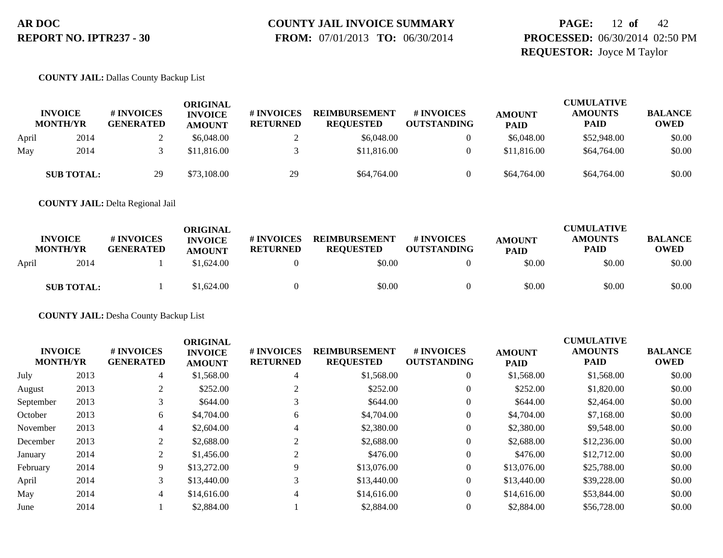# **COUNTY JAIL INVOICE SUMMARY**

 **FROM:** 07/01/2013 **TO:** 06/30/2014

### **PAGE:** 12 **of** 42 **PROCESSED:** 06/30/2014 02:50 PM **REQUESTOR:** Joyce M Taylor

#### **COUNTY JAIL:** Dallas County Backup List

|       | <b>INVOICE</b><br><b>MONTH/YR</b> | # INVOICES<br><b>GENERATED</b> | ORIGINAL<br><b>INVOICE</b><br><b>AMOUNT</b> | <b># INVOICES</b><br><b>RETURNED</b> | <b>REIMBURSEMENT</b><br><b>REOUESTED</b> | <b>#INVOICES</b><br><b>OUTSTANDING</b> | <b>AMOUNT</b><br><b>PAID</b> | <b>CUMULATIVE</b><br><b>AMOUNTS</b><br><b>PAID</b> | <b>BALANCE</b><br><b>OWED</b> |
|-------|-----------------------------------|--------------------------------|---------------------------------------------|--------------------------------------|------------------------------------------|----------------------------------------|------------------------------|----------------------------------------------------|-------------------------------|
| April | 2014                              |                                | \$6,048.00                                  |                                      | \$6,048,00                               |                                        | \$6,048.00                   | \$52,948.00                                        | \$0.00                        |
| May   | 2014                              |                                | \$11,816.00                                 |                                      | \$11,816.00                              |                                        | \$11,816.00                  | \$64,764.00                                        | \$0.00                        |
|       | <b>SUB TOTAL:</b>                 | 29                             | \$73,108.00                                 | 29                                   | \$64,764.00                              |                                        | \$64,764.00                  | \$64,764.00                                        | \$0.00                        |

**COUNTY JAIL:** Delta Regional Jail

|       | <b>INVOICE</b><br><b>MONTH/YR</b> | # INVOICES<br><b>GENERATED</b> | ORIGINAL<br><b>INVOICE</b><br><b>AMOUNT</b> | # INVOICES<br><b>RETURNED</b> | <b>REIMBURSEMENT</b><br><b>REOUESTED</b> | # INVOICES<br><b>OUTSTANDING</b> | <b>AMOUNT</b><br><b>PAID</b> | <b>CUMULATIVE</b><br><b>AMOUNTS</b><br><b>PAID</b> | <b>BALANCE</b><br><b>OWED</b> |
|-------|-----------------------------------|--------------------------------|---------------------------------------------|-------------------------------|------------------------------------------|----------------------------------|------------------------------|----------------------------------------------------|-------------------------------|
| April | 2014                              |                                | \$1,624.00                                  |                               | \$0.00                                   |                                  | \$0.00                       | \$0.00                                             | \$0.00                        |
|       | <b>SUB TOTAL:</b>                 |                                | \$1,624.00                                  |                               | \$0.00                                   |                                  | \$0.00                       | \$0.00                                             | \$0.00                        |

**COUNTY JAIL:** Desha County Backup List

|           | <b>INVOICE</b><br><b>MONTH/YR</b> | # INVOICES<br><b>GENERATED</b> | <b>ORIGINAL</b><br><b>INVOICE</b><br><b>AMOUNT</b> | # INVOICES<br><b>RETURNED</b> | <b>REIMBURSEMENT</b><br><b>REQUESTED</b> | # INVOICES<br><b>OUTSTANDING</b> | <b>AMOUNT</b><br><b>PAID</b> | <b>CUMULATIVE</b><br><b>AMOUNTS</b><br><b>PAID</b> | <b>BALANCE</b><br><b>OWED</b> |
|-----------|-----------------------------------|--------------------------------|----------------------------------------------------|-------------------------------|------------------------------------------|----------------------------------|------------------------------|----------------------------------------------------|-------------------------------|
| July      | 2013                              | 4                              | \$1,568.00                                         | 4                             | \$1,568.00                               | $\theta$                         | \$1,568.00                   | \$1,568.00                                         | \$0.00                        |
| August    | 2013                              | 2                              | \$252.00                                           | ∠                             | \$252.00                                 | $\Omega$                         | \$252.00                     | \$1,820.00                                         | \$0.00                        |
| September | 2013                              |                                | \$644.00                                           |                               | \$644.00                                 | $\theta$                         | \$644.00                     | \$2,464.00                                         | \$0.00                        |
| October   | 2013                              | 6                              | \$4,704.00                                         | 6                             | \$4,704.00                               | $\boldsymbol{0}$                 | \$4,704.00                   | \$7,168.00                                         | \$0.00                        |
| November  | 2013                              | $\overline{4}$                 | \$2,604.00                                         | 4                             | \$2,380.00                               | $\theta$                         | \$2,380.00                   | \$9,548.00                                         | \$0.00                        |
| December  | 2013                              | 2                              | \$2,688.00                                         |                               | \$2,688.00                               | $\theta$                         | \$2,688.00                   | \$12,236.00                                        | \$0.00                        |
| January   | 2014                              | 2                              | \$1,456.00                                         |                               | \$476.00                                 | $\theta$                         | \$476.00                     | \$12,712.00                                        | \$0.00                        |
| February  | 2014                              | 9                              | \$13,272.00                                        |                               | \$13,076.00                              | $\overline{0}$                   | \$13,076.00                  | \$25,788.00                                        | \$0.00                        |
| April     | 2014                              | 3                              | \$13,440.00                                        | $\sim$                        | \$13,440.00                              | $\overline{0}$                   | \$13,440.00                  | \$39,228.00                                        | \$0.00                        |
| May       | 2014                              | $\overline{4}$                 | \$14,616.00                                        | 4                             | \$14,616.00                              | $\overline{0}$                   | \$14,616.00                  | \$53,844.00                                        | \$0.00                        |
| June      | 2014                              |                                | \$2,884.00                                         |                               | \$2,884.00                               |                                  | \$2,884.00                   | \$56,728.00                                        | \$0.00                        |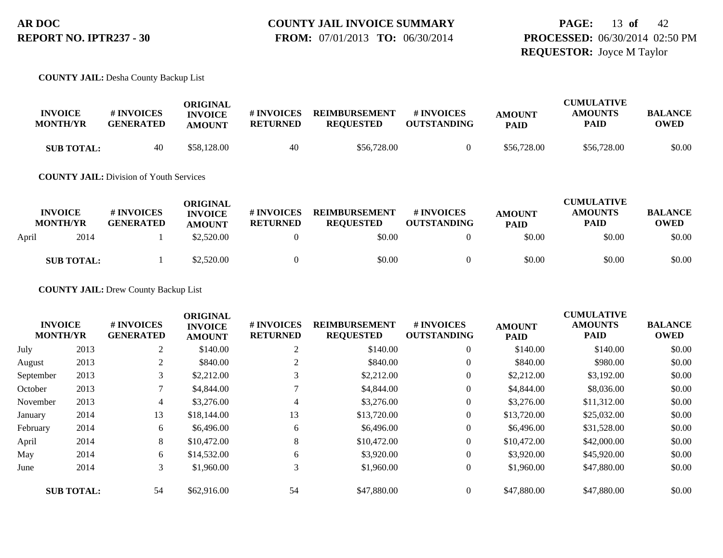### **PAGE:** 13 **of** 42 **PROCESSED:** 06/30/2014 02:50 PM **REQUESTOR:** Joyce M Taylor

#### **COUNTY JAIL:** Desha County Backup List

| <b>INVOICE</b><br><b>MONTH/YR</b> | # INVOICES<br><b>GENERATED</b> | ORIGINAL<br><b>INVOICE</b><br><b>AMOUNT</b> | # INVOICES<br><b>RETURNED</b> | <b>REIMBURSEMENT</b><br><b>REQUESTED</b> | # INVOICES<br><b>OUTSTANDING</b> | <b>AMOUNT</b><br><b>PAID</b> | <b>CUMULATIVE</b><br><b>AMOUNTS</b><br>PAID | <b>BALANCE</b><br>OWED |
|-----------------------------------|--------------------------------|---------------------------------------------|-------------------------------|------------------------------------------|----------------------------------|------------------------------|---------------------------------------------|------------------------|
| <b>SUB TOTAL:</b>                 | 40                             | \$58,128.00                                 | 40                            | \$56,728.00                              |                                  | \$56,728.00                  | \$56,728.00                                 | \$0.00                 |

**COUNTY JAIL:** Division of Youth Services

|       | <b>INVOICE</b><br><b>MONTH/YR</b> | # INVOICES<br><b>GENERATED</b> | ORIGINAL<br><b>INVOICE</b><br><b>AMOUNT</b> | # INVOICES<br><b>RETURNED</b> | <b>REIMBURSEMENT</b><br><b>REQUESTED</b> | <b>#INVOICES</b><br><b>OUTSTANDING</b> | <b>AMOUNT</b><br><b>PAID</b> | <b>CUMULATIVE</b><br><b>AMOUNTS</b><br>PAID | <b>BALANCE</b><br>OWED |
|-------|-----------------------------------|--------------------------------|---------------------------------------------|-------------------------------|------------------------------------------|----------------------------------------|------------------------------|---------------------------------------------|------------------------|
| April | 2014                              |                                | \$2,520.00                                  |                               | \$0.00                                   |                                        | \$0.00                       | \$0.00                                      | \$0.00                 |
|       | <b>SUB TOTAL:</b>                 |                                | \$2,520.00                                  |                               | \$0.00                                   |                                        | \$0.00                       | \$0.00                                      | \$0.00                 |

**COUNTY JAIL:** Drew County Backup List

|                                   |                   |                                | <b>ORIGINAL</b>                 |                               |                                          |                                  |                              | <b>CUMULATIVE</b>             |                               |
|-----------------------------------|-------------------|--------------------------------|---------------------------------|-------------------------------|------------------------------------------|----------------------------------|------------------------------|-------------------------------|-------------------------------|
| <b>INVOICE</b><br><b>MONTH/YR</b> |                   | # INVOICES<br><b>GENERATED</b> | <b>INVOICE</b><br><b>AMOUNT</b> | # INVOICES<br><b>RETURNED</b> | <b>REIMBURSEMENT</b><br><b>REQUESTED</b> | # INVOICES<br><b>OUTSTANDING</b> | <b>AMOUNT</b><br><b>PAID</b> | <b>AMOUNTS</b><br><b>PAID</b> | <b>BALANCE</b><br><b>OWED</b> |
| July                              | 2013              | 2                              | \$140.00                        | $\sim$<br>∠                   | \$140.00                                 | $\overline{0}$                   | \$140.00                     | \$140.00                      | \$0.00                        |
| August                            | 2013              | 2                              | \$840.00                        | $\sim$                        | \$840.00                                 | $\overline{0}$                   | \$840.00                     | \$980.00                      | \$0.00                        |
| September                         | 2013              | 3                              | \$2,212.00                      | 3                             | \$2,212.00                               | $\theta$                         | \$2,212.00                   | \$3,192.00                    | \$0.00                        |
| October                           | 2013              |                                | \$4,844.00                      |                               | \$4,844.00                               | $\theta$                         | \$4,844.00                   | \$8,036.00                    | \$0.00                        |
| November                          | 2013              | 4                              | \$3,276.00                      | 4                             | \$3,276.00                               | $\overline{0}$                   | \$3,276.00                   | \$11,312.00                   | \$0.00                        |
| January                           | 2014              | 13                             | \$18,144.00                     | 13                            | \$13,720.00                              | $\theta$                         | \$13,720.00                  | \$25,032.00                   | \$0.00                        |
| February                          | 2014              | 6                              | \$6,496.00                      | 6                             | \$6,496.00                               | $\theta$                         | \$6,496.00                   | \$31,528.00                   | \$0.00                        |
| April                             | 2014              | 8                              | \$10,472.00                     | 8                             | \$10,472.00                              | $\overline{0}$                   | \$10,472.00                  | \$42,000.00                   | \$0.00                        |
| May                               | 2014              | 6                              | \$14,532.00                     | 6                             | \$3,920.00                               | $\overline{0}$                   | \$3,920.00                   | \$45,920.00                   | \$0.00                        |
| June                              | 2014              | 3                              | \$1,960.00                      | 3                             | \$1,960.00                               | $\boldsymbol{0}$                 | \$1,960.00                   | \$47,880.00                   | \$0.00                        |
|                                   | <b>SUB TOTAL:</b> | 54                             | \$62,916.00                     | 54                            | \$47,880.00                              | $\Omega$                         | \$47,880.00                  | \$47,880.00                   | \$0.00                        |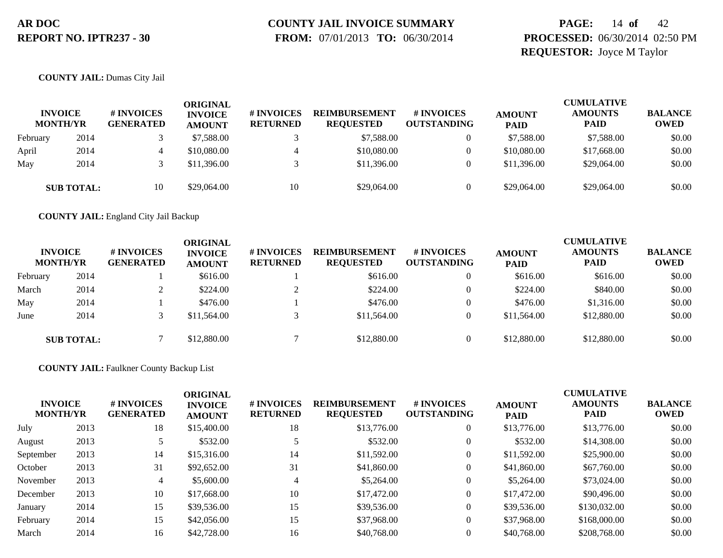# **COUNTY JAIL INVOICE SUMMARY**

 **FROM:** 07/01/2013 **TO:** 06/30/2014

### **PAGE:** 14 **of** 42 **PROCESSED:** 06/30/2014 02:50 PM **REQUESTOR:** Joyce M Taylor

#### **COUNTY JAIL:** Dumas City Jail

|          | <b>INVOICE</b><br><b>MONTH/YR</b> | # INVOICES<br><b>GENERATED</b> | ORIGINAL<br><b>INVOICE</b><br><b>AMOUNT</b> | # INVOICES<br><b>RETURNED</b> | <b>REIMBURSEMENT</b><br><b>REOUESTED</b> | # INVOICES<br><b>OUTSTANDING</b> | <b>AMOUNT</b><br><b>PAID</b> | <b>CUMULATIVE</b><br><b>AMOUNTS</b><br><b>PAID</b> | <b>BALANCE</b><br><b>OWED</b> |
|----------|-----------------------------------|--------------------------------|---------------------------------------------|-------------------------------|------------------------------------------|----------------------------------|------------------------------|----------------------------------------------------|-------------------------------|
| February | 2014                              |                                | \$7,588.00                                  |                               | \$7,588.00                               |                                  | \$7,588.00                   | \$7,588.00                                         | \$0.00                        |
| April    | 2014                              |                                | \$10,080.00                                 |                               | \$10,080.00                              |                                  | \$10,080.00                  | \$17,668.00                                        | \$0.00                        |
| May      | 2014                              |                                | \$11,396.00                                 |                               | \$11,396.00                              |                                  | \$11,396.00                  | \$29,064.00                                        | \$0.00                        |
|          | <b>SUB TOTAL:</b>                 | 10                             | \$29,064.00                                 | 10                            | \$29,064.00                              |                                  | \$29,064.00                  | \$29,064.00                                        | \$0.00                        |

**COUNTY JAIL:** England City Jail Backup

|          | <b>INVOICE</b><br><b>MONTH/YR</b> | # INVOICES<br><b>GENERATED</b> | ORIGINAL<br><b>INVOICE</b><br><b>AMOUNT</b> | # INVOICES<br><b>RETURNED</b> | <b>REIMBURSEMENT</b><br><b>REQUESTED</b> | # INVOICES<br><b>OUTSTANDING</b> | <b>AMOUNT</b><br><b>PAID</b> | <b>CUMULATIVE</b><br><b>AMOUNTS</b><br><b>PAID</b> | <b>BALANCE</b><br><b>OWED</b> |
|----------|-----------------------------------|--------------------------------|---------------------------------------------|-------------------------------|------------------------------------------|----------------------------------|------------------------------|----------------------------------------------------|-------------------------------|
| February | 2014                              |                                | \$616.00                                    |                               | \$616.00                                 |                                  | \$616.00                     | \$616.00                                           | \$0.00                        |
| March    | 2014                              |                                | \$224.00                                    |                               | \$224.00                                 |                                  | \$224.00                     | \$840.00                                           | \$0.00                        |
| May      | 2014                              |                                | \$476.00                                    |                               | \$476.00                                 |                                  | \$476.00                     | \$1,316.00                                         | \$0.00                        |
| June     | 2014                              |                                | \$11,564.00                                 |                               | \$11,564.00                              |                                  | \$11,564.00                  | \$12,880.00                                        | \$0.00                        |
|          | <b>SUB TOTAL:</b>                 |                                | \$12,880.00                                 |                               | \$12,880.00                              |                                  | \$12,880.00                  | \$12,880.00                                        | \$0.00                        |

#### **COUNTY JAIL:** Faulkner County Backup List

| <b>INVOICE</b><br><b>MONTH/YR</b> |      | # INVOICES<br><b>GENERATED</b> | <b>ORIGINAL</b><br><b>INVOICE</b><br><b>AMOUNT</b> | # INVOICES<br><b>RETURNED</b> | <b>REIMBURSEMENT</b><br><b>REQUESTED</b> | # INVOICES<br><b>OUTSTANDING</b> | <b>AMOUNT</b><br><b>PAID</b> | <b>CUMULATIVE</b><br><b>AMOUNTS</b><br><b>PAID</b> | <b>BALANCE</b><br><b>OWED</b> |
|-----------------------------------|------|--------------------------------|----------------------------------------------------|-------------------------------|------------------------------------------|----------------------------------|------------------------------|----------------------------------------------------|-------------------------------|
| July                              | 2013 | 18                             | \$15,400.00                                        | 18                            | \$13,776.00                              | $\overline{0}$                   | \$13,776.00                  | \$13,776.00                                        | \$0.00                        |
| August                            | 2013 |                                | \$532.00                                           |                               | \$532.00                                 | $\theta$                         | \$532.00                     | \$14,308.00                                        | \$0.00                        |
| September                         | 2013 | 14                             | \$15,316.00                                        | 14                            | \$11,592.00                              | 0                                | \$11,592.00                  | \$25,900.00                                        | \$0.00                        |
| October                           | 2013 | 31                             | \$92,652.00                                        | 31                            | \$41,860.00                              | $\overline{0}$                   | \$41,860.00                  | \$67,760.00                                        | \$0.00                        |
| November                          | 2013 | 4                              | \$5,600.00                                         | 4                             | \$5,264.00                               | $\theta$                         | \$5,264.00                   | \$73,024.00                                        | \$0.00                        |
| December                          | 2013 | 10                             | \$17,668.00                                        | 10                            | \$17,472.00                              | $\mathbf{0}$                     | \$17,472.00                  | \$90,496.00                                        | \$0.00                        |
| January                           | 2014 | 15                             | \$39,536.00                                        | 15                            | \$39,536.00                              | $\overline{0}$                   | \$39,536.00                  | \$130,032.00                                       | \$0.00                        |
| February                          | 2014 | 15                             | \$42,056.00                                        | 15                            | \$37,968.00                              | $\overline{0}$                   | \$37,968.00                  | \$168,000.00                                       | \$0.00                        |
| March                             | 2014 | 16                             | \$42,728.00                                        | 16                            | \$40,768.00                              |                                  | \$40,768.00                  | \$208,768.00                                       | \$0.00                        |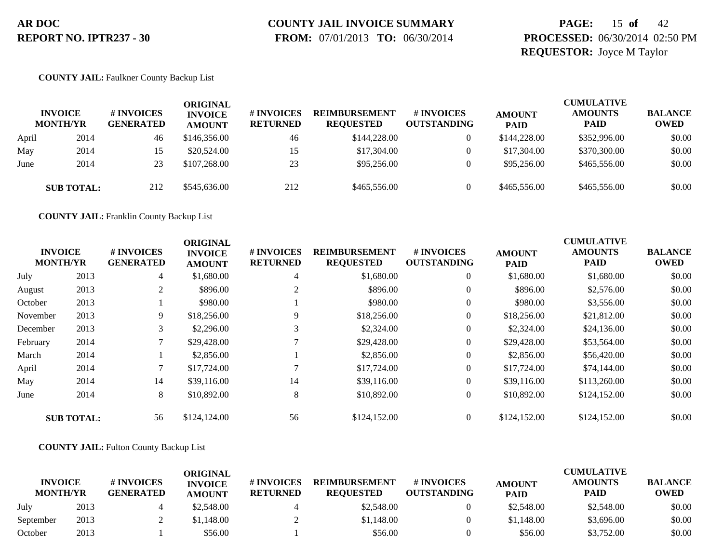# **COUNTY JAIL INVOICE SUMMARY**

 **FROM:** 07/01/2013 **TO:** 06/30/2014

### **PAGE:** 15 **of** 42 **PROCESSED:** 06/30/2014 02:50 PM **REQUESTOR:** Joyce M Taylor

#### **COUNTY JAIL:** Faulkner County Backup List

|       | <b>INVOICE</b><br><b>MONTH/YR</b> | # INVOICES<br><b>GENERATED</b> | ORIGINAL<br><b>INVOICE</b><br><b>AMOUNT</b> | <b>#INVOICES</b><br><b>RETURNED</b> | <b>REIMBURSEMENT</b><br><b>REOUESTED</b> | # INVOICES<br><b>OUTSTANDING</b> | <b>AMOUNT</b><br><b>PAID</b> | <b>CUMULATIVE</b><br><b>AMOUNTS</b><br><b>PAID</b> | <b>BALANCE</b><br><b>OWED</b> |
|-------|-----------------------------------|--------------------------------|---------------------------------------------|-------------------------------------|------------------------------------------|----------------------------------|------------------------------|----------------------------------------------------|-------------------------------|
| April | 2014                              | 46                             | \$146,356.00                                | 46                                  | \$144,228.00                             |                                  | \$144,228.00                 | \$352,996.00                                       | \$0.00                        |
| May   | 2014                              |                                | \$20,524.00                                 |                                     | \$17,304.00                              |                                  | \$17,304.00                  | \$370,300.00                                       | \$0.00                        |
| June  | 2014                              | 23                             | \$107,268.00                                | 23                                  | \$95,256.00                              |                                  | \$95,256.00                  | \$465,556.00                                       | \$0.00                        |
|       | <b>SUB TOTAL:</b>                 | 212                            | \$545,636.00                                | 212                                 | \$465,556.00                             |                                  | \$465,556.00                 | \$465,556.00                                       | \$0.00                        |

**COUNTY JAIL:** Franklin County Backup List

|          |                                   |                                | <b>ORIGINAL</b>                 |                               |                                          |                                  | <b>CUMULATIVE</b>            |                               |                               |  |  |
|----------|-----------------------------------|--------------------------------|---------------------------------|-------------------------------|------------------------------------------|----------------------------------|------------------------------|-------------------------------|-------------------------------|--|--|
|          | <b>INVOICE</b><br><b>MONTH/YR</b> | # INVOICES<br><b>GENERATED</b> | <b>INVOICE</b><br><b>AMOUNT</b> | # INVOICES<br><b>RETURNED</b> | <b>REIMBURSEMENT</b><br><b>REQUESTED</b> | # INVOICES<br><b>OUTSTANDING</b> | <b>AMOUNT</b><br><b>PAID</b> | <b>AMOUNTS</b><br><b>PAID</b> | <b>BALANCE</b><br><b>OWED</b> |  |  |
| July     | 2013                              | $\overline{4}$                 | \$1,680.00                      | 4                             | \$1,680.00                               | $\overline{0}$                   | \$1,680.00                   | \$1,680.00                    | \$0.00                        |  |  |
| August   | 2013                              | 2                              | \$896.00                        | 2                             | \$896.00                                 | $\overline{0}$                   | \$896.00                     | \$2,576.00                    | \$0.00                        |  |  |
| October  | 2013                              |                                | \$980.00                        |                               | \$980.00                                 | $\overline{0}$                   | \$980.00                     | \$3,556.00                    | \$0.00                        |  |  |
| November | 2013                              | 9                              | \$18,256.00                     | 9                             | \$18,256.00                              | $\boldsymbol{0}$                 | \$18,256.00                  | \$21,812.00                   | \$0.00                        |  |  |
| December | 2013                              | 3                              | \$2,296.00                      | 3                             | \$2,324.00                               | $\boldsymbol{0}$                 | \$2,324.00                   | \$24,136.00                   | \$0.00                        |  |  |
| February | 2014                              |                                | \$29,428.00                     |                               | \$29,428.00                              | $\overline{0}$                   | \$29,428.00                  | \$53,564.00                   | \$0.00                        |  |  |
| March    | 2014                              |                                | \$2,856.00                      |                               | \$2,856.00                               | $\overline{0}$                   | \$2,856.00                   | \$56,420.00                   | \$0.00                        |  |  |
| April    | 2014                              |                                | \$17,724.00                     |                               | \$17,724.00                              | $\overline{0}$                   | \$17,724.00                  | \$74,144.00                   | \$0.00                        |  |  |
| May      | 2014                              | 14                             | \$39,116.00                     | 14                            | \$39,116.00                              | $\overline{0}$                   | \$39,116.00                  | \$113,260.00                  | \$0.00                        |  |  |
| June     | 2014                              | 8                              | \$10,892.00                     | 8                             | \$10,892.00                              | $\overline{0}$                   | \$10,892.00                  | \$124,152.00                  | \$0.00                        |  |  |
|          | <b>SUB TOTAL:</b>                 | 56                             | \$124,124.00                    | 56                            | \$124,152.00                             | $\theta$                         | \$124,152.00                 | \$124,152.00                  | \$0.00                        |  |  |

#### **COUNTY JAIL:** Fulton County Backup List

|                                   |      |                                | ORIGINAL                        |                               |                                          |                                  |                              | <b>CUMULATIVE</b>      |                               |
|-----------------------------------|------|--------------------------------|---------------------------------|-------------------------------|------------------------------------------|----------------------------------|------------------------------|------------------------|-------------------------------|
| <b>INVOICE</b><br><b>MONTH/YR</b> |      | # INVOICES<br><b>GENERATED</b> | <b>INVOICE</b><br><b>AMOUNT</b> | # INVOICES<br><b>RETURNED</b> | <b>REIMBURSEMENT</b><br><b>REOUESTED</b> | # INVOICES<br><b>OUTSTANDING</b> | <b>AMOUNT</b><br><b>PAID</b> | <b>AMOUNTS</b><br>PAID | <b>BALANCE</b><br><b>OWED</b> |
| July                              | 2013 |                                | \$2,548.00                      |                               | \$2,548.00                               |                                  | \$2,548.00                   | \$2,548.00             | \$0.00                        |
| September                         | 2013 |                                | \$1.148.00                      |                               | \$1,148.00                               |                                  | \$1,148.00                   | \$3,696.00             | \$0.00                        |
| October                           | 2013 |                                | \$56.00                         |                               | \$56.00                                  |                                  | \$56.00                      | \$3,752.00             | \$0.00                        |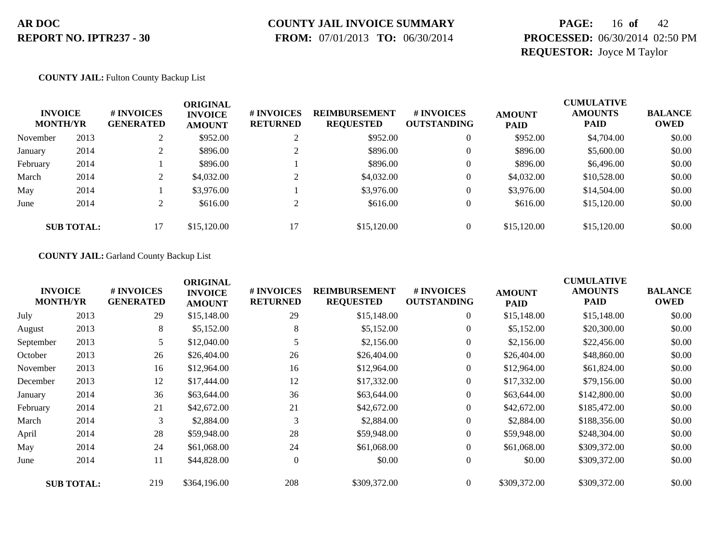# **COUNTY JAIL INVOICE SUMMARY**

 **FROM:** 07/01/2013 **TO:** 06/30/2014

### **PAGE:** 16 **of** 42 **PROCESSED:** 06/30/2014 02:50 PM **REQUESTOR:** Joyce M Taylor

#### **COUNTY JAIL:** Fulton County Backup List

| <b>INVOICE</b><br><b>MONTH/YR</b> |                   | # INVOICES<br><b>GENERATED</b> | ORIGINAL<br><b>INVOICE</b><br><b>AMOUNT</b> | <b># INVOICES</b><br><b>RETURNED</b> | <b>REIMBURSEMENT</b><br><b>REQUESTED</b> | <b># INVOICES</b><br><b>OUTSTANDING</b> | <b>AMOUNT</b><br><b>PAID</b> | <b>CUMULATIVE</b><br><b>AMOUNTS</b><br><b>PAID</b> | <b>BALANCE</b><br><b>OWED</b> |
|-----------------------------------|-------------------|--------------------------------|---------------------------------------------|--------------------------------------|------------------------------------------|-----------------------------------------|------------------------------|----------------------------------------------------|-------------------------------|
| November                          | 2013              | $\bigcap$<br>∠                 | \$952.00                                    | ∠                                    | \$952.00                                 |                                         | \$952.00                     | \$4,704.00                                         | \$0.00                        |
| January                           | 2014              | ∠                              | \$896.00                                    |                                      | \$896.00                                 | $\theta$                                | \$896.00                     | \$5,600.00                                         | \$0.00                        |
| February                          | 2014              |                                | \$896.00                                    |                                      | \$896.00                                 |                                         | \$896.00                     | \$6,496.00                                         | \$0.00                        |
| March                             | 2014              | $\gamma$<br>∠                  | \$4,032.00                                  |                                      | \$4,032.00                               | $\theta$                                | \$4,032.00                   | \$10,528.00                                        | \$0.00                        |
| May                               | 2014              |                                | \$3,976.00                                  |                                      | \$3,976.00                               |                                         | \$3,976.00                   | \$14,504.00                                        | \$0.00                        |
| June                              | 2014              | $\gamma$<br>∠                  | \$616.00                                    | $\sim$                               | \$616.00                                 |                                         | \$616.00                     | \$15,120.00                                        | \$0.00                        |
|                                   | <b>SUB TOTAL:</b> | 17                             | \$15,120.00                                 | 17                                   | \$15,120.00                              | $\theta$                                | \$15,120.00                  | \$15,120.00                                        | \$0.00                        |

#### **COUNTY JAIL:** Garland County Backup List

|           | <b>INVOICE</b><br><b>MONTH/YR</b> | # INVOICES<br><b>GENERATED</b> | <b>ORIGINAL</b><br><b>INVOICE</b><br><b>AMOUNT</b> | # INVOICES<br><b>RETURNED</b> | <b>REIMBURSEMENT</b><br><b>REQUESTED</b> | # INVOICES<br><b>OUTSTANDING</b> | <b>AMOUNT</b><br><b>PAID</b> | <b>CUMULATIVE</b><br><b>AMOUNTS</b><br>PAID | <b>BALANCE</b><br><b>OWED</b> |
|-----------|-----------------------------------|--------------------------------|----------------------------------------------------|-------------------------------|------------------------------------------|----------------------------------|------------------------------|---------------------------------------------|-------------------------------|
| July      | 2013                              | 29                             | \$15,148.00                                        | 29                            | \$15,148.00                              | $\overline{0}$                   | \$15,148.00                  | \$15,148.00                                 | \$0.00                        |
| August    | 2013                              | 8                              | \$5,152.00                                         | 8                             | \$5,152.00                               | $\overline{0}$                   | \$5,152.00                   | \$20,300.00                                 | \$0.00                        |
| September | 2013                              | 5                              | \$12,040.00                                        |                               | \$2,156.00                               | $\overline{0}$                   | \$2,156.00                   | \$22,456.00                                 | \$0.00                        |
| October   | 2013                              | 26                             | \$26,404.00                                        | 26                            | \$26,404.00                              | $\boldsymbol{0}$                 | \$26,404.00                  | \$48,860.00                                 | \$0.00                        |
| November  | 2013                              | 16                             | \$12,964.00                                        | 16                            | \$12,964.00                              | $\overline{0}$                   | \$12,964.00                  | \$61,824.00                                 | \$0.00                        |
| December  | 2013                              | 12                             | \$17,444.00                                        | 12                            | \$17,332.00                              | $\overline{0}$                   | \$17,332.00                  | \$79,156.00                                 | \$0.00                        |
| January   | 2014                              | 36                             | \$63,644.00                                        | 36                            | \$63,644.00                              | $\overline{0}$                   | \$63,644.00                  | \$142,800.00                                | \$0.00                        |
| February  | 2014                              | 21                             | \$42,672.00                                        | 21                            | \$42,672.00                              | $\overline{0}$                   | \$42,672.00                  | \$185,472.00                                | \$0.00                        |
| March     | 2014                              | 3                              | \$2,884.00                                         | 3                             | \$2,884.00                               | $\overline{0}$                   | \$2,884.00                   | \$188,356.00                                | \$0.00                        |
| April     | 2014                              | 28                             | \$59,948.00                                        | 28                            | \$59,948.00                              | $\overline{0}$                   | \$59,948.00                  | \$248,304.00                                | \$0.00                        |
| May       | 2014                              | 24                             | \$61,068.00                                        | 24                            | \$61,068.00                              | $\overline{0}$                   | \$61,068.00                  | \$309,372.00                                | \$0.00                        |
| June      | 2014                              | 11                             | \$44,828.00                                        | $\theta$                      | \$0.00                                   | $\overline{0}$                   | \$0.00                       | \$309,372.00                                | \$0.00                        |
|           | <b>SUB TOTAL:</b>                 | 219                            | \$364,196.00                                       | 208                           | \$309,372.00                             | $\overline{0}$                   | \$309,372.00                 | \$309,372.00                                | \$0.00                        |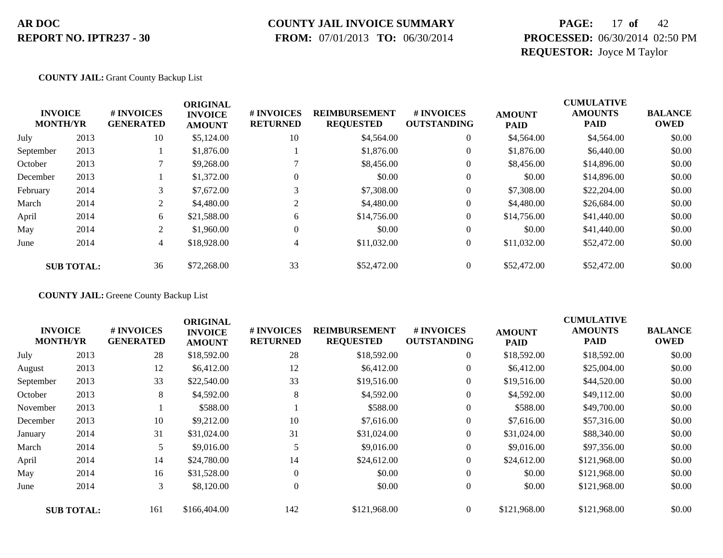#### **COUNTY JAIL INVOICE SUMMARY**

 **FROM:** 07/01/2013 **TO:** 06/30/2014

### **PAGE:** 17 **of** 42 **PROCESSED:** 06/30/2014 02:50 PM **REQUESTOR:** Joyce M Taylor

#### **COUNTY JAIL:** Grant County Backup List

|           | <b>INVOICE</b><br><b>MONTH/YR</b> | # INVOICES<br><b>GENERATED</b> | <b>ORIGINAL</b><br><b>INVOICE</b><br><b>AMOUNT</b> | # INVOICES<br><b>RETURNED</b> | <b>REIMBURSEMENT</b><br><b>REQUESTED</b> | # INVOICES<br><b>OUTSTANDING</b> | <b>AMOUNT</b><br><b>PAID</b> | <b>CUMULATIVE</b><br><b>AMOUNTS</b><br><b>PAID</b> | <b>BALANCE</b><br><b>OWED</b> |
|-----------|-----------------------------------|--------------------------------|----------------------------------------------------|-------------------------------|------------------------------------------|----------------------------------|------------------------------|----------------------------------------------------|-------------------------------|
| July      | 2013                              | 10                             | \$5,124.00                                         | 10                            | \$4,564.00                               | $\mathbf{0}$                     | \$4,564.00                   | \$4,564.00                                         | \$0.00                        |
| September | 2013                              |                                | \$1,876.00                                         |                               | \$1,876.00                               | $\mathbf{0}$                     | \$1,876.00                   | \$6,440.00                                         | \$0.00                        |
| October   | 2013                              |                                | \$9,268.00                                         |                               | \$8,456.00                               | $\mathbf{0}$                     | \$8,456.00                   | \$14,896.00                                        | \$0.00                        |
| December  | 2013                              |                                | \$1,372.00                                         | $\theta$                      | \$0.00                                   | $\theta$                         | \$0.00                       | \$14,896.00                                        | \$0.00                        |
| February  | 2014                              | 3                              | \$7,672.00                                         | 3                             | \$7,308.00                               | $\overline{0}$                   | \$7,308.00                   | \$22,204.00                                        | \$0.00                        |
| March     | 2014                              | 2                              | \$4,480.00                                         | 2                             | \$4,480.00                               | $\overline{0}$                   | \$4,480.00                   | \$26,684.00                                        | \$0.00                        |
| April     | 2014                              | 6                              | \$21,588.00                                        | 6                             | \$14,756.00                              | $\overline{0}$                   | \$14,756.00                  | \$41,440.00                                        | \$0.00                        |
| May       | 2014                              | 2                              | \$1,960.00                                         | $\Omega$                      | \$0.00                                   | $\Omega$                         | \$0.00                       | \$41,440.00                                        | \$0.00                        |
| June      | 2014                              | 4                              | \$18,928.00                                        | 4                             | \$11,032.00                              | $\overline{0}$                   | \$11,032.00                  | \$52,472.00                                        | \$0.00                        |
|           | <b>SUB TOTAL:</b>                 | 36                             | \$72,268.00                                        | 33                            | \$52,472.00                              | $\overline{0}$                   | \$52,472.00                  | \$52,472.00                                        | \$0.00                        |

**COUNTY JAIL:** Greene County Backup List

|           |                                   |                                | <b>ORIGINAL</b>                 |                                      |                                          |                                  |                              | <b>CUMULATIVE</b>      |                               |
|-----------|-----------------------------------|--------------------------------|---------------------------------|--------------------------------------|------------------------------------------|----------------------------------|------------------------------|------------------------|-------------------------------|
|           | <b>INVOICE</b><br><b>MONTH/YR</b> | # INVOICES<br><b>GENERATED</b> | <b>INVOICE</b><br><b>AMOUNT</b> | <b># INVOICES</b><br><b>RETURNED</b> | <b>REIMBURSEMENT</b><br><b>REQUESTED</b> | # INVOICES<br><b>OUTSTANDING</b> | <b>AMOUNT</b><br><b>PAID</b> | <b>AMOUNTS</b><br>PAID | <b>BALANCE</b><br><b>OWED</b> |
| July      | 2013                              | 28                             | \$18,592.00                     | 28                                   | \$18,592.00                              | $\overline{0}$                   | \$18,592.00                  | \$18,592.00            | \$0.00                        |
| August    | 2013                              | 12                             | \$6,412.00                      | 12                                   | \$6,412.00                               | $\mathbf{0}$                     | \$6,412.00                   | \$25,004.00            | \$0.00                        |
| September | 2013                              | 33                             | \$22,540.00                     | 33                                   | \$19,516.00                              | $\overline{0}$                   | \$19,516.00                  | \$44,520.00            | \$0.00                        |
| October   | 2013                              | 8                              | \$4,592.00                      | 8                                    | \$4,592.00                               |                                  | \$4,592.00                   | \$49,112.00            | \$0.00                        |
| November  | 2013                              |                                | \$588.00                        |                                      | \$588.00                                 | $\overline{0}$                   | \$588.00                     | \$49,700.00            | \$0.00                        |
| December  | 2013                              | 10                             | \$9,212.00                      | 10                                   | \$7,616.00                               | $\overline{0}$                   | \$7,616.00                   | \$57,316.00            | \$0.00                        |
| January   | 2014                              | 31                             | \$31,024.00                     | 31                                   | \$31,024.00                              | $\overline{0}$                   | \$31,024.00                  | \$88,340.00            | \$0.00                        |
| March     | 2014                              | 5                              | \$9,016.00                      |                                      | \$9,016.00                               | $\overline{0}$                   | \$9,016.00                   | \$97,356.00            | \$0.00                        |
| April     | 2014                              | 14                             | \$24,780.00                     | 14                                   | \$24,612.00                              | $\overline{0}$                   | \$24,612.00                  | \$121,968.00           | \$0.00                        |
| May       | 2014                              | 16                             | \$31,528.00                     | $\Omega$                             | \$0.00                                   | $\overline{0}$                   | \$0.00                       | \$121,968.00           | \$0.00                        |
| June      | 2014                              | 3                              | \$8,120.00                      | $\theta$                             | \$0.00                                   | $\mathbf{0}$                     | \$0.00                       | \$121,968.00           | \$0.00                        |
|           | <b>SUB TOTAL:</b>                 | 161                            | \$166,404.00                    | 142                                  | \$121,968.00                             | $\theta$                         | \$121,968.00                 | \$121,968.00           | \$0.00                        |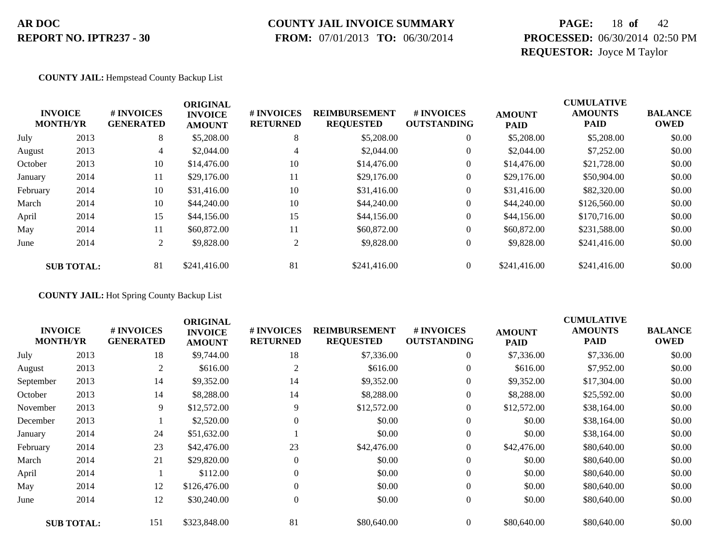### **COUNTY JAIL INVOICE SUMMARY**

 **FROM:** 07/01/2013 **TO:** 06/30/2014

### **PAGE:** 18 **of** 42 **PROCESSED:** 06/30/2014 02:50 PM **REQUESTOR:** Joyce M Taylor

#### **COUNTY JAIL:** Hempstead County Backup List

|          | <b>INVOICE</b><br><b>MONTH/YR</b> | # INVOICES<br><b>GENERATED</b> | <b>ORIGINAL</b><br><b>INVOICE</b><br><b>AMOUNT</b> | # INVOICES<br><b>RETURNED</b> | <b>REIMBURSEMENT</b><br><b>REQUESTED</b> | # INVOICES<br><b>OUTSTANDING</b> | <b>AMOUNT</b><br><b>PAID</b> | <b>CUMULATIVE</b><br><b>AMOUNTS</b><br><b>PAID</b> | <b>BALANCE</b><br><b>OWED</b> |
|----------|-----------------------------------|--------------------------------|----------------------------------------------------|-------------------------------|------------------------------------------|----------------------------------|------------------------------|----------------------------------------------------|-------------------------------|
| July     | 2013                              | 8                              | \$5,208.00                                         | 8                             | \$5,208.00                               | $\overline{0}$                   | \$5,208.00                   | \$5,208.00                                         | \$0.00                        |
| August   | 2013                              | $\overline{4}$                 | \$2,044.00                                         | 4                             | \$2,044.00                               | $\overline{0}$                   | \$2,044.00                   | \$7,252.00                                         | \$0.00                        |
| October  | 2013                              | 10                             | \$14,476.00                                        | 10                            | \$14,476.00                              | $\overline{0}$                   | \$14,476.00                  | \$21,728.00                                        | \$0.00                        |
| January  | 2014                              | 11                             | \$29,176.00                                        | 11                            | \$29,176.00                              | $\overline{0}$                   | \$29,176.00                  | \$50,904.00                                        | \$0.00                        |
| February | 2014                              | 10                             | \$31,416.00                                        | 10                            | \$31,416.00                              | $\boldsymbol{0}$                 | \$31,416.00                  | \$82,320.00                                        | \$0.00                        |
| March    | 2014                              | 10                             | \$44,240.00                                        | 10                            | \$44,240.00                              | $\overline{0}$                   | \$44,240.00                  | \$126,560.00                                       | \$0.00                        |
| April    | 2014                              | 15                             | \$44,156.00                                        | 15                            | \$44,156.00                              | $\overline{0}$                   | \$44,156.00                  | \$170,716.00                                       | \$0.00                        |
| May      | 2014                              | 11                             | \$60,872.00                                        | 11                            | \$60,872.00                              | $\overline{0}$                   | \$60,872.00                  | \$231,588.00                                       | \$0.00                        |
| June     | 2014                              | 2                              | \$9,828.00                                         | 2                             | \$9,828.00                               | $\boldsymbol{0}$                 | \$9,828.00                   | \$241,416.00                                       | \$0.00                        |
|          | <b>SUB TOTAL:</b>                 | 81                             | \$241,416.00                                       | 81                            | \$241,416.00                             | $\overline{0}$                   | \$241,416.00                 | \$241,416.00                                       | \$0.00                        |

**COUNTY JAIL:** Hot Spring County Backup List

| <b>MONTH/YR</b> | <b>INVOICE</b>    | # INVOICES<br><b>GENERATED</b> | <b>ORIGINAL</b><br><b>INVOICE</b><br><b>AMOUNT</b> | # INVOICES<br><b>RETURNED</b> | <b>REIMBURSEMENT</b><br><b>REQUESTED</b> | # INVOICES<br><b>OUTSTANDING</b> | <b>AMOUNT</b><br><b>PAID</b> | <b>CUMULATIVE</b><br><b>AMOUNTS</b><br><b>PAID</b> | <b>BALANCE</b><br><b>OWED</b> |
|-----------------|-------------------|--------------------------------|----------------------------------------------------|-------------------------------|------------------------------------------|----------------------------------|------------------------------|----------------------------------------------------|-------------------------------|
| July            | 2013              | 18                             | \$9,744.00                                         | 18                            | \$7,336.00                               | $\boldsymbol{0}$                 | \$7,336.00                   | \$7,336.00                                         | \$0.00                        |
| August          | 2013              | $\overline{2}$                 | \$616.00                                           | $\overline{2}$                | \$616.00                                 | $\overline{0}$                   | \$616.00                     | \$7,952.00                                         | \$0.00                        |
| September       | 2013              | 14                             | \$9,352.00                                         | 14                            | \$9,352.00                               | $\overline{0}$                   | \$9,352.00                   | \$17,304.00                                        | \$0.00                        |
| October         | 2013              | 14                             | \$8,288.00                                         | 14                            | \$8,288.00                               | 0                                | \$8,288.00                   | \$25,592.00                                        | \$0.00                        |
| November        | 2013              | 9                              | \$12,572.00                                        | 9                             | \$12,572.00                              | $\overline{0}$                   | \$12,572.00                  | \$38,164.00                                        | \$0.00                        |
| December        | 2013              |                                | \$2,520.00                                         | $\Omega$                      | \$0.00                                   | $\overline{0}$                   | \$0.00                       | \$38,164.00                                        | \$0.00                        |
| January         | 2014              | 24                             | \$51,632.00                                        |                               | \$0.00                                   | $\boldsymbol{0}$                 | \$0.00                       | \$38,164.00                                        | \$0.00                        |
| February        | 2014              | 23                             | \$42,476.00                                        | 23                            | \$42,476.00                              | $\boldsymbol{0}$                 | \$42,476.00                  | \$80,640.00                                        | \$0.00                        |
| March           | 2014              | 21                             | \$29,820.00                                        | $\Omega$                      | \$0.00                                   | $\theta$                         | \$0.00                       | \$80,640.00                                        | \$0.00                        |
| April           | 2014              |                                | \$112.00                                           | $\Omega$                      | \$0.00                                   | $\boldsymbol{0}$                 | \$0.00                       | \$80,640.00                                        | \$0.00                        |
| May             | 2014              | 12                             | \$126,476.00                                       | $\mathbf{0}$                  | \$0.00                                   | $\overline{0}$                   | \$0.00                       | \$80,640.00                                        | \$0.00                        |
| June            | 2014              | 12                             | \$30,240.00                                        | $\Omega$                      | \$0.00                                   | $\overline{0}$                   | \$0.00                       | \$80,640.00                                        | \$0.00                        |
|                 | <b>SUB TOTAL:</b> | 151                            | \$323,848.00                                       | 81                            | \$80,640.00                              | $\Omega$                         | \$80,640.00                  | \$80,640.00                                        | \$0.00                        |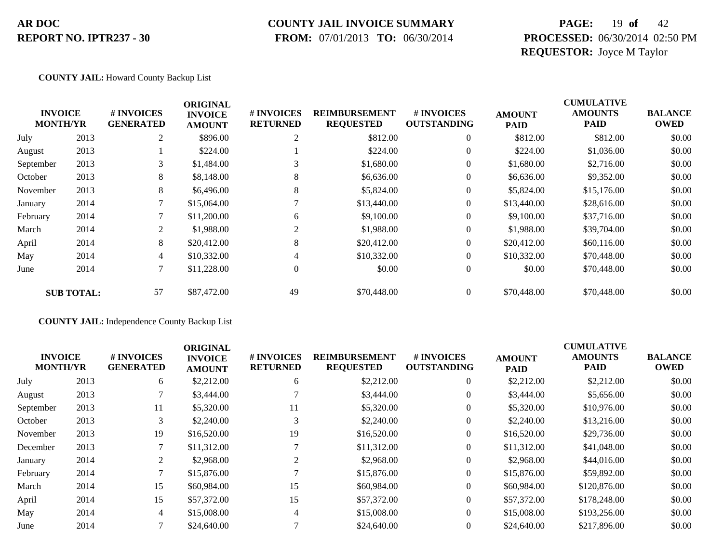### **COUNTY JAIL INVOICE SUMMARY**

 **FROM:** 07/01/2013 **TO:** 06/30/2014

### **PAGE:** 19 **of** 42 **PROCESSED:** 06/30/2014 02:50 PM **REQUESTOR:** Joyce M Taylor

#### **COUNTY JAIL:** Howard County Backup List

|           |                                   |                                | <b>ORIGINAL</b>                 |                               |                                          |                                        |                              | <b>CUMULATIVE</b>             |                               |
|-----------|-----------------------------------|--------------------------------|---------------------------------|-------------------------------|------------------------------------------|----------------------------------------|------------------------------|-------------------------------|-------------------------------|
|           | <b>INVOICE</b><br><b>MONTH/YR</b> | # INVOICES<br><b>GENERATED</b> | <b>INVOICE</b><br><b>AMOUNT</b> | # INVOICES<br><b>RETURNED</b> | <b>REIMBURSEMENT</b><br><b>REQUESTED</b> | <b>#INVOICES</b><br><b>OUTSTANDING</b> | <b>AMOUNT</b><br><b>PAID</b> | <b>AMOUNTS</b><br><b>PAID</b> | <b>BALANCE</b><br><b>OWED</b> |
| July      | 2013                              | 2                              | \$896.00                        | 2                             | \$812.00                                 | $\theta$                               | \$812.00                     | \$812.00                      | \$0.00                        |
| August    | 2013                              |                                | \$224.00                        |                               | \$224.00                                 | $\overline{0}$                         | \$224.00                     | \$1,036.00                    | \$0.00                        |
| September | 2013                              | 3                              | \$1,484.00                      | 3                             | \$1,680.00                               | $\theta$                               | \$1,680.00                   | \$2,716.00                    | \$0.00                        |
| October   | 2013                              | 8                              | \$8,148.00                      | 8                             | \$6,636.00                               | $\boldsymbol{0}$                       | \$6,636.00                   | \$9,352.00                    | \$0.00                        |
| November  | 2013                              | 8                              | \$6,496.00                      | 8                             | \$5,824.00                               | $\overline{0}$                         | \$5,824.00                   | \$15,176.00                   | \$0.00                        |
| January   | 2014                              | $\mathbf{r}$                   | \$15,064.00                     |                               | \$13,440.00                              | $\overline{0}$                         | \$13,440.00                  | \$28,616.00                   | \$0.00                        |
| February  | 2014                              |                                | \$11,200.00                     | 6                             | \$9,100.00                               | $\overline{0}$                         | \$9,100.00                   | \$37,716.00                   | \$0.00                        |
| March     | 2014                              | $\overline{2}$                 | \$1,988.00                      | 2                             | \$1,988.00                               | $\overline{0}$                         | \$1,988.00                   | \$39,704.00                   | \$0.00                        |
| April     | 2014                              | 8                              | \$20,412.00                     | 8                             | \$20,412.00                              | $\overline{0}$                         | \$20,412.00                  | \$60,116.00                   | \$0.00                        |
| May       | 2014                              | $\overline{4}$                 | \$10,332.00                     |                               | \$10,332.00                              | $\overline{0}$                         | \$10,332.00                  | \$70,448.00                   | \$0.00                        |
| June      | 2014                              | $\tau$                         | \$11,228.00                     | $\overline{0}$                | \$0.00                                   | $\mathbf{0}$                           | \$0.00                       | \$70,448.00                   | \$0.00                        |
|           | <b>SUB TOTAL:</b>                 | 57                             | \$87,472.00                     | 49                            | \$70,448.00                              | $\overline{0}$                         | \$70,448.00                  | \$70,448.00                   | \$0.00                        |

**COUNTY JAIL:** Independence County Backup List

|                                   |      |                                | <b>ORIGINAL</b>                 |                               |                                          |                                        |                              | <b>CUMULATIVE</b>             |                               |
|-----------------------------------|------|--------------------------------|---------------------------------|-------------------------------|------------------------------------------|----------------------------------------|------------------------------|-------------------------------|-------------------------------|
| <b>INVOICE</b><br><b>MONTH/YR</b> |      | # INVOICES<br><b>GENERATED</b> | <b>INVOICE</b><br><b>AMOUNT</b> | # INVOICES<br><b>RETURNED</b> | <b>REIMBURSEMENT</b><br><b>REQUESTED</b> | <b>#INVOICES</b><br><b>OUTSTANDING</b> | <b>AMOUNT</b><br><b>PAID</b> | <b>AMOUNTS</b><br><b>PAID</b> | <b>BALANCE</b><br><b>OWED</b> |
| July                              | 2013 | 6                              | \$2,212.00                      | 6                             | \$2,212.00                               | $\overline{0}$                         | \$2,212.00                   | \$2,212.00                    | \$0.00                        |
| August                            | 2013 |                                | \$3,444.00                      |                               | \$3,444.00                               | $\overline{0}$                         | \$3,444.00                   | \$5,656.00                    | \$0.00                        |
| September                         | 2013 | 11                             | \$5,320.00                      | 11                            | \$5,320.00                               | $\overline{0}$                         | \$5,320.00                   | \$10,976.00                   | \$0.00                        |
| October                           | 2013 |                                | \$2,240.00                      | 3                             | \$2,240.00                               | $\overline{0}$                         | \$2,240.00                   | \$13,216.00                   | \$0.00                        |
| November                          | 2013 | 19                             | \$16,520.00                     | 19                            | \$16,520.00                              | $\overline{0}$                         | \$16,520.00                  | \$29,736.00                   | \$0.00                        |
| December                          | 2013 |                                | \$11,312.00                     |                               | \$11,312.00                              | $\overline{0}$                         | \$11,312.00                  | \$41,048.00                   | \$0.00                        |
| January                           | 2014 | 2                              | \$2,968.00                      | 2                             | \$2,968.00                               | $\overline{0}$                         | \$2,968.00                   | \$44,016.00                   | \$0.00                        |
| February                          | 2014 |                                | \$15,876.00                     |                               | \$15,876.00                              | $\overline{0}$                         | \$15,876.00                  | \$59,892.00                   | \$0.00                        |
| March                             | 2014 | 15                             | \$60,984.00                     | 15                            | \$60,984.00                              | $\Omega$                               | \$60,984.00                  | \$120,876.00                  | \$0.00                        |
| April                             | 2014 | 15                             | \$57,372.00                     | 15                            | \$57,372.00                              | $\overline{0}$                         | \$57,372.00                  | \$178,248.00                  | \$0.00                        |
| May                               | 2014 | 4                              | \$15,008.00                     | $\overline{4}$                | \$15,008.00                              | $\overline{0}$                         | \$15,008.00                  | \$193,256.00                  | \$0.00                        |
| June                              | 2014 |                                | \$24,640.00                     |                               | \$24,640.00                              | $\overline{0}$                         | \$24,640.00                  | \$217,896.00                  | \$0.00                        |
|                                   |      |                                |                                 |                               |                                          |                                        |                              |                               |                               |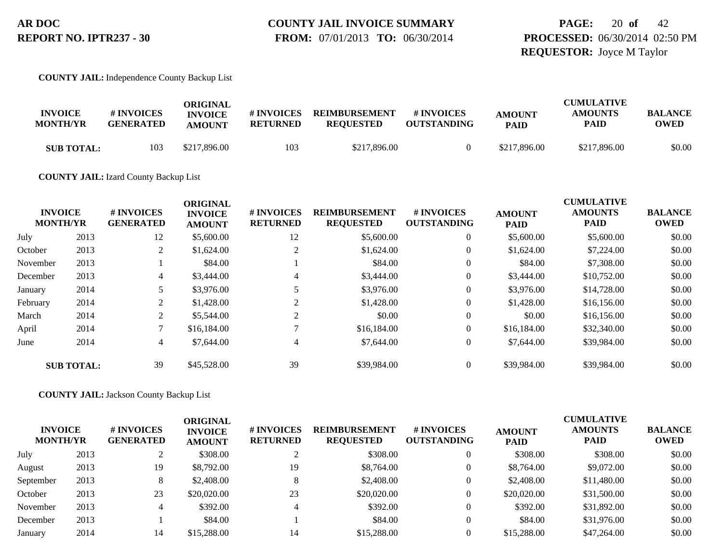**PAGE:** 20 **of** 42 **PROCESSED:** 06/30/2014 02:50 PM **REQUESTOR:** Joyce M Taylor

**COUNTY JAIL:** Independence County Backup List

| <b>INVOICE</b><br><b>MONTH/YR</b> | # INVOICES<br><b>GENERATED</b> | ORIGINAL<br><b>INVOICE</b><br><b>AMOUNT</b> | # INVOICES<br><b>RETURNED</b> | <b>REIMBURSEMENT</b><br><b>REQUESTED</b> | # INVOICES<br><b>OUTSTANDING</b> | <b>AMOUNT</b><br><b>PAID</b> | <b>CUMULATIVE</b><br><b>AMOUNTS</b><br>PAID | <b>BALANCE</b><br><b>OWED</b> |
|-----------------------------------|--------------------------------|---------------------------------------------|-------------------------------|------------------------------------------|----------------------------------|------------------------------|---------------------------------------------|-------------------------------|
| <b>SUB TOTAL:</b>                 | 103                            | \$217,896.00                                | 103                           | \$217,896.00                             |                                  | \$217,896.00                 | \$217,896.00                                | \$0.00                        |

**COUNTY JAIL:** Izard County Backup List

|          |                                   |                                | <b>ORIGINAL</b>                 |                               |                                          |                                  |                              | <b>CUMULATIVE</b>             |                               |
|----------|-----------------------------------|--------------------------------|---------------------------------|-------------------------------|------------------------------------------|----------------------------------|------------------------------|-------------------------------|-------------------------------|
|          | <b>INVOICE</b><br><b>MONTH/YR</b> | # INVOICES<br><b>GENERATED</b> | <b>INVOICE</b><br><b>AMOUNT</b> | # INVOICES<br><b>RETURNED</b> | <b>REIMBURSEMENT</b><br><b>REQUESTED</b> | # INVOICES<br><b>OUTSTANDING</b> | <b>AMOUNT</b><br><b>PAID</b> | <b>AMOUNTS</b><br><b>PAID</b> | <b>BALANCE</b><br><b>OWED</b> |
| July     | 2013                              | 12                             | \$5,600.00                      | 12                            | \$5,600.00                               | $\theta$                         | \$5,600.00                   | \$5,600.00                    | \$0.00                        |
| October  | 2013                              | 2                              | \$1,624.00                      |                               | \$1,624.00                               | $\overline{0}$                   | \$1,624.00                   | \$7,224.00                    | \$0.00                        |
| November | 2013                              |                                | \$84.00                         |                               | \$84.00                                  | $\theta$                         | \$84.00                      | \$7,308.00                    | \$0.00                        |
| December | 2013                              | 4                              | \$3,444.00                      | 4                             | \$3,444.00                               | $\overline{0}$                   | \$3,444.00                   | \$10,752.00                   | \$0.00                        |
| January  | 2014                              |                                | \$3,976.00                      |                               | \$3,976.00                               | $\overline{0}$                   | \$3,976.00                   | \$14,728.00                   | \$0.00                        |
| February | 2014                              | $\overline{2}$                 | \$1,428.00                      |                               | \$1,428.00                               | $\overline{0}$                   | \$1,428.00                   | \$16,156.00                   | \$0.00                        |
| March    | 2014                              | 2                              | \$5,544.00                      |                               | \$0.00                                   | $\overline{0}$                   | \$0.00                       | \$16,156.00                   | \$0.00                        |
| April    | 2014                              |                                | \$16,184.00                     |                               | \$16,184.00                              | $\overline{0}$                   | \$16,184.00                  | \$32,340.00                   | \$0.00                        |
| June     | 2014                              | 4                              | \$7,644.00                      | 4                             | \$7,644.00                               | $\overline{0}$                   | \$7,644.00                   | \$39,984.00                   | \$0.00                        |
|          | <b>SUB TOTAL:</b>                 | 39                             | \$45,528.00                     | 39                            | \$39,984.00                              | $\theta$                         | \$39,984.00                  | \$39,984.00                   | \$0.00                        |

**COUNTY JAIL:** Jackson County Backup List

| <b>INVOICE</b><br><b>MONTH/YR</b> |      | # INVOICES<br><b>GENERATED</b> | ORIGINAL<br><b>INVOICE</b><br><b>AMOUNT</b> | # INVOICES<br><b>RETURNED</b> | <b>REIMBURSEMENT</b><br><b>REQUESTED</b> | # INVOICES<br><b>OUTSTANDING</b> | <b>AMOUNT</b><br><b>PAID</b> | <b>CUMULATIVE</b><br><b>AMOUNTS</b><br><b>PAID</b> | <b>BALANCE</b><br><b>OWED</b> |
|-----------------------------------|------|--------------------------------|---------------------------------------------|-------------------------------|------------------------------------------|----------------------------------|------------------------------|----------------------------------------------------|-------------------------------|
| July                              | 2013 |                                | \$308.00                                    |                               | \$308.00                                 |                                  | \$308.00                     | \$308.00                                           | \$0.00                        |
| August                            | 2013 | 19                             | \$8,792.00                                  | 19                            | \$8,764.00                               | 0                                | \$8,764.00                   | \$9,072.00                                         | \$0.00                        |
| September                         | 2013 | 8                              | \$2,408.00                                  | ◠                             | \$2,408.00                               | 0                                | \$2,408.00                   | \$11,480.00                                        | \$0.00                        |
| October                           | 2013 | 23                             | \$20,020.00                                 | 23                            | \$20,020.00                              | 0                                | \$20,020.00                  | \$31,500.00                                        | \$0.00                        |
| November                          | 2013 |                                | \$392.00                                    |                               | \$392.00                                 | 0                                | \$392.00                     | \$31,892.00                                        | \$0.00                        |
| December                          | 2013 |                                | \$84.00                                     |                               | \$84.00                                  | 0                                | \$84.00                      | \$31,976.00                                        | \$0.00                        |
| January                           | 2014 | 14                             | \$15,288.00                                 | 14                            | \$15,288,00                              |                                  | \$15,288.00                  | \$47,264.00                                        | \$0.00                        |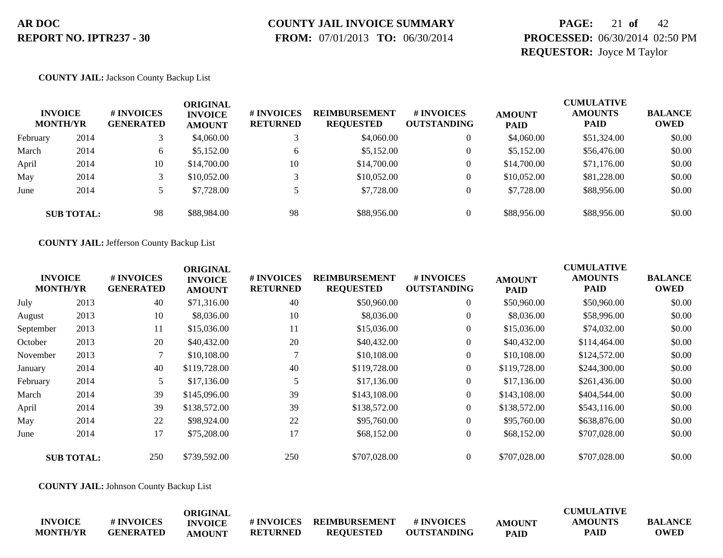# **COUNTY JAIL INVOICE SUMMARY**

 **FROM:** 07/01/2013 **TO:** 06/30/2014

### **PAGE:** 21 **of** 42 **PROCESSED:** 06/30/2014 02:50 PM **REQUESTOR:** Joyce M Taylor

#### **COUNTY JAIL:** Jackson County Backup List

|          | <b>INVOICE</b><br><b>MONTH/YR</b> | # INVOICES<br><b>GENERATED</b> | ORIGINAL<br><b>INVOICE</b><br><b>AMOUNT</b> | # INVOICES<br><b>RETURNED</b> | <b>REIMBURSEMENT</b><br><b>REQUESTED</b> | # INVOICES<br><b>OUTSTANDING</b> | <b>AMOUNT</b><br><b>PAID</b> | <b>CUMULATIVE</b><br><b>AMOUNTS</b><br><b>PAID</b> | <b>BALANCE</b><br><b>OWED</b> |
|----------|-----------------------------------|--------------------------------|---------------------------------------------|-------------------------------|------------------------------------------|----------------------------------|------------------------------|----------------------------------------------------|-------------------------------|
| February | 2014                              |                                | \$4,060.00                                  |                               | \$4,060.00                               | $\overline{0}$                   | \$4,060.00                   | \$51,324.00                                        | \$0.00                        |
| March    | 2014                              | 6                              | \$5,152.00                                  | 6                             | \$5,152.00                               | $\overline{0}$                   | \$5,152.00                   | \$56,476.00                                        | \$0.00                        |
| April    | 2014                              | 10                             | \$14,700.00                                 | 10                            | \$14,700.00                              | $\overline{0}$                   | \$14,700.00                  | \$71,176.00                                        | \$0.00                        |
| May      | 2014                              |                                | \$10,052.00                                 |                               | \$10,052.00                              | $\Omega$                         | \$10,052.00                  | \$81,228.00                                        | \$0.00                        |
| June     | 2014                              |                                | \$7,728.00                                  |                               | \$7,728.00                               | $\overline{0}$                   | \$7,728.00                   | \$88,956.00                                        | \$0.00                        |
|          | <b>SUB TOTAL:</b>                 | 98                             | \$88,984.00                                 | 98                            | \$88,956.00                              | $\Omega$                         | \$88,956.00                  | \$88,956.00                                        | \$0.00                        |

**COUNTY JAIL:** Jefferson County Backup List

|                                   |                   |                                | <b>ORIGINAL</b>                 |                               |                                          |                                  |                              | <b>CUMULATIVE</b>      |                               |
|-----------------------------------|-------------------|--------------------------------|---------------------------------|-------------------------------|------------------------------------------|----------------------------------|------------------------------|------------------------|-------------------------------|
| <b>INVOICE</b><br><b>MONTH/YR</b> |                   | # INVOICES<br><b>GENERATED</b> | <b>INVOICE</b><br><b>AMOUNT</b> | # INVOICES<br><b>RETURNED</b> | <b>REIMBURSEMENT</b><br><b>REQUESTED</b> | # INVOICES<br><b>OUTSTANDING</b> | <b>AMOUNT</b><br><b>PAID</b> | <b>AMOUNTS</b><br>PAID | <b>BALANCE</b><br><b>OWED</b> |
| July                              | 2013              | 40                             | \$71,316.00                     | 40                            | \$50,960.00                              | $\boldsymbol{0}$                 | \$50,960.00                  | \$50,960.00            | \$0.00                        |
| August                            | 2013              | 10                             | \$8,036.00                      | 10                            | \$8,036.00                               | $\boldsymbol{0}$                 | \$8,036.00                   | \$58,996.00            | \$0.00                        |
| September                         | 2013              | 11                             | \$15,036.00                     | 11                            | \$15,036.00                              | $\overline{0}$                   | \$15,036.00                  | \$74,032.00            | \$0.00                        |
| October                           | 2013              | 20                             | \$40,432.00                     | 20                            | \$40,432.00                              | $\overline{0}$                   | \$40,432.00                  | \$114,464.00           | \$0.00                        |
| November                          | 2013              |                                | \$10,108.00                     |                               | \$10,108.00                              | $\overline{0}$                   | \$10,108.00                  | \$124,572.00           | \$0.00                        |
| January                           | 2014              | 40                             | \$119,728.00                    | 40                            | \$119,728.00                             | $\overline{0}$                   | \$119,728.00                 | \$244,300.00           | \$0.00                        |
| February                          | 2014              | 5.                             | \$17,136.00                     | 5                             | \$17,136.00                              | $\overline{0}$                   | \$17,136.00                  | \$261,436.00           | \$0.00                        |
| March                             | 2014              | 39                             | \$145,096.00                    | 39                            | \$143,108.00                             | $\overline{0}$                   | \$143,108.00                 | \$404,544.00           | \$0.00                        |
| April                             | 2014              | 39                             | \$138,572.00                    | 39                            | \$138,572.00                             | $\overline{0}$                   | \$138,572.00                 | \$543,116.00           | \$0.00                        |
| May                               | 2014              | 22                             | \$98,924.00                     | 22                            | \$95,760.00                              | $\overline{0}$                   | \$95,760.00                  | \$638,876.00           | \$0.00                        |
| June                              | 2014              | 17                             | \$75,208.00                     | 17                            | \$68,152.00                              | $\boldsymbol{0}$                 | \$68,152.00                  | \$707,028.00           | \$0.00                        |
|                                   | <b>SUB TOTAL:</b> | 250                            | \$739,592.00                    | 250                           | \$707,028.00                             | $\overline{0}$                   | \$707,028.00                 | \$707,028.00           | \$0.00                        |
|                                   |                   |                                |                                 |                               |                                          |                                  |                              |                        |                               |

**COUNTY JAIL:** Johnson County Backup List

|                 |                   | ORIGINAL       |                   |                      |                    |               | <b>CUMULATIVE</b> |                |
|-----------------|-------------------|----------------|-------------------|----------------------|--------------------|---------------|-------------------|----------------|
| <b>INVOICE</b>  | <b># INVOICES</b> | <b>INVOICE</b> | <b># INVOICES</b> | <b>REIMBURSEMENT</b> | # INVOICES         | <b>AMOUNT</b> | <b>AMOUNTS</b>    | <b>BALANCE</b> |
| <b>MONTH/YR</b> | <b>GENERATED</b>  | AMOUNT         | <b>RETURNED</b>   | <b>REOUESTED</b>     | <b>OUTSTANDING</b> | <b>PAID</b>   | PAID              | OWED           |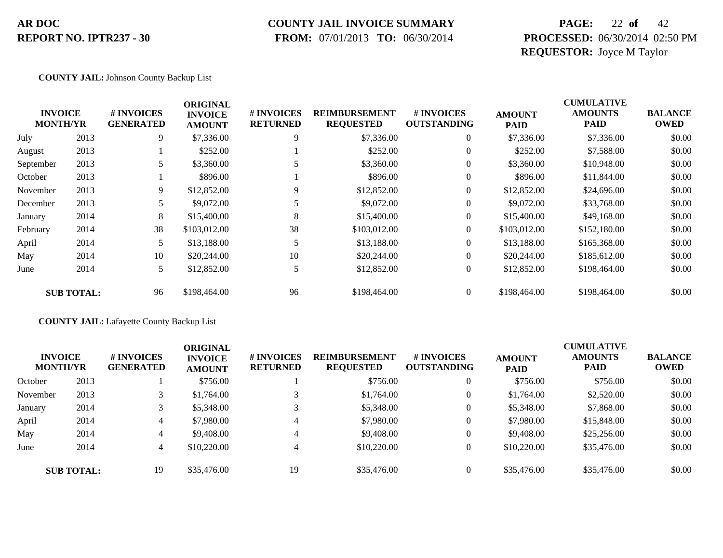#### **COUNTY JAIL INVOICE SUMMARY**

 **FROM:** 07/01/2013 **TO:** 06/30/2014

### **PAGE:** 22 **of** 42 **PROCESSED:** 06/30/2014 02:50 PM **REQUESTOR:** Joyce M Taylor

#### **COUNTY JAIL:** Johnson County Backup List

|                                   |                   |                                | <b>ORIGINAL</b>                 |                               |                                          |                                  |                              | <b>CUMULATIVE</b>             |                               |
|-----------------------------------|-------------------|--------------------------------|---------------------------------|-------------------------------|------------------------------------------|----------------------------------|------------------------------|-------------------------------|-------------------------------|
| <b>INVOICE</b><br><b>MONTH/YR</b> |                   | # INVOICES<br><b>GENERATED</b> | <b>INVOICE</b><br><b>AMOUNT</b> | # INVOICES<br><b>RETURNED</b> | <b>REIMBURSEMENT</b><br><b>REQUESTED</b> | # INVOICES<br><b>OUTSTANDING</b> | <b>AMOUNT</b><br><b>PAID</b> | <b>AMOUNTS</b><br><b>PAID</b> | <b>BALANCE</b><br><b>OWED</b> |
| July                              | 2013              | 9                              | \$7,336.00                      | 9                             | \$7,336.00                               | $\theta$                         | \$7,336.00                   | \$7,336.00                    | \$0.00                        |
| August                            | 2013              |                                | \$252.00                        |                               | \$252.00                                 | $\theta$                         | \$252.00                     | \$7,588.00                    | \$0.00                        |
| September                         | 2013              | 5                              | \$3,360.00                      |                               | \$3,360.00                               | $\theta$                         | \$3,360.00                   | \$10,948.00                   | \$0.00                        |
| October                           | 2013              |                                | \$896.00                        |                               | \$896.00                                 | $\overline{0}$                   | \$896.00                     | \$11,844.00                   | \$0.00                        |
| November                          | 2013              | 9.                             | \$12,852.00                     | 9                             | \$12,852.00                              | $\overline{0}$                   | \$12,852.00                  | \$24,696.00                   | \$0.00                        |
| December                          | 2013              |                                | \$9,072.00                      |                               | \$9,072.00                               | $\overline{0}$                   | \$9,072.00                   | \$33,768.00                   | \$0.00                        |
| January                           | 2014              | 8                              | \$15,400.00                     | 8                             | \$15,400.00                              | $\overline{0}$                   | \$15,400.00                  | \$49,168.00                   | \$0.00                        |
| February                          | 2014              | 38                             | \$103,012.00                    | 38                            | \$103,012.00                             | $\overline{0}$                   | \$103,012.00                 | \$152,180.00                  | \$0.00                        |
| April                             | 2014              | 5                              | \$13,188.00                     | 5                             | \$13,188.00                              | $\overline{0}$                   | \$13,188.00                  | \$165,368.00                  | \$0.00                        |
| May                               | 2014              | 10                             | \$20,244.00                     | 10                            | \$20,244.00                              | $\overline{0}$                   | \$20,244.00                  | \$185,612.00                  | \$0.00                        |
| June                              | 2014              | 5                              | \$12,852.00                     | 5                             | \$12,852.00                              | $\overline{0}$                   | \$12,852.00                  | \$198,464.00                  | \$0.00                        |
|                                   | <b>SUB TOTAL:</b> | 96                             | \$198,464.00                    | 96                            | \$198,464.00                             | $\Omega$                         | \$198,464.00                 | \$198,464.00                  | \$0.00                        |

#### **COUNTY JAIL:** Lafayette County Backup List

|          | <b>INVOICE</b><br><b>MONTH/YR</b> | <b># INVOICES</b><br><b>GENERATED</b> | <b>ORIGINAL</b><br><b>INVOICE</b><br><b>AMOUNT</b> | # INVOICES<br><b>RETURNED</b> | <b>REIMBURSEMENT</b><br><b>REQUESTED</b> | # INVOICES<br><b>OUTSTANDING</b> | <b>AMOUNT</b><br><b>PAID</b> | <b>CUMULATIVE</b><br><b>AMOUNTS</b><br><b>PAID</b> | <b>BALANCE</b><br><b>OWED</b> |
|----------|-----------------------------------|---------------------------------------|----------------------------------------------------|-------------------------------|------------------------------------------|----------------------------------|------------------------------|----------------------------------------------------|-------------------------------|
| October  | 2013                              |                                       | \$756.00                                           |                               | \$756.00                                 | $\overline{0}$                   | \$756.00                     | \$756.00                                           | \$0.00                        |
| November | 2013                              |                                       | \$1,764.00                                         |                               | \$1,764.00                               | $\theta$                         | \$1,764.00                   | \$2,520.00                                         | \$0.00                        |
| January  | 2014                              |                                       | \$5,348.00                                         |                               | \$5,348.00                               | $\overline{0}$                   | \$5,348.00                   | \$7,868.00                                         | \$0.00                        |
| April    | 2014                              | 4                                     | \$7,980.00                                         | $\overline{4}$                | \$7,980.00                               | $\theta$                         | \$7,980.00                   | \$15,848.00                                        | \$0.00                        |
| May      | 2014                              | 4                                     | \$9,408.00                                         | 4                             | \$9,408.00                               | $\theta$                         | \$9,408.00                   | \$25,256.00                                        | \$0.00                        |
| June     | 2014                              | 4                                     | \$10,220.00                                        | $\overline{4}$                | \$10,220.00                              | $\theta$                         | \$10,220.00                  | \$35,476.00                                        | \$0.00                        |
|          | <b>SUB TOTAL:</b>                 | 19                                    | \$35,476.00                                        | 19                            | \$35,476.00                              | $\overline{0}$                   | \$35,476.00                  | \$35,476.00                                        | \$0.00                        |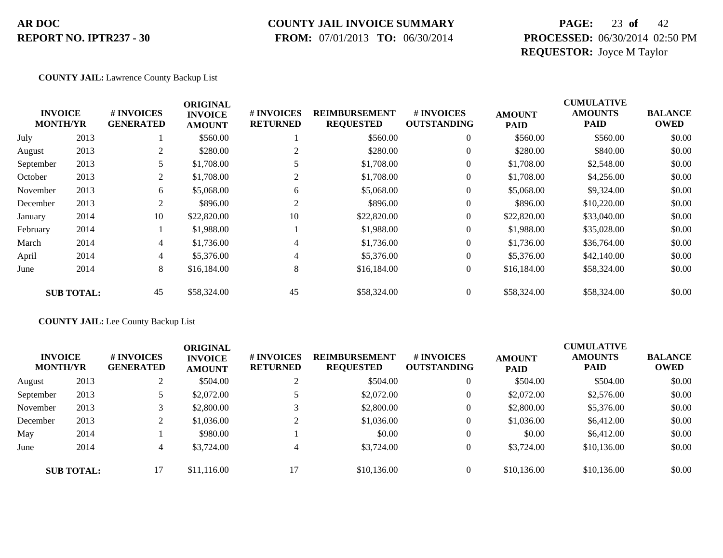#### **COUNTY JAIL INVOICE SUMMARY**

 **FROM:** 07/01/2013 **TO:** 06/30/2014

### **PAGE:** 23 **of** 42 **PROCESSED:** 06/30/2014 02:50 PM **REQUESTOR:** Joyce M Taylor

#### **COUNTY JAIL:** Lawrence County Backup List

|           |                                   |                                | <b>ORIGINAL</b>                 |                               |                                          |                                  |                              | <b>CUMULATIVE</b>             |                               |
|-----------|-----------------------------------|--------------------------------|---------------------------------|-------------------------------|------------------------------------------|----------------------------------|------------------------------|-------------------------------|-------------------------------|
|           | <b>INVOICE</b><br><b>MONTH/YR</b> | # INVOICES<br><b>GENERATED</b> | <b>INVOICE</b><br><b>AMOUNT</b> | # INVOICES<br><b>RETURNED</b> | <b>REIMBURSEMENT</b><br><b>REQUESTED</b> | # INVOICES<br><b>OUTSTANDING</b> | <b>AMOUNT</b><br><b>PAID</b> | <b>AMOUNTS</b><br><b>PAID</b> | <b>BALANCE</b><br><b>OWED</b> |
| July      | 2013                              |                                | \$560.00                        |                               | \$560.00                                 | $\theta$                         | \$560.00                     | \$560.00                      | \$0.00                        |
| August    | 2013                              | 2                              | \$280.00                        | 2                             | \$280.00                                 | 0                                | \$280.00                     | \$840.00                      | \$0.00                        |
| September | 2013                              |                                | \$1,708.00                      |                               | \$1,708.00                               | 0                                | \$1,708.00                   | \$2,548.00                    | \$0.00                        |
| October   | 2013                              | 2                              | \$1,708.00                      | 2                             | \$1,708.00                               | 0                                | \$1,708.00                   | \$4,256.00                    | \$0.00                        |
| November  | 2013                              | 6                              | \$5,068.00                      | 6                             | \$5,068.00                               | $\theta$                         | \$5,068.00                   | \$9,324.00                    | \$0.00                        |
| December  | 2013                              | 2                              | \$896.00                        | 2                             | \$896.00                                 | $\overline{0}$                   | \$896.00                     | \$10,220.00                   | \$0.00                        |
| January   | 2014                              | 10                             | \$22,820.00                     | 10                            | \$22,820.00                              | $\overline{0}$                   | \$22,820.00                  | \$33,040.00                   | \$0.00                        |
| February  | 2014                              |                                | \$1,988.00                      |                               | \$1,988.00                               | $\overline{0}$                   | \$1,988.00                   | \$35,028.00                   | \$0.00                        |
| March     | 2014                              | 4                              | \$1,736.00                      | 4                             | \$1,736.00                               | $\theta$                         | \$1,736.00                   | \$36,764.00                   | \$0.00                        |
| April     | 2014                              | 4                              | \$5,376.00                      | 4                             | \$5,376.00                               | $\overline{0}$                   | \$5,376.00                   | \$42,140.00                   | \$0.00                        |
| June      | 2014                              | 8                              | \$16,184.00                     | 8                             | \$16,184.00                              | $\overline{0}$                   | \$16,184.00                  | \$58,324.00                   | \$0.00                        |
|           | <b>SUB TOTAL:</b>                 | 45                             | \$58,324.00                     | 45                            | \$58,324.00                              | $\overline{0}$                   | \$58,324.00                  | \$58,324.00                   | \$0.00                        |

#### **COUNTY JAIL:** Lee County Backup List

| <b>INVOICE</b><br><b>MONTH/YR</b> |                   | # INVOICES<br><b>GENERATED</b> | ORIGINAL<br><b>INVOICE</b><br><b>AMOUNT</b> | # INVOICES<br><b>RETURNED</b> | <b>REIMBURSEMENT</b><br><b>REQUESTED</b> | # INVOICES<br><b>OUTSTANDING</b> | <b>AMOUNT</b><br><b>PAID</b> | <b>CUMULATIVE</b><br><b>AMOUNTS</b><br><b>PAID</b> | <b>BALANCE</b><br><b>OWED</b> |
|-----------------------------------|-------------------|--------------------------------|---------------------------------------------|-------------------------------|------------------------------------------|----------------------------------|------------------------------|----------------------------------------------------|-------------------------------|
| August                            | 2013              |                                | \$504.00                                    | ◠                             | \$504.00                                 | $\overline{0}$                   | \$504.00                     | \$504.00                                           | \$0.00                        |
| September                         | 2013              |                                | \$2,072.00                                  |                               | \$2,072.00                               | $\theta$                         | \$2,072.00                   | \$2,576.00                                         | \$0.00                        |
| November                          | 2013              |                                | \$2,800.00                                  |                               | \$2,800.00                               | $\theta$                         | \$2,800.00                   | \$5,376.00                                         | \$0.00                        |
| December                          | 2013              |                                | \$1,036.00                                  | $\bigcap$                     | \$1,036.00                               | $\overline{0}$                   | \$1,036.00                   | \$6,412.00                                         | \$0.00                        |
| May                               | 2014              |                                | \$980.00                                    |                               | \$0.00                                   | $\overline{0}$                   | \$0.00                       | \$6,412.00                                         | \$0.00                        |
| June                              | 2014              | 4                              | \$3,724.00                                  | $\overline{4}$                | \$3,724.00                               | $\theta$                         | \$3,724.00                   | \$10,136.00                                        | \$0.00                        |
|                                   | <b>SUB TOTAL:</b> | 17                             | \$11,116.00                                 | 17                            | \$10,136.00                              | $\overline{0}$                   | \$10,136.00                  | \$10,136.00                                        | \$0.00                        |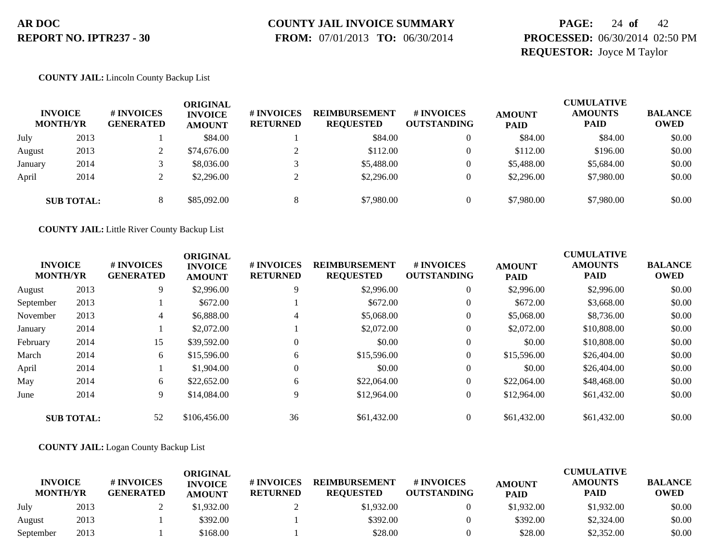# **COUNTY JAIL INVOICE SUMMARY**

 **FROM:** 07/01/2013 **TO:** 06/30/2014

### **PAGE:** 24 **of** 42 **PROCESSED:** 06/30/2014 02:50 PM **REQUESTOR:** Joyce M Taylor

#### **COUNTY JAIL:** Lincoln County Backup List

|         | <b>INVOICE</b><br><b>MONTH/YR</b> | # INVOICES<br><b>GENERATED</b> | ORIGINAL<br><b>INVOICE</b><br><b>AMOUNT</b> | # INVOICES<br><b>RETURNED</b> | <b>REIMBURSEMENT</b><br><b>REQUESTED</b> | <b># INVOICES</b><br><b>OUTSTANDING</b> | <b>AMOUNT</b><br><b>PAID</b> | <b>CUMULATIVE</b><br><b>AMOUNTS</b><br><b>PAID</b> | <b>BALANCE</b><br><b>OWED</b> |
|---------|-----------------------------------|--------------------------------|---------------------------------------------|-------------------------------|------------------------------------------|-----------------------------------------|------------------------------|----------------------------------------------------|-------------------------------|
| July    | 2013                              |                                | \$84.00                                     |                               | \$84.00                                  | $\theta$                                | \$84.00                      | \$84.00                                            | \$0.00                        |
| August  | 2013                              |                                | \$74,676.00                                 |                               | \$112.00                                 | $\Omega$                                | \$112.00                     | \$196.00                                           | \$0.00                        |
| January | 2014                              |                                | \$8,036.00                                  |                               | \$5,488.00                               |                                         | \$5,488.00                   | \$5,684.00                                         | \$0.00                        |
| April   | 2014                              |                                | \$2,296.00                                  |                               | \$2,296.00                               | $\Omega$                                | \$2,296.00                   | \$7,980.00                                         | \$0.00                        |
|         | <b>SUB TOTAL:</b>                 |                                | \$85,092.00                                 |                               | \$7,980.00                               |                                         | \$7,980.00                   | \$7,980.00                                         | \$0.00                        |

**COUNTY JAIL:** Little River County Backup List

|           | <b>INVOICE</b><br><b>MONTH/YR</b> | # INVOICES<br><b>GENERATED</b> | <b>ORIGINAL</b><br><b>INVOICE</b><br><b>AMOUNT</b> | # INVOICES<br><b>RETURNED</b> | <b>REIMBURSEMENT</b><br><b>REQUESTED</b> | <b>#INVOICES</b><br><b>OUTSTANDING</b> | <b>AMOUNT</b><br><b>PAID</b> | <b>CUMULATIVE</b><br><b>AMOUNTS</b><br><b>PAID</b> | <b>BALANCE</b><br><b>OWED</b> |
|-----------|-----------------------------------|--------------------------------|----------------------------------------------------|-------------------------------|------------------------------------------|----------------------------------------|------------------------------|----------------------------------------------------|-------------------------------|
| August    | 2013                              | 9                              | \$2,996.00                                         | 9                             | \$2,996.00                               | $\overline{0}$                         | \$2,996.00                   | \$2,996.00                                         | \$0.00                        |
| September | 2013                              |                                | \$672.00                                           |                               | \$672.00                                 | $\theta$                               | \$672.00                     | \$3,668.00                                         | \$0.00                        |
| November  | 2013                              | 4                              | \$6,888.00                                         | 4                             | \$5,068.00                               | $\theta$                               | \$5,068.00                   | \$8,736.00                                         | \$0.00                        |
| January   | 2014                              |                                | \$2,072.00                                         |                               | \$2,072.00                               | $\overline{0}$                         | \$2,072.00                   | \$10,808.00                                        | \$0.00                        |
| February  | 2014                              | 15                             | \$39,592.00                                        | $\Omega$                      | \$0.00                                   | $\theta$                               | \$0.00                       | \$10,808.00                                        | \$0.00                        |
| March     | 2014                              | 6                              | \$15,596.00                                        | 6                             | \$15,596.00                              | $\overline{0}$                         | \$15,596.00                  | \$26,404.00                                        | \$0.00                        |
| April     | 2014                              |                                | \$1,904.00                                         | $\theta$                      | \$0.00                                   | $\overline{0}$                         | \$0.00                       | \$26,404.00                                        | \$0.00                        |
| May       | 2014                              | 6                              | \$22,652.00                                        | 6                             | \$22,064.00                              | $\overline{0}$                         | \$22,064.00                  | \$48,468.00                                        | \$0.00                        |
| June      | 2014                              | 9                              | \$14,084.00                                        | 9                             | \$12,964.00                              | $\overline{0}$                         | \$12,964.00                  | \$61,432.00                                        | \$0.00                        |
|           | <b>SUB TOTAL:</b>                 | 52                             | \$106,456.00                                       | 36                            | \$61,432.00                              | $\theta$                               | \$61,432.00                  | \$61,432.00                                        | \$0.00                        |

#### **COUNTY JAIL:** Logan County Backup List

|                                   |      |                                | ORIGINAL                        |                               |                                          |                                  |                              | CUMULATIVE                    |                               |
|-----------------------------------|------|--------------------------------|---------------------------------|-------------------------------|------------------------------------------|----------------------------------|------------------------------|-------------------------------|-------------------------------|
| <b>INVOICE</b><br><b>MONTH/YR</b> |      | # INVOICES<br><b>GENERATED</b> | <b>INVOICE</b><br><b>AMOUNT</b> | # INVOICES<br><b>RETURNED</b> | <b>REIMBURSEMENT</b><br><b>REOUESTED</b> | # INVOICES<br><b>OUTSTANDING</b> | <b>AMOUNT</b><br><b>PAID</b> | <b>AMOUNTS</b><br><b>PAID</b> | <b>BALANCE</b><br><b>OWED</b> |
| July                              | 2013 |                                | \$1.932.00                      |                               | \$1,932.00                               |                                  | \$1,932.00                   | \$1,932.00                    | \$0.00                        |
| August                            | 2013 |                                | \$392.00                        |                               | \$392.00                                 |                                  | \$392.00                     | \$2,324.00                    | \$0.00                        |
| September                         | 2013 |                                | \$168.00                        |                               | \$28.00                                  |                                  | \$28.00                      | \$2,352.00                    | \$0.00                        |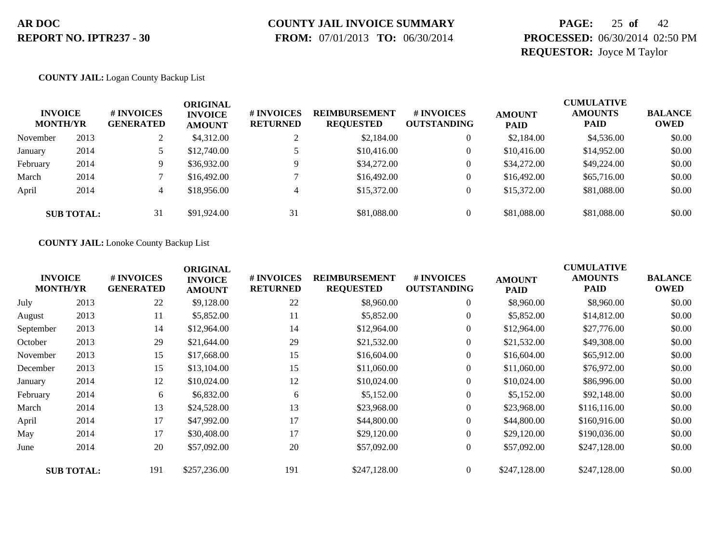# **COUNTY JAIL INVOICE SUMMARY**

 **FROM:** 07/01/2013 **TO:** 06/30/2014

### **PAGE:** 25 **of** 42 **PROCESSED:** 06/30/2014 02:50 PM **REQUESTOR:** Joyce M Taylor

#### **COUNTY JAIL:** Logan County Backup List

| <b>INVOICE</b><br><b>MONTH/YR</b> |                   | # INVOICES<br><b>GENERATED</b> | ORIGINAL<br><b>INVOICE</b><br><b>AMOUNT</b> | # INVOICES<br><b>RETURNED</b> | <b>REIMBURSEMENT</b><br><b>REQUESTED</b> | <b>#INVOICES</b><br><b>OUTSTANDING</b> | <b>AMOUNT</b><br><b>PAID</b> | <b>CUMULATIVE</b><br><b>AMOUNTS</b><br><b>PAID</b> | <b>BALANCE</b><br><b>OWED</b> |
|-----------------------------------|-------------------|--------------------------------|---------------------------------------------|-------------------------------|------------------------------------------|----------------------------------------|------------------------------|----------------------------------------------------|-------------------------------|
| November                          | 2013              |                                | \$4,312.00                                  |                               | \$2,184.00                               | $\overline{0}$                         | \$2,184.00                   | \$4,536.00                                         | \$0.00                        |
| January                           | 2014              | 5.                             | \$12,740.00                                 |                               | \$10,416.00                              | $\overline{0}$                         | \$10,416.00                  | \$14,952.00                                        | \$0.00                        |
| February                          | 2014              | 9                              | \$36,932.00                                 |                               | \$34,272.00                              | $\overline{0}$                         | \$34,272.00                  | \$49,224.00                                        | \$0.00                        |
| March                             | 2014              |                                | \$16,492.00                                 |                               | \$16,492.00                              | $\overline{0}$                         | \$16,492.00                  | \$65,716.00                                        | \$0.00                        |
| April                             | 2014              | 4                              | \$18,956.00                                 | 4                             | \$15,372.00                              | $\overline{0}$                         | \$15,372.00                  | \$81,088,00                                        | \$0.00                        |
|                                   | <b>SUB TOTAL:</b> | 31                             | \$91,924.00                                 | 31                            | \$81,088.00                              | $\Omega$                               | \$81,088,00                  | \$81,088,00                                        | \$0.00                        |

**COUNTY JAIL:** Lonoke County Backup List

| <b>INVOICE</b><br><b>MONTH/YR</b> |                   | # INVOICES<br><b>GENERATED</b> | <b>ORIGINAL</b><br><b>INVOICE</b><br><b>AMOUNT</b> | # INVOICES<br><b>RETURNED</b> | <b>REIMBURSEMENT</b><br><b>REQUESTED</b> | # INVOICES<br><b>OUTSTANDING</b> | <b>AMOUNT</b><br><b>PAID</b> | <b>CUMULATIVE</b><br><b>AMOUNTS</b><br><b>PAID</b> | <b>BALANCE</b><br><b>OWED</b> |
|-----------------------------------|-------------------|--------------------------------|----------------------------------------------------|-------------------------------|------------------------------------------|----------------------------------|------------------------------|----------------------------------------------------|-------------------------------|
| July                              | 2013              | 22                             | \$9,128.00                                         | 22                            | \$8,960.00                               | $\overline{0}$                   | \$8,960.00                   | \$8,960.00                                         | \$0.00                        |
| August                            | 2013              | 11                             | \$5,852.00                                         | 11                            | \$5,852.00                               | $\overline{0}$                   | \$5,852.00                   | \$14,812.00                                        | \$0.00                        |
| September                         | 2013              | 14                             | \$12,964.00                                        | 14                            | \$12,964.00                              | $\overline{0}$                   | \$12,964.00                  | \$27,776.00                                        | \$0.00                        |
| October                           | 2013              | 29                             | \$21,644.00                                        | 29                            | \$21,532.00                              | $\boldsymbol{0}$                 | \$21,532.00                  | \$49,308.00                                        | \$0.00                        |
| November                          | 2013              | 15                             | \$17,668.00                                        | 15                            | \$16,604.00                              | $\overline{0}$                   | \$16,604.00                  | \$65,912.00                                        | \$0.00                        |
| December                          | 2013              | 15                             | \$13,104.00                                        | 15                            | \$11,060.00                              | $\overline{0}$                   | \$11,060.00                  | \$76,972.00                                        | \$0.00                        |
| January                           | 2014              | 12                             | \$10,024.00                                        | 12                            | \$10,024.00                              | $\overline{0}$                   | \$10,024.00                  | \$86,996.00                                        | \$0.00                        |
| February                          | 2014              | 6                              | \$6,832.00                                         | 6                             | \$5,152.00                               | $\overline{0}$                   | \$5,152.00                   | \$92,148.00                                        | \$0.00                        |
| March                             | 2014              | 13                             | \$24,528.00                                        | 13                            | \$23,968.00                              | $\overline{0}$                   | \$23,968.00                  | \$116,116.00                                       | \$0.00                        |
| April                             | 2014              | 17                             | \$47,992.00                                        | 17                            | \$44,800.00                              | $\overline{0}$                   | \$44,800.00                  | \$160,916.00                                       | \$0.00                        |
| May                               | 2014              | 17                             | \$30,408.00                                        | 17                            | \$29,120.00                              | $\boldsymbol{0}$                 | \$29,120.00                  | \$190,036.00                                       | \$0.00                        |
| June                              | 2014              | 20                             | \$57,092.00                                        | 20                            | \$57,092.00                              | $\overline{0}$                   | \$57,092.00                  | \$247,128.00                                       | \$0.00                        |
|                                   | <b>SUB TOTAL:</b> | 191                            | \$257,236.00                                       | 191                           | \$247,128.00                             | $\overline{0}$                   | \$247,128.00                 | \$247,128.00                                       | \$0.00                        |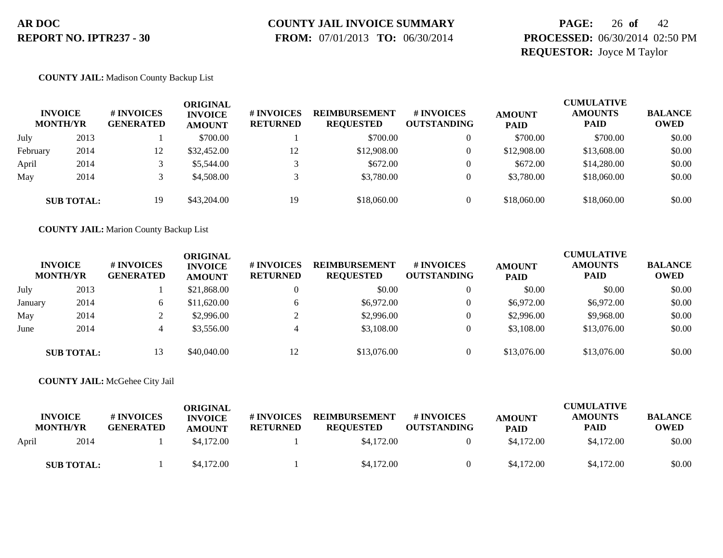# **COUNTY JAIL INVOICE SUMMARY**

 **FROM:** 07/01/2013 **TO:** 06/30/2014

### **PAGE:** 26 **of** 42 **PROCESSED:** 06/30/2014 02:50 PM **REQUESTOR:** Joyce M Taylor

#### **COUNTY JAIL:** Madison County Backup List

|          | <b>INVOICE</b><br><b>MONTH/YR</b> | # INVOICES<br><b>GENERATED</b> | ORIGINAL<br><b>INVOICE</b><br><b>AMOUNT</b> | # INVOICES<br><b>RETURNED</b> | <b>REIMBURSEMENT</b><br><b>REQUESTED</b> | <b># INVOICES</b><br><b>OUTSTANDING</b> | <b>AMOUNT</b><br><b>PAID</b> | <b>CUMULATIVE</b><br><b>AMOUNTS</b><br><b>PAID</b> | <b>BALANCE</b><br><b>OWED</b> |
|----------|-----------------------------------|--------------------------------|---------------------------------------------|-------------------------------|------------------------------------------|-----------------------------------------|------------------------------|----------------------------------------------------|-------------------------------|
| July     | 2013                              |                                | \$700.00                                    |                               | \$700.00                                 |                                         | \$700.00                     | \$700.00                                           | \$0.00                        |
| February | 2014                              | 12                             | \$32,452.00                                 | 12                            | \$12,908.00                              |                                         | \$12,908.00                  | \$13,608.00                                        | \$0.00                        |
| April    | 2014                              |                                | \$5,544.00                                  |                               | \$672.00                                 |                                         | \$672.00                     | \$14,280.00                                        | \$0.00                        |
| May      | 2014                              |                                | \$4,508.00                                  |                               | \$3,780.00                               |                                         | \$3,780.00                   | \$18,060.00                                        | \$0.00                        |
|          | <b>SUB TOTAL:</b>                 | 19                             | \$43,204.00                                 | 19                            | \$18,060.00                              |                                         | \$18,060.00                  | \$18,060.00                                        | \$0.00                        |

**COUNTY JAIL:** Marion County Backup List

|         | <b>INVOICE</b><br><b>MONTH/YR</b> | # INVOICES<br><b>GENERATED</b> | ORIGINAL<br><b>INVOICE</b><br><b>AMOUNT</b> | <b># INVOICES</b><br><b>RETURNED</b> | <b>REIMBURSEMENT</b><br><b>REQUESTED</b> | <b>#INVOICES</b><br><b>OUTSTANDING</b> | <b>AMOUNT</b><br><b>PAID</b> | <b>CUMULATIVE</b><br><b>AMOUNTS</b><br><b>PAID</b> | <b>BALANCE</b><br><b>OWED</b> |
|---------|-----------------------------------|--------------------------------|---------------------------------------------|--------------------------------------|------------------------------------------|----------------------------------------|------------------------------|----------------------------------------------------|-------------------------------|
| July    | 2013                              |                                | \$21,868.00                                 | $\Omega$                             | \$0.00                                   | $\theta$                               | \$0.00                       | \$0.00                                             | \$0.00                        |
| January | 2014                              | $\sigma$                       | \$11,620.00                                 | 6                                    | \$6,972.00                               | $\theta$                               | \$6,972.00                   | \$6,972.00                                         | \$0.00                        |
| May     | 2014                              |                                | \$2,996.00                                  |                                      | \$2,996.00                               | $\Omega$                               | \$2,996.00                   | \$9,968.00                                         | \$0.00                        |
| June    | 2014                              | 4                              | \$3,556.00                                  | 4                                    | \$3,108.00                               | $\Omega$                               | \$3,108.00                   | \$13,076.00                                        | \$0.00                        |
|         | <b>SUB TOTAL:</b>                 | 13                             | \$40,040.00                                 | 12                                   | \$13,076.00                              | $\Omega$                               | \$13,076.00                  | \$13,076.00                                        | \$0.00                        |

#### **COUNTY JAIL:** McGehee City Jail

|       | <b>INVOICE</b><br><b>MONTH/YR</b> | <b>#INVOICES</b><br><b>GENERATED</b> | ORIGINAL<br><b>INVOICE</b><br><b>AMOUNT</b> | <b># INVOICES</b><br><b>RETURNED</b> | <b>REIMBURSEMENT</b><br><b>REQUESTED</b> | # INVOICES<br><b>OUTSTANDING</b> | <b>AMOUNT</b><br><b>PAID</b> | <b>CUMULATIVE</b><br><b>AMOUNTS</b><br><b>PAID</b> | <b>BALANCE</b><br><b>OWED</b> |
|-------|-----------------------------------|--------------------------------------|---------------------------------------------|--------------------------------------|------------------------------------------|----------------------------------|------------------------------|----------------------------------------------------|-------------------------------|
| April | 2014                              |                                      | \$4,172.00                                  |                                      | \$4,172.00                               |                                  | \$4,172.00                   | \$4,172.00                                         | \$0.00                        |
|       | <b>SUB TOTAL:</b>                 |                                      | \$4,172.00                                  |                                      | \$4,172.00                               |                                  | \$4,172.00                   | \$4,172.00                                         | \$0.00                        |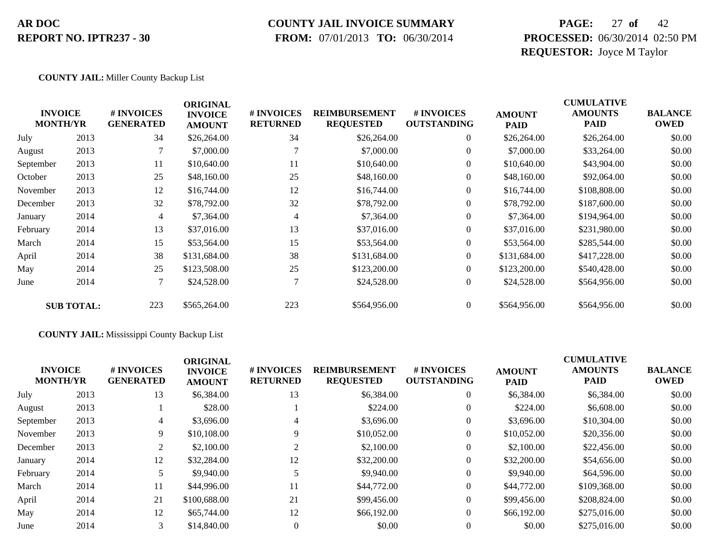### **COUNTY JAIL INVOICE SUMMARY**

 **FROM:** 07/01/2013 **TO:** 06/30/2014

### **PAGE:** 27 **of** 42 **PROCESSED:** 06/30/2014 02:50 PM **REQUESTOR:** Joyce M Taylor

#### **COUNTY JAIL:** Miller County Backup List

|           | <b>INVOICE</b><br><b>MONTH/YR</b> | # INVOICES<br><b>GENERATED</b> | <b>ORIGINAL</b><br><b>INVOICE</b><br><b>AMOUNT</b> | # INVOICES<br><b>RETURNED</b> | <b>REIMBURSEMENT</b><br><b>REQUESTED</b> | # INVOICES<br><b>OUTSTANDING</b> | <b>AMOUNT</b><br><b>PAID</b> | <b>CUMULATIVE</b><br><b>AMOUNTS</b><br><b>PAID</b> | <b>BALANCE</b><br><b>OWED</b> |
|-----------|-----------------------------------|--------------------------------|----------------------------------------------------|-------------------------------|------------------------------------------|----------------------------------|------------------------------|----------------------------------------------------|-------------------------------|
| July      | 2013                              | 34                             | \$26,264.00                                        | 34                            | \$26,264.00                              | $\overline{0}$                   | \$26,264.00                  | \$26,264.00                                        | \$0.00                        |
| August    | 2013                              |                                | \$7,000.00                                         |                               | \$7,000.00                               | $\overline{0}$                   | \$7,000.00                   | \$33,264.00                                        | \$0.00                        |
| September | 2013                              | 11                             | \$10,640.00                                        | 11                            | \$10,640.00                              | $\overline{0}$                   | \$10,640.00                  | \$43,904.00                                        | \$0.00                        |
| October   | 2013                              | 25                             | \$48,160.00                                        | 25                            | \$48,160.00                              | $\overline{0}$                   | \$48,160.00                  | \$92,064.00                                        | \$0.00                        |
| November  | 2013                              | 12                             | \$16,744.00                                        | 12                            | \$16,744.00                              | $\overline{0}$                   | \$16,744.00                  | \$108,808.00                                       | \$0.00                        |
| December  | 2013                              | 32                             | \$78,792.00                                        | 32                            | \$78,792.00                              | $\overline{0}$                   | \$78,792.00                  | \$187,600.00                                       | \$0.00                        |
| January   | 2014                              | 4                              | \$7,364.00                                         | 4                             | \$7,364.00                               | $\overline{0}$                   | \$7,364.00                   | \$194,964.00                                       | \$0.00                        |
| February  | 2014                              | 13                             | \$37,016.00                                        | 13                            | \$37,016.00                              | $\boldsymbol{0}$                 | \$37,016.00                  | \$231,980.00                                       | \$0.00                        |
| March     | 2014                              | 15                             | \$53,564.00                                        | 15                            | \$53,564.00                              | $\overline{0}$                   | \$53,564.00                  | \$285,544.00                                       | \$0.00                        |
| April     | 2014                              | 38                             | \$131,684.00                                       | 38                            | \$131,684.00                             | $\overline{0}$                   | \$131,684.00                 | \$417,228.00                                       | \$0.00                        |
| May       | 2014                              | 25                             | \$123,508.00                                       | 25                            | \$123,200.00                             | $\overline{0}$                   | \$123,200.00                 | \$540,428.00                                       | \$0.00                        |
| June      | 2014                              |                                | \$24,528.00                                        |                               | \$24,528.00                              | $\boldsymbol{0}$                 | \$24,528.00                  | \$564,956.00                                       | \$0.00                        |
|           | <b>SUB TOTAL:</b>                 | 223                            | \$565,264.00                                       | 223                           | \$564,956.00                             | $\overline{0}$                   | \$564,956.00                 | \$564,956.00                                       | \$0.00                        |

#### **COUNTY JAIL:** Mississippi County Backup List

|      | <b>#INVOICES</b><br><b>GENERATED</b> | <b>ORIGINAL</b><br><b>INVOICE</b><br><b>AMOUNT</b> | <b># INVOICES</b><br><b>RETURNED</b> | <b>REIMBURSEMENT</b><br><b>REQUESTED</b> | # INVOICES<br><b>OUTSTANDING</b> | <b>AMOUNT</b><br><b>PAID</b> | <b>CUMULATIVE</b><br><b>AMOUNTS</b><br><b>PAID</b> | <b>BALANCE</b><br><b>OWED</b> |
|------|--------------------------------------|----------------------------------------------------|--------------------------------------|------------------------------------------|----------------------------------|------------------------------|----------------------------------------------------|-------------------------------|
| 2013 | 13                                   | \$6,384.00                                         | 13                                   | \$6,384.00                               | $\theta$                         | \$6,384.00                   | \$6,384.00                                         | \$0.00                        |
| 2013 |                                      | \$28.00                                            |                                      | \$224.00                                 | $\theta$                         | \$224.00                     | \$6,608.00                                         | \$0.00                        |
| 2013 | 4                                    | \$3,696.00                                         |                                      | \$3,696.00                               | $\theta$                         | \$3,696.00                   | \$10,304.00                                        | \$0.00                        |
| 2013 | 9                                    | \$10,108.00                                        |                                      | \$10,052.00                              | $\theta$                         | \$10,052.00                  | \$20,356.00                                        | \$0.00                        |
| 2013 | 2                                    | \$2,100.00                                         |                                      | \$2,100.00                               | $\theta$                         | \$2,100.00                   | \$22,456.00                                        | \$0.00                        |
| 2014 | 12                                   | \$32,284.00                                        | 12                                   | \$32,200.00                              | $\theta$                         | \$32,200.00                  | \$54,656.00                                        | \$0.00                        |
| 2014 |                                      | \$9,940.00                                         |                                      | \$9,940.00                               | $\overline{0}$                   | \$9,940.00                   | \$64,596.00                                        | \$0.00                        |
| 2014 | 11                                   | \$44,996.00                                        | 11                                   | \$44,772.00                              | $\mathbf{0}$                     | \$44,772.00                  | \$109,368.00                                       | \$0.00                        |
| 2014 | 21                                   | \$100,688.00                                       | 21                                   | \$99,456.00                              | $\theta$                         | \$99,456.00                  | \$208,824.00                                       | \$0.00                        |
| 2014 | 12                                   | \$65,744.00                                        | 12                                   | \$66,192.00                              | $\Omega$                         | \$66,192.00                  | \$275,016.00                                       | \$0.00                        |
| 2014 | $\mathfrak{Z}$                       | \$14,840.00                                        |                                      | \$0.00                                   | $\Omega$                         | \$0.00                       | \$275,016.00                                       | \$0.00                        |
|      | <b>INVOICE</b><br><b>MONTH/YR</b>    |                                                    |                                      |                                          |                                  |                              |                                                    |                               |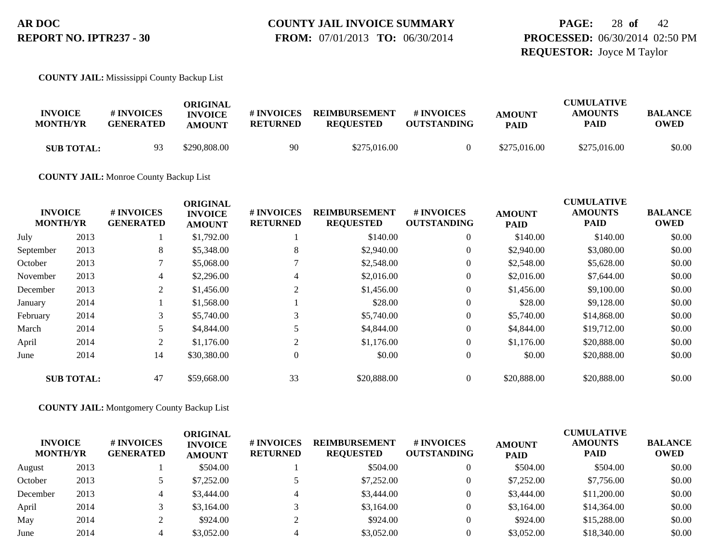### **PAGE:** 28 **of** 42 **PROCESSED:** 06/30/2014 02:50 PM **REQUESTOR:** Joyce M Taylor

**COUNTY JAIL:** Mississippi County Backup List

| <b>INVOICE</b><br><b>MONTH/YR</b> | # INVOICES<br><b>GENERATED</b> | ORIGINAL<br><b>INVOICE</b><br><b>AMOUNT</b> | # INVOICES<br><b>RETURNED</b> | <b>REIMBURSEMENT</b><br><b>REOUESTED</b> | # INVOICES<br><b>OUTSTANDING</b> | <b>AMOUNT</b><br><b>PAID</b> | <b>CUMULATIVE</b><br><b>AMOUNTS</b><br>PAID | <b>BALANCE</b><br>OWED |
|-----------------------------------|--------------------------------|---------------------------------------------|-------------------------------|------------------------------------------|----------------------------------|------------------------------|---------------------------------------------|------------------------|
| <b>SUB TOTAL:</b>                 | 93                             | \$290,808.00                                | -90                           | \$275,016.00                             |                                  | \$275,016.00                 | \$275,016.00                                | \$0.00                 |

**COUNTY JAIL:** Monroe County Backup List

|           |                                   |                                | <b>ORIGINAL</b>                 |                               |                                          |                                  |                              | <b>CUMULATIVE</b>             |                               |
|-----------|-----------------------------------|--------------------------------|---------------------------------|-------------------------------|------------------------------------------|----------------------------------|------------------------------|-------------------------------|-------------------------------|
|           | <b>INVOICE</b><br><b>MONTH/YR</b> | # INVOICES<br><b>GENERATED</b> | <b>INVOICE</b><br><b>AMOUNT</b> | # INVOICES<br><b>RETURNED</b> | <b>REIMBURSEMENT</b><br><b>REQUESTED</b> | # INVOICES<br><b>OUTSTANDING</b> | <b>AMOUNT</b><br><b>PAID</b> | <b>AMOUNTS</b><br><b>PAID</b> | <b>BALANCE</b><br><b>OWED</b> |
| July      | 2013                              |                                | \$1,792.00                      |                               | \$140.00                                 | $\overline{0}$                   | \$140.00                     | \$140.00                      | \$0.00                        |
| September | 2013                              | 8                              | \$5,348.00                      | 8                             | \$2,940.00                               | $\overline{0}$                   | \$2,940.00                   | \$3,080.00                    | \$0.00                        |
| October   | 2013                              |                                | \$5,068.00                      |                               | \$2,548.00                               | $\overline{0}$                   | \$2,548.00                   | \$5,628.00                    | \$0.00                        |
| November  | 2013                              | 4                              | \$2,296.00                      | 4                             | \$2,016.00                               | $\overline{0}$                   | \$2,016.00                   | \$7,644.00                    | \$0.00                        |
| December  | 2013                              | 2                              | \$1,456.00                      |                               | \$1,456.00                               | $\overline{0}$                   | \$1,456.00                   | \$9,100.00                    | \$0.00                        |
| January   | 2014                              |                                | \$1,568.00                      |                               | \$28.00                                  | 0                                | \$28.00                      | \$9,128.00                    | \$0.00                        |
| February  | 2014                              | 3                              | \$5,740.00                      | 3                             | \$5,740.00                               | $\overline{0}$                   | \$5,740.00                   | \$14,868.00                   | \$0.00                        |
| March     | 2014                              | 5                              | \$4,844.00                      |                               | \$4,844.00                               | $\overline{0}$                   | \$4,844.00                   | \$19,712.00                   | \$0.00                        |
| April     | 2014                              | 2                              | \$1,176.00                      | 2                             | \$1,176.00                               | $\overline{0}$                   | \$1,176.00                   | \$20,888.00                   | \$0.00                        |
| June      | 2014                              | 14                             | \$30,380.00                     | $\Omega$                      | \$0.00                                   | $\overline{0}$                   | \$0.00                       | \$20,888.00                   | \$0.00                        |
|           | <b>SUB TOTAL:</b>                 | 47                             | \$59,668.00                     | 33                            | \$20,888.00                              | $\overline{0}$                   | \$20,888.00                  | \$20,888.00                   | \$0.00                        |

**COUNTY JAIL:** Montgomery County Backup List

| <b>INVOICE</b><br><b>MONTH/YR</b> |      | # INVOICES<br><b>GENERATED</b> | ORIGINAL<br><b>INVOICE</b><br><b>AMOUNT</b> | <b># INVOICES</b><br><b>RETURNED</b> | <b>REIMBURSEMENT</b><br><b>REQUESTED</b> | # INVOICES<br><b>OUTSTANDING</b> | <b>AMOUNT</b><br><b>PAID</b> | <b>CUMULATIVE</b><br><b>AMOUNTS</b><br><b>PAID</b> | <b>BALANCE</b><br><b>OWED</b> |
|-----------------------------------|------|--------------------------------|---------------------------------------------|--------------------------------------|------------------------------------------|----------------------------------|------------------------------|----------------------------------------------------|-------------------------------|
| August                            | 2013 |                                | \$504.00                                    |                                      | \$504.00                                 |                                  | \$504.00                     | \$504.00                                           | \$0.00                        |
| October                           | 2013 |                                | \$7,252.00                                  |                                      | \$7,252.00                               |                                  | \$7,252.00                   | \$7,756.00                                         | \$0.00                        |
| December                          | 2013 |                                | \$3,444.00                                  |                                      | \$3,444.00                               |                                  | \$3,444.00                   | \$11,200.00                                        | \$0.00                        |
| April                             | 2014 |                                | \$3,164.00                                  |                                      | \$3,164.00                               |                                  | \$3,164.00                   | \$14,364.00                                        | \$0.00                        |
| May                               | 2014 |                                | \$924.00                                    |                                      | \$924.00                                 |                                  | \$924.00                     | \$15,288.00                                        | \$0.00                        |
| June                              | 2014 |                                | \$3,052.00                                  |                                      | \$3,052.00                               |                                  | \$3,052.00                   | \$18,340.00                                        | \$0.00                        |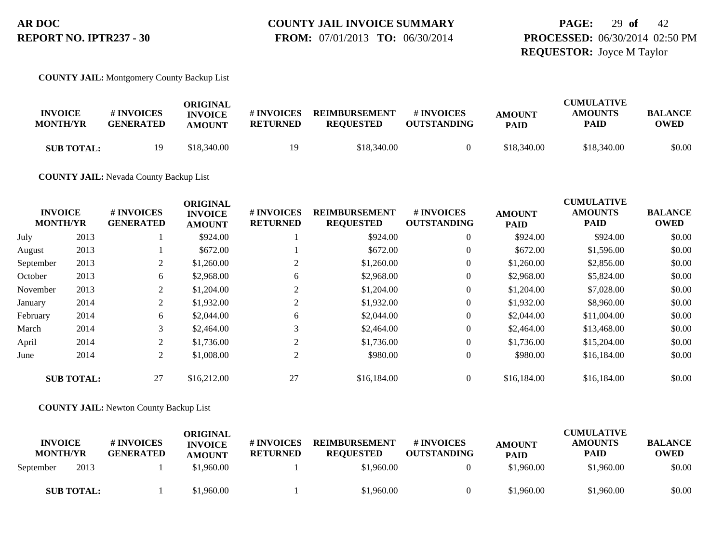**PAGE:** 29 **of** 42 **PROCESSED:** 06/30/2014 02:50 PM **REQUESTOR:** Joyce M Taylor

**COUNTY JAIL:** Montgomery County Backup List

| <b>INVOICE</b><br><b>MONTH/YR</b> | # INVOICES<br><b>GENERATED</b> | ORIGINAL<br><b>INVOICE</b><br><b>AMOUNT</b> | # INVOICES<br><b>RETURNED</b> | <b>REIMBURSEMENT</b><br><b>REOUESTED</b> | <b>#INVOICES</b><br><b>OUTSTANDING</b> | <b>AMOUNT</b><br><b>PAID</b> | <b>CUMULATIVE</b><br><b>AMOUNTS</b><br>PAID | <b>BALANCE</b><br><b>OWED</b> |
|-----------------------------------|--------------------------------|---------------------------------------------|-------------------------------|------------------------------------------|----------------------------------------|------------------------------|---------------------------------------------|-------------------------------|
| <b>SUB TOTAL:</b>                 | 19                             | \$18,340.00                                 | 19                            | \$18,340.00                              |                                        | \$18,340.00                  | \$18,340.00                                 | \$0.00                        |

**COUNTY JAIL:** Nevada County Backup List

|           |                                   |                                | <b>ORIGINAL</b>                 |                               |                                          |                                        |                              | <b>CUMULATIVE</b>             |                               |
|-----------|-----------------------------------|--------------------------------|---------------------------------|-------------------------------|------------------------------------------|----------------------------------------|------------------------------|-------------------------------|-------------------------------|
|           | <b>INVOICE</b><br><b>MONTH/YR</b> | # INVOICES<br><b>GENERATED</b> | <b>INVOICE</b><br><b>AMOUNT</b> | # INVOICES<br><b>RETURNED</b> | <b>REIMBURSEMENT</b><br><b>REQUESTED</b> | <b>#INVOICES</b><br><b>OUTSTANDING</b> | <b>AMOUNT</b><br><b>PAID</b> | <b>AMOUNTS</b><br><b>PAID</b> | <b>BALANCE</b><br><b>OWED</b> |
| July      | 2013                              |                                | \$924.00                        |                               | \$924.00                                 | $\overline{0}$                         | \$924.00                     | \$924.00                      | \$0.00                        |
| August    | 2013                              |                                | \$672.00                        |                               | \$672.00                                 | $\theta$                               | \$672.00                     | \$1,596.00                    | \$0.00                        |
| September | 2013                              | 2                              | \$1,260.00                      | 2                             | \$1,260.00                               |                                        | \$1,260.00                   | \$2,856.00                    | \$0.00                        |
| October   | 2013                              | 6                              | \$2,968.00                      | 6                             | \$2,968.00                               | $\overline{0}$                         | \$2,968.00                   | \$5,824.00                    | \$0.00                        |
| November  | 2013                              | 2                              | \$1,204.00                      |                               | \$1,204.00                               | $\overline{0}$                         | \$1,204.00                   | \$7,028.00                    | \$0.00                        |
| January   | 2014                              | 2                              | \$1,932.00                      |                               | \$1,932.00                               |                                        | \$1,932.00                   | \$8,960.00                    | \$0.00                        |
| February  | 2014                              | 6                              | \$2,044.00                      | 6                             | \$2,044.00                               | $\overline{0}$                         | \$2,044.00                   | \$11,004.00                   | \$0.00                        |
| March     | 2014                              | 3                              | \$2,464.00                      | 3                             | \$2,464.00                               | $\overline{0}$                         | \$2,464.00                   | \$13,468.00                   | \$0.00                        |
| April     | 2014                              | 2                              | \$1,736.00                      | $\bigcap$                     | \$1,736.00                               | $\overline{0}$                         | \$1,736.00                   | \$15,204.00                   | \$0.00                        |
| June      | 2014                              | 2                              | \$1,008.00                      | 2                             | \$980.00                                 | $\theta$                               | \$980.00                     | \$16,184.00                   | \$0.00                        |
|           | <b>SUB TOTAL:</b>                 | 27                             | \$16,212.00                     | 27                            | \$16,184.00                              | $\overline{0}$                         | \$16,184.00                  | \$16,184.00                   | \$0.00                        |

**COUNTY JAIL:** Newton County Backup List

| <b>INVOICE</b><br><b>MONTH/YR</b> |                   | # INVOICES<br><b>GENERATED</b> | ORIGINAL<br><b>INVOICE</b><br><b>AMOUNT</b> | # INVOICES<br><b>RETURNED</b> | <b>REIMBURSEMENT</b><br><b>REOUESTED</b> | # INVOICES<br><b>OUTSTANDING</b> | <b>AMOUNT</b><br><b>PAID</b> | <b>CUMULATIVE</b><br><b>AMOUNTS</b><br><b>PAID</b> | <b>BALANCE</b><br><b>OWED</b> |
|-----------------------------------|-------------------|--------------------------------|---------------------------------------------|-------------------------------|------------------------------------------|----------------------------------|------------------------------|----------------------------------------------------|-------------------------------|
| September                         | 2013              |                                | \$1,960.00                                  |                               | \$1,960.00                               |                                  | \$1,960.00                   | \$1,960.00                                         | \$0.00                        |
|                                   | <b>SUB TOTAL:</b> |                                | \$1,960.00                                  |                               | \$1,960.00                               |                                  | \$1,960.00                   | \$1,960.00                                         | \$0.00                        |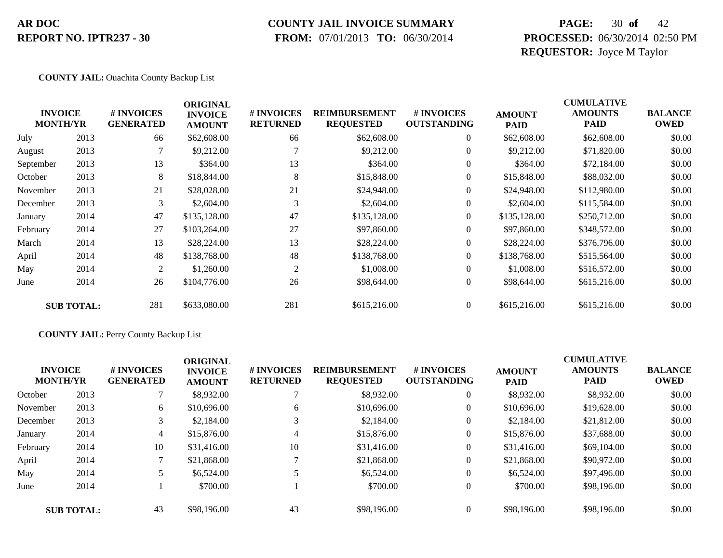#### **COUNTY JAIL INVOICE SUMMARY**

 **FROM:** 07/01/2013 **TO:** 06/30/2014

### **PAGE:** 30 **of** 42 **PROCESSED:** 06/30/2014 02:50 PM **REQUESTOR:** Joyce M Taylor

#### **COUNTY JAIL:** Ouachita County Backup List

|           | <b>INVOICE</b><br><b>MONTH/YR</b> | # INVOICES<br><b>GENERATED</b> | <b>ORIGINAL</b><br><b>INVOICE</b><br><b>AMOUNT</b> | # INVOICES<br><b>RETURNED</b> | <b>REIMBURSEMENT</b><br><b>REQUESTED</b> | # INVOICES<br><b>OUTSTANDING</b> | <b>AMOUNT</b><br><b>PAID</b> | <b>CUMULATIVE</b><br><b>AMOUNTS</b><br><b>PAID</b> | <b>BALANCE</b><br><b>OWED</b> |
|-----------|-----------------------------------|--------------------------------|----------------------------------------------------|-------------------------------|------------------------------------------|----------------------------------|------------------------------|----------------------------------------------------|-------------------------------|
| July      | 2013                              | 66                             | \$62,608.00                                        | 66                            | \$62,608.00                              | $\overline{0}$                   | \$62,608.00                  | \$62,608.00                                        | \$0.00                        |
| August    | 2013                              |                                | \$9,212.00                                         |                               | \$9,212.00                               | $\overline{0}$                   | \$9,212.00                   | \$71,820.00                                        | \$0.00                        |
| September | 2013                              | 13                             | \$364.00                                           | 13                            | \$364.00                                 | $\overline{0}$                   | \$364.00                     | \$72,184.00                                        | \$0.00                        |
| October   | 2013                              | 8                              | \$18,844.00                                        | 8                             | \$15,848.00                              | $\boldsymbol{0}$                 | \$15,848.00                  | \$88,032.00                                        | \$0.00                        |
| November  | 2013                              | 21                             | \$28,028.00                                        | 21                            | \$24,948.00                              | $\overline{0}$                   | \$24,948.00                  | \$112,980.00                                       | \$0.00                        |
| December  | 2013                              | 3                              | \$2,604.00                                         | 3                             | \$2,604.00                               | $\Omega$                         | \$2,604.00                   | \$115,584.00                                       | \$0.00                        |
| January   | 2014                              | 47                             | \$135,128.00                                       | 47                            | \$135,128.00                             | $\Omega$                         | \$135,128.00                 | \$250,712.00                                       | \$0.00                        |
| February  | 2014                              | 27                             | \$103,264.00                                       | 27                            | \$97,860.00                              | $\overline{0}$                   | \$97,860.00                  | \$348,572.00                                       | \$0.00                        |
| March     | 2014                              | 13                             | \$28,224.00                                        | 13                            | \$28,224.00                              | $\overline{0}$                   | \$28,224.00                  | \$376,796.00                                       | \$0.00                        |
| April     | 2014                              | 48                             | \$138,768.00                                       | 48                            | \$138,768.00                             | $\overline{0}$                   | \$138,768.00                 | \$515,564.00                                       | \$0.00                        |
| May       | 2014                              | 2                              | \$1,260.00                                         | 2                             | \$1,008.00                               | $\overline{0}$                   | \$1,008.00                   | \$516,572.00                                       | \$0.00                        |
| June      | 2014                              | 26                             | \$104,776.00                                       | 26                            | \$98,644.00                              | $\boldsymbol{0}$                 | \$98,644.00                  | \$615,216.00                                       | \$0.00                        |
|           | <b>SUB TOTAL:</b>                 | 281                            | \$633,080.00                                       | 281                           | \$615,216.00                             | $\overline{0}$                   | \$615,216.00                 | \$615,216.00                                       | \$0.00                        |

#### **COUNTY JAIL:** Perry County Backup List

|          | <b>INVOICE</b><br><b>MONTH/YR</b> | # INVOICES<br><b>GENERATED</b> | <b>ORIGINAL</b><br><b>INVOICE</b><br><b>AMOUNT</b> | # INVOICES<br><b>RETURNED</b> | <b>REIMBURSEMENT</b><br><b>REQUESTED</b> | <b>#INVOICES</b><br><b>OUTSTANDING</b> | <b>AMOUNT</b><br><b>PAID</b> | <b>CUMULATIVE</b><br><b>AMOUNTS</b><br><b>PAID</b> | <b>BALANCE</b><br><b>OWED</b> |
|----------|-----------------------------------|--------------------------------|----------------------------------------------------|-------------------------------|------------------------------------------|----------------------------------------|------------------------------|----------------------------------------------------|-------------------------------|
| October  | 2013                              |                                | \$8,932.00                                         |                               | \$8,932.00                               | $\overline{0}$                         | \$8,932.00                   | \$8,932.00                                         | \$0.00                        |
| November | 2013                              | 6                              | \$10,696.00                                        | 6                             | \$10,696.00                              | $\overline{0}$                         | \$10,696.00                  | \$19,628.00                                        | \$0.00                        |
| December | 2013                              | 3                              | \$2,184.00                                         |                               | \$2,184.00                               | $\overline{0}$                         | \$2,184.00                   | \$21,812.00                                        | \$0.00                        |
| January  | 2014                              | 4                              | \$15,876.00                                        | 4                             | \$15,876.00                              | $\overline{0}$                         | \$15,876.00                  | \$37,688.00                                        | \$0.00                        |
| February | 2014                              | 10                             | \$31,416.00                                        | 10                            | \$31,416.00                              | $\overline{0}$                         | \$31,416.00                  | \$69,104.00                                        | \$0.00                        |
| April    | 2014                              |                                | \$21,868.00                                        |                               | \$21,868.00                              | $\overline{0}$                         | \$21,868.00                  | \$90,972.00                                        | \$0.00                        |
| May      | 2014                              |                                | \$6,524.00                                         |                               | \$6,524.00                               | $\overline{0}$                         | \$6,524.00                   | \$97,496.00                                        | \$0.00                        |
| June     | 2014                              |                                | \$700.00                                           |                               | \$700.00                                 | $\overline{0}$                         | \$700.00                     | \$98,196.00                                        | \$0.00                        |
|          | <b>SUB TOTAL:</b>                 | 43                             | \$98,196.00                                        | 43                            | \$98,196.00                              | $\Omega$                               | \$98,196.00                  | \$98,196.00                                        | \$0.00                        |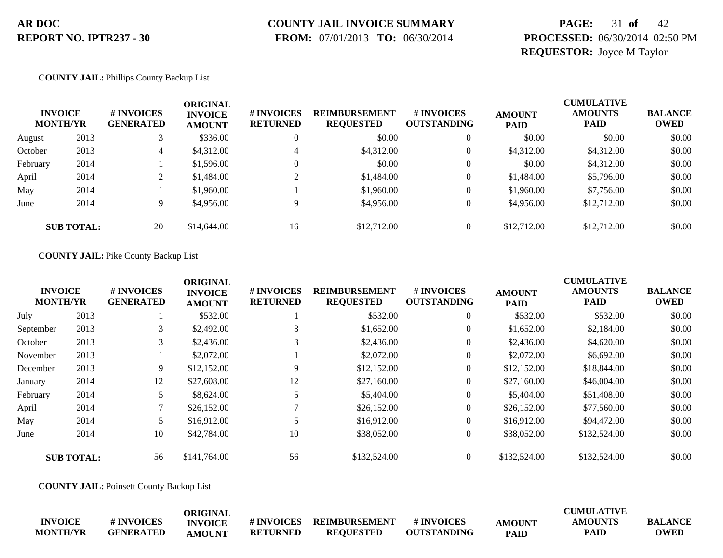# **COUNTY JAIL INVOICE SUMMARY**

 **FROM:** 07/01/2013 **TO:** 06/30/2014

### **PAGE:** 31 **of** 42 **PROCESSED:** 06/30/2014 02:50 PM **REQUESTOR:** Joyce M Taylor

#### **COUNTY JAIL:** Phillips County Backup List

|          | <b>INVOICE</b><br><b>MONTH/YR</b> | # INVOICES<br><b>GENERATED</b> | ORIGINAL<br><b>INVOICE</b><br><b>AMOUNT</b> | <b># INVOICES</b><br><b>RETURNED</b> | <b>REIMBURSEMENT</b><br><b>REQUESTED</b> | # INVOICES<br><b>OUTSTANDING</b> | <b>AMOUNT</b><br><b>PAID</b> | <b>CUMULATIVE</b><br><b>AMOUNTS</b><br><b>PAID</b> | <b>BALANCE</b><br><b>OWED</b> |
|----------|-----------------------------------|--------------------------------|---------------------------------------------|--------------------------------------|------------------------------------------|----------------------------------|------------------------------|----------------------------------------------------|-------------------------------|
| August   | 2013                              |                                | \$336.00                                    |                                      | \$0.00                                   | $\overline{0}$                   | \$0.00                       | \$0.00                                             | \$0.00                        |
| October  | 2013                              | 4                              | \$4,312.00                                  | 4                                    | \$4,312.00                               | $\overline{0}$                   | \$4,312.00                   | \$4,312.00                                         | \$0.00                        |
| February | 2014                              |                                | \$1,596.00                                  |                                      | \$0.00                                   | $\Omega$                         | \$0.00                       | \$4,312.00                                         | \$0.00                        |
| April    | 2014                              | ↑<br>∠                         | \$1,484.00                                  |                                      | \$1,484.00                               | $\overline{0}$                   | \$1,484.00                   | \$5,796.00                                         | \$0.00                        |
| May      | 2014                              |                                | \$1,960.00                                  |                                      | \$1,960.00                               | $\theta$                         | \$1,960.00                   | \$7,756.00                                         | \$0.00                        |
| June     | 2014                              | 9.                             | \$4,956.00                                  |                                      | \$4,956.00                               | $\theta$                         | \$4,956.00                   | \$12,712.00                                        | \$0.00                        |
|          | <b>SUB TOTAL:</b>                 | 20                             | \$14,644.00                                 | 16                                   | \$12,712.00                              | $\overline{0}$                   | \$12,712.00                  | \$12,712.00                                        | \$0.00                        |

#### **COUNTY JAIL:** Pike County Backup List

|           |                                   |                                | <b>ORIGINAL</b>                 |                                      |                                          |                                  | <b>CUMULATIVE</b>            |                               |                               |
|-----------|-----------------------------------|--------------------------------|---------------------------------|--------------------------------------|------------------------------------------|----------------------------------|------------------------------|-------------------------------|-------------------------------|
|           | <b>INVOICE</b><br><b>MONTH/YR</b> | # INVOICES<br><b>GENERATED</b> | <b>INVOICE</b><br><b>AMOUNT</b> | <b># INVOICES</b><br><b>RETURNED</b> | <b>REIMBURSEMENT</b><br><b>REQUESTED</b> | # INVOICES<br><b>OUTSTANDING</b> | <b>AMOUNT</b><br><b>PAID</b> | <b>AMOUNTS</b><br><b>PAID</b> | <b>BALANCE</b><br><b>OWED</b> |
| July      | 2013                              |                                | \$532.00                        |                                      | \$532.00                                 | $\mathbf{0}$                     | \$532.00                     | \$532.00                      | \$0.00                        |
| September | 2013                              | 3                              | \$2,492.00                      |                                      | \$1,652.00                               | $\overline{0}$                   | \$1,652.00                   | \$2,184.00                    | \$0.00                        |
| October   | 2013                              | 3                              | \$2,436.00                      | 3                                    | \$2,436.00                               | $\theta$                         | \$2,436.00                   | \$4,620.00                    | \$0.00                        |
| November  | 2013                              |                                | \$2,072.00                      |                                      | \$2,072.00                               | $\mathbf{0}$                     | \$2,072.00                   | \$6,692.00                    | \$0.00                        |
| December  | 2013                              | 9                              | \$12,152.00                     | 9                                    | \$12,152.00                              | $\mathbf{0}$                     | \$12,152.00                  | \$18,844.00                   | \$0.00                        |
| January   | 2014                              | 12                             | \$27,608.00                     | 12                                   | \$27,160.00                              | $\overline{0}$                   | \$27,160.00                  | \$46,004.00                   | \$0.00                        |
| February  | 2014                              | 5                              | \$8,624.00                      |                                      | \$5,404.00                               | $\overline{0}$                   | \$5,404.00                   | \$51,408.00                   | \$0.00                        |
| April     | 2014                              |                                | \$26,152.00                     |                                      | \$26,152.00                              | $\Omega$                         | \$26,152.00                  | \$77,560.00                   | \$0.00                        |
| May       | 2014                              |                                | \$16,912.00                     |                                      | \$16,912.00                              | $\mathbf{0}$                     | \$16,912.00                  | \$94,472.00                   | \$0.00                        |
| June      | 2014                              | 10                             | \$42,784.00                     | 10                                   | \$38,052.00                              | $\mathbf{0}$                     | \$38,052.00                  | \$132,524.00                  | \$0.00                        |
|           | <b>SUB TOTAL:</b>                 | 56                             | \$141,764.00                    | 56                                   | \$132,524.00                             | $\overline{0}$                   | \$132,524.00                 | \$132,524.00                  | \$0.00                        |

**COUNTY JAIL:** Poinsett County Backup List

|                 |                  | ORIGINAL       |                   |                  |                    |               | <b>CUMULATIVE</b> |                |
|-----------------|------------------|----------------|-------------------|------------------|--------------------|---------------|-------------------|----------------|
| <b>INVOICE</b>  | <b>#INVOICES</b> | <b>INVOICE</b> | <b># INVOICES</b> | REIMBURSEMENT    | <b>#INVOICES</b>   | <b>AMOUNT</b> | <b>AMOUNTS</b>    | <b>BALANCE</b> |
| <b>MONTH/YR</b> | <b>GENERATED</b> | <b>AMOUNT</b>  | <b>RETURNED</b>   | <b>REOUESTED</b> | <b>OUTSTANDING</b> | <b>PAID</b>   | PAID              | <b>OWED</b>    |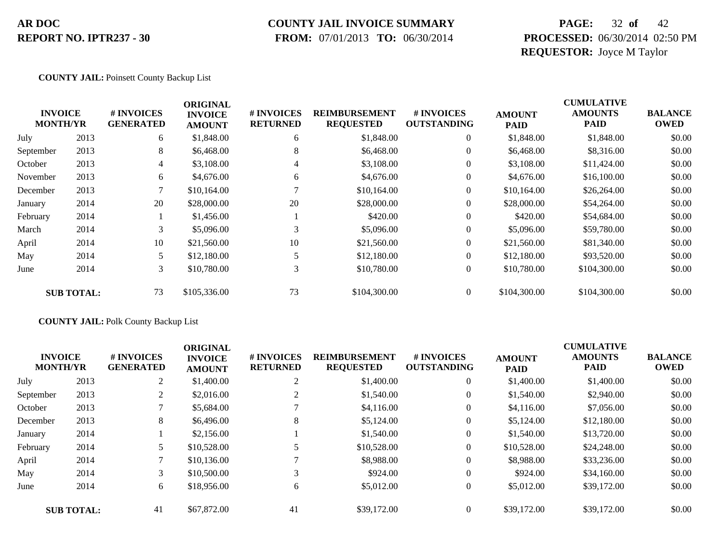#### **COUNTY JAIL INVOICE SUMMARY**

 **FROM:** 07/01/2013 **TO:** 06/30/2014

### **PAGE:** 32 **of** 42 **PROCESSED:** 06/30/2014 02:50 PM **REQUESTOR:** Joyce M Taylor

#### **COUNTY JAIL:** Poinsett County Backup List

|           |                                   |                                | <b>ORIGINAL</b>                 |                               |                                          |                                  | <b>CUMULATIVE</b>            |                               |                               |  |
|-----------|-----------------------------------|--------------------------------|---------------------------------|-------------------------------|------------------------------------------|----------------------------------|------------------------------|-------------------------------|-------------------------------|--|
|           | <b>INVOICE</b><br><b>MONTH/YR</b> | # INVOICES<br><b>GENERATED</b> | <b>INVOICE</b><br><b>AMOUNT</b> | # INVOICES<br><b>RETURNED</b> | <b>REIMBURSEMENT</b><br><b>REQUESTED</b> | # INVOICES<br><b>OUTSTANDING</b> | <b>AMOUNT</b><br><b>PAID</b> | <b>AMOUNTS</b><br><b>PAID</b> | <b>BALANCE</b><br><b>OWED</b> |  |
| July      | 2013                              | 6                              | \$1,848.00                      | 6                             | \$1,848.00                               | $\boldsymbol{0}$                 | \$1,848.00                   | \$1,848.00                    | \$0.00                        |  |
| September | 2013                              | 8                              | \$6,468.00                      | 8                             | \$6,468.00                               | $\overline{0}$                   | \$6,468.00                   | \$8,316.00                    | \$0.00                        |  |
| October   | 2013                              | 4                              | \$3,108.00                      | 4                             | \$3,108.00                               | $\overline{0}$                   | \$3,108.00                   | \$11,424.00                   | \$0.00                        |  |
| November  | 2013                              | 6                              | \$4,676.00                      | 6                             | \$4,676.00                               | $\boldsymbol{0}$                 | \$4,676.00                   | \$16,100.00                   | \$0.00                        |  |
| December  | 2013                              | $\mathbf{r}$                   | \$10,164.00                     |                               | \$10,164.00                              | $\overline{0}$                   | \$10,164.00                  | \$26,264.00                   | \$0.00                        |  |
| January   | 2014                              | 20                             | \$28,000.00                     | 20                            | \$28,000.00                              | $\overline{0}$                   | \$28,000.00                  | \$54,264.00                   | \$0.00                        |  |
| February  | 2014                              |                                | \$1,456.00                      |                               | \$420.00                                 | $\overline{0}$                   | \$420.00                     | \$54,684.00                   | \$0.00                        |  |
| March     | 2014                              | 3                              | \$5,096.00                      | 3                             | \$5,096.00                               | $\overline{0}$                   | \$5,096.00                   | \$59,780.00                   | \$0.00                        |  |
| April     | 2014                              | 10                             | \$21,560.00                     | 10                            | \$21,560.00                              | $\overline{0}$                   | \$21,560.00                  | \$81,340.00                   | \$0.00                        |  |
| May       | 2014                              |                                | \$12,180.00                     |                               | \$12,180.00                              | $\overline{0}$                   | \$12,180.00                  | \$93,520.00                   | \$0.00                        |  |
| June      | 2014                              | 3                              | \$10,780.00                     | 3                             | \$10,780.00                              | $\boldsymbol{0}$                 | \$10,780.00                  | \$104,300.00                  | \$0.00                        |  |
|           | <b>SUB TOTAL:</b>                 | 73                             | \$105,336.00                    | 73                            | \$104,300.00                             | $\overline{0}$                   | \$104,300.00                 | \$104,300.00                  | \$0.00                        |  |

#### **COUNTY JAIL:** Polk County Backup List

|           | <b>INVOICE</b><br><b>MONTH/YR</b> | # INVOICES<br><b>GENERATED</b> | <b>ORIGINAL</b><br><b>INVOICE</b><br><b>AMOUNT</b> | # INVOICES<br><b>RETURNED</b> | <b>REIMBURSEMENT</b><br><b>REQUESTED</b> | # INVOICES<br><b>OUTSTANDING</b> | <b>AMOUNT</b><br><b>PAID</b> | <b>CUMULATIVE</b><br><b>AMOUNTS</b><br><b>PAID</b> | <b>BALANCE</b><br><b>OWED</b> |
|-----------|-----------------------------------|--------------------------------|----------------------------------------------------|-------------------------------|------------------------------------------|----------------------------------|------------------------------|----------------------------------------------------|-------------------------------|
| July      | 2013                              | 2                              | \$1,400.00                                         | 2                             | \$1,400.00                               | $\overline{0}$                   | \$1,400.00                   | \$1,400.00                                         | \$0.00                        |
| September | 2013                              | 2                              | \$2,016.00                                         |                               | \$1,540.00                               | $\overline{0}$                   | \$1,540.00                   | \$2,940.00                                         | \$0.00                        |
| October   | 2013                              |                                | \$5,684.00                                         |                               | \$4,116.00                               | $\overline{0}$                   | \$4,116.00                   | \$7,056.00                                         | \$0.00                        |
| December  | 2013                              | 8                              | \$6,496.00                                         | 8                             | \$5,124.00                               | $\overline{0}$                   | \$5,124.00                   | \$12,180.00                                        | \$0.00                        |
| January   | 2014                              |                                | \$2,156.00                                         |                               | \$1,540.00                               | $\overline{0}$                   | \$1,540.00                   | \$13,720.00                                        | \$0.00                        |
| February  | 2014                              | 5                              | \$10,528.00                                        |                               | \$10,528.00                              | $\overline{0}$                   | \$10,528.00                  | \$24,248.00                                        | \$0.00                        |
| April     | 2014                              |                                | \$10,136.00                                        |                               | \$8,988.00                               | $\overline{0}$                   | \$8,988.00                   | \$33,236.00                                        | \$0.00                        |
| May       | 2014                              | 3                              | \$10,500.00                                        | 3                             | \$924.00                                 | $\overline{0}$                   | \$924.00                     | \$34,160.00                                        | \$0.00                        |
| June      | 2014                              | 6                              | \$18,956.00                                        | 6                             | \$5,012.00                               | $\overline{0}$                   | \$5,012.00                   | \$39,172.00                                        | \$0.00                        |
|           | <b>SUB TOTAL:</b>                 | 41                             | \$67,872.00                                        | 41                            | \$39,172.00                              | $\overline{0}$                   | \$39,172.00                  | \$39,172.00                                        | \$0.00                        |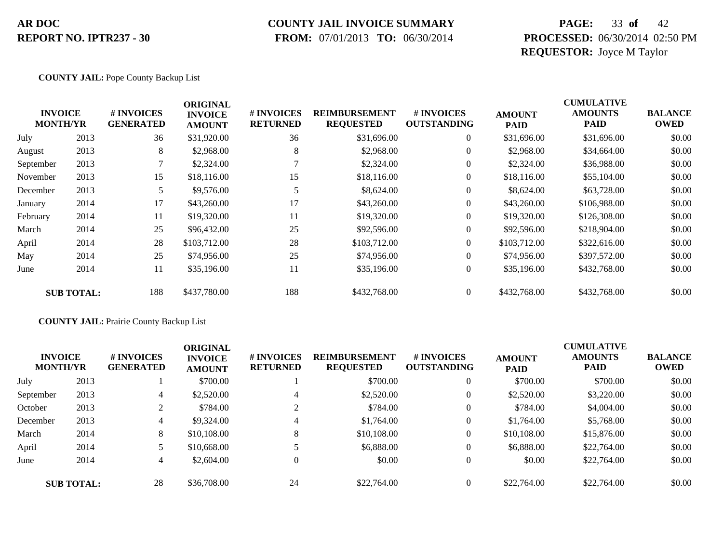#### **COUNTY JAIL INVOICE SUMMARY**

 **FROM:** 07/01/2013 **TO:** 06/30/2014

### **PAGE:** 33 **of** 42 **PROCESSED:** 06/30/2014 02:50 PM **REQUESTOR:** Joyce M Taylor

#### **COUNTY JAIL:** Pope County Backup List

|           |                                   |                                | <b>ORIGINAL</b>                 |                               |                                          |                                  |                              | <b>CUMULATIVE</b>      |                               |
|-----------|-----------------------------------|--------------------------------|---------------------------------|-------------------------------|------------------------------------------|----------------------------------|------------------------------|------------------------|-------------------------------|
|           | <b>INVOICE</b><br><b>MONTH/YR</b> | # INVOICES<br><b>GENERATED</b> | <b>INVOICE</b><br><b>AMOUNT</b> | # INVOICES<br><b>RETURNED</b> | <b>REIMBURSEMENT</b><br><b>REQUESTED</b> | # INVOICES<br><b>OUTSTANDING</b> | <b>AMOUNT</b><br><b>PAID</b> | <b>AMOUNTS</b><br>PAID | <b>BALANCE</b><br><b>OWED</b> |
| July      | 2013                              | 36                             | \$31,920.00                     | 36                            | \$31,696.00                              | $\overline{0}$                   | \$31,696.00                  | \$31,696.00            | \$0.00                        |
| August    | 2013                              | 8                              | \$2,968.00                      | 8                             | \$2,968.00                               | $\boldsymbol{0}$                 | \$2,968.00                   | \$34,664.00            | \$0.00                        |
| September | 2013                              |                                | \$2,324.00                      |                               | \$2,324.00                               | $\overline{0}$                   | \$2,324.00                   | \$36,988.00            | \$0.00                        |
| November  | 2013                              | 15                             | \$18,116.00                     | 15                            | \$18,116.00                              | $\overline{0}$                   | \$18,116.00                  | \$55,104.00            | \$0.00                        |
| December  | 2013                              | 5                              | \$9,576.00                      |                               | \$8,624.00                               | $\theta$                         | \$8,624.00                   | \$63,728.00            | \$0.00                        |
| January   | 2014                              | 17                             | \$43,260.00                     | 17                            | \$43,260.00                              | $\overline{0}$                   | \$43,260.00                  | \$106,988.00           | \$0.00                        |
| February  | 2014                              | 11                             | \$19,320.00                     | 11                            | \$19,320.00                              | $\overline{0}$                   | \$19,320.00                  | \$126,308.00           | \$0.00                        |
| March     | 2014                              | 25                             | \$96,432.00                     | 25                            | \$92,596.00                              | $\overline{0}$                   | \$92,596.00                  | \$218,904.00           | \$0.00                        |
| April     | 2014                              | 28                             | \$103,712.00                    | 28                            | \$103,712.00                             | $\overline{0}$                   | \$103,712.00                 | \$322,616.00           | \$0.00                        |
| May       | 2014                              | 25                             | \$74,956.00                     | 25                            | \$74,956.00                              | $\overline{0}$                   | \$74,956.00                  | \$397,572.00           | \$0.00                        |
| June      | 2014                              | 11                             | \$35,196.00                     | 11                            | \$35,196.00                              | $\overline{0}$                   | \$35,196.00                  | \$432,768.00           | \$0.00                        |
|           | <b>SUB TOTAL:</b>                 | 188                            | \$437,780.00                    | 188                           | \$432,768.00                             | $\overline{0}$                   | \$432,768.00                 | \$432,768.00           | \$0.00                        |

**COUNTY JAIL:** Prairie County Backup List

| <b>INVOICE</b><br><b>MONTH/YR</b> |                   | # INVOICES<br><b>GENERATED</b> | <b>ORIGINAL</b><br><b>INVOICE</b><br><b>AMOUNT</b> | # INVOICES<br><b>RETURNED</b> | <b>REIMBURSEMENT</b><br><b>REQUESTED</b> | # INVOICES<br><b>OUTSTANDING</b> | <b>AMOUNT</b><br><b>PAID</b> | <b>CUMULATIVE</b><br><b>AMOUNTS</b><br><b>PAID</b> | <b>BALANCE</b><br><b>OWED</b> |
|-----------------------------------|-------------------|--------------------------------|----------------------------------------------------|-------------------------------|------------------------------------------|----------------------------------|------------------------------|----------------------------------------------------|-------------------------------|
| July                              | 2013              |                                | \$700.00                                           |                               | \$700.00                                 | $\overline{0}$                   | \$700.00                     | \$700.00                                           | \$0.00                        |
| September                         | 2013              | 4                              | \$2,520.00                                         | $\overline{4}$                | \$2,520.00                               | $\theta$                         | \$2,520.00                   | \$3,220.00                                         | \$0.00                        |
| October                           | 2013              | 2                              | \$784.00                                           | 2                             | \$784.00                                 | $\theta$                         | \$784.00                     | \$4,004.00                                         | \$0.00                        |
| December                          | 2013              | 4                              | \$9,324.00                                         | $\overline{4}$                | \$1,764.00                               | $\overline{0}$                   | \$1,764.00                   | \$5,768.00                                         | \$0.00                        |
| March                             | 2014              | 8                              | \$10,108.00                                        | 8                             | \$10,108.00                              | $\overline{0}$                   | \$10,108.00                  | \$15,876.00                                        | \$0.00                        |
| April                             | 2014              |                                | \$10,668.00                                        |                               | \$6,888.00                               | $\overline{0}$                   | \$6,888.00                   | \$22,764.00                                        | \$0.00                        |
| June                              | 2014              | 4                              | \$2,604.00                                         | $\boldsymbol{0}$              | \$0.00                                   | $\mathbf{0}$                     | \$0.00                       | \$22,764.00                                        | \$0.00                        |
|                                   | <b>SUB TOTAL:</b> | 28                             | \$36,708.00                                        | 24                            | \$22,764.00                              | $\overline{0}$                   | \$22,764.00                  | \$22,764.00                                        | \$0.00                        |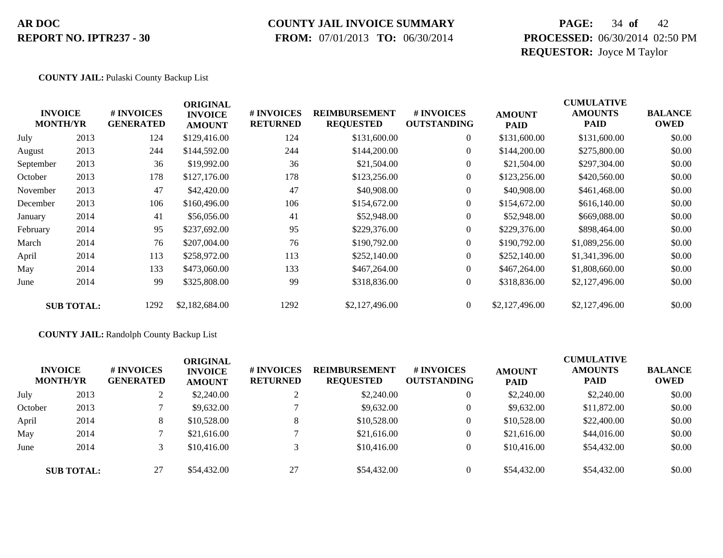# **COUNTY JAIL INVOICE SUMMARY**

 **FROM:** 07/01/2013 **TO:** 06/30/2014

### **PAGE:** 34 **of** 42 **PROCESSED:** 06/30/2014 02:50 PM **REQUESTOR:** Joyce M Taylor

#### **COUNTY JAIL:** Pulaski County Backup List

|           | <b>INVOICE</b><br><b>MONTH/YR</b> | # INVOICES<br><b>GENERATED</b> | <b>ORIGINAL</b><br><b>INVOICE</b><br><b>AMOUNT</b> | # INVOICES<br><b>RETURNED</b> | <b>REIMBURSEMENT</b><br><b>REQUESTED</b> | # INVOICES<br><b>OUTSTANDING</b> | <b>AMOUNT</b><br><b>PAID</b> | <b>CUMULATIVE</b><br><b>AMOUNTS</b><br>PAID | <b>BALANCE</b><br><b>OWED</b> |
|-----------|-----------------------------------|--------------------------------|----------------------------------------------------|-------------------------------|------------------------------------------|----------------------------------|------------------------------|---------------------------------------------|-------------------------------|
| July      | 2013                              | 124                            | \$129,416.00                                       | 124                           | \$131,600.00                             | $\overline{0}$                   | \$131,600.00                 | \$131,600.00                                | \$0.00                        |
| August    | 2013                              | 244                            | \$144,592.00                                       | 244                           | \$144,200.00                             | $\overline{0}$                   | \$144,200.00                 | \$275,800.00                                | \$0.00                        |
| September | 2013                              | 36                             | \$19,992.00                                        | 36                            | \$21,504.00                              | $\overline{0}$                   | \$21,504.00                  | \$297,304.00                                | \$0.00                        |
| October   | 2013                              | 178                            | \$127,176.00                                       | 178                           | \$123,256.00                             | $\overline{0}$                   | \$123,256.00                 | \$420,560.00                                | \$0.00                        |
| November  | 2013                              | 47                             | \$42,420.00                                        | 47                            | \$40,908.00                              | $\overline{0}$                   | \$40,908.00                  | \$461,468.00                                | \$0.00                        |
| December  | 2013                              | 106                            | \$160,496.00                                       | 106                           | \$154,672.00                             | $\overline{0}$                   | \$154,672.00                 | \$616,140.00                                | \$0.00                        |
| January   | 2014                              | 41                             | \$56,056.00                                        | 41                            | \$52,948.00                              | $\overline{0}$                   | \$52,948.00                  | \$669,088.00                                | \$0.00                        |
| February  | 2014                              | 95                             | \$237,692.00                                       | 95                            | \$229,376.00                             | $\overline{0}$                   | \$229,376.00                 | \$898,464.00                                | \$0.00                        |
| March     | 2014                              | 76                             | \$207,004.00                                       | 76                            | \$190,792.00                             | $\overline{0}$                   | \$190,792.00                 | \$1,089,256.00                              | \$0.00                        |
| April     | 2014                              | 113                            | \$258,972.00                                       | 113                           | \$252,140.00                             | $\overline{0}$                   | \$252,140.00                 | \$1,341,396.00                              | \$0.00                        |
| May       | 2014                              | 133                            | \$473,060.00                                       | 133                           | \$467,264.00                             | $\overline{0}$                   | \$467,264.00                 | \$1,808,660.00                              | \$0.00                        |
| June      | 2014                              | 99                             | \$325,808.00                                       | 99                            | \$318,836.00                             | $\overline{0}$                   | \$318,836.00                 | \$2,127,496.00                              | \$0.00                        |
|           | <b>SUB TOTAL:</b>                 | 1292                           | \$2,182,684.00                                     | 1292                          | \$2,127,496.00                           | $\overline{0}$                   | \$2,127,496.00               | \$2,127,496.00                              | \$0.00                        |

#### **COUNTY JAIL:** Randolph County Backup List

|         | <b>INVOICE</b><br><b>MONTH/YR</b> | # INVOICES<br><b>GENERATED</b> | <b>ORIGINAL</b><br><b>INVOICE</b><br><b>AMOUNT</b> | # INVOICES<br><b>RETURNED</b> | <b>REIMBURSEMENT</b><br><b>REQUESTED</b> | # INVOICES<br><b>OUTSTANDING</b> | <b>AMOUNT</b><br><b>PAID</b> | <b>CUMULATIVE</b><br><b>AMOUNTS</b><br><b>PAID</b> | <b>BALANCE</b><br><b>OWED</b> |
|---------|-----------------------------------|--------------------------------|----------------------------------------------------|-------------------------------|------------------------------------------|----------------------------------|------------------------------|----------------------------------------------------|-------------------------------|
| July    | 2013                              | $\overline{L}$                 | \$2,240.00                                         |                               | \$2,240.00                               | $\overline{0}$                   | \$2,240.00                   | \$2,240.00                                         | \$0.00                        |
| October | 2013                              |                                | \$9,632.00                                         |                               | \$9,632.00                               | $\overline{0}$                   | \$9,632.00                   | \$11,872.00                                        | \$0.00                        |
| April   | 2014                              | 8                              | \$10,528.00                                        | 8                             | \$10,528.00                              | $\theta$                         | \$10,528.00                  | \$22,400.00                                        | \$0.00                        |
| May     | 2014                              |                                | \$21,616.00                                        |                               | \$21,616.00                              | $\theta$                         | \$21,616.00                  | \$44,016.00                                        | \$0.00                        |
| June    | 2014                              |                                | \$10,416.00                                        |                               | \$10,416.00                              | $\overline{0}$                   | \$10,416.00                  | \$54,432.00                                        | \$0.00                        |
|         | <b>SUB TOTAL:</b>                 | 27                             | \$54,432.00                                        | 27                            | \$54,432.00                              | $\theta$                         | \$54,432.00                  | \$54,432.00                                        | \$0.00                        |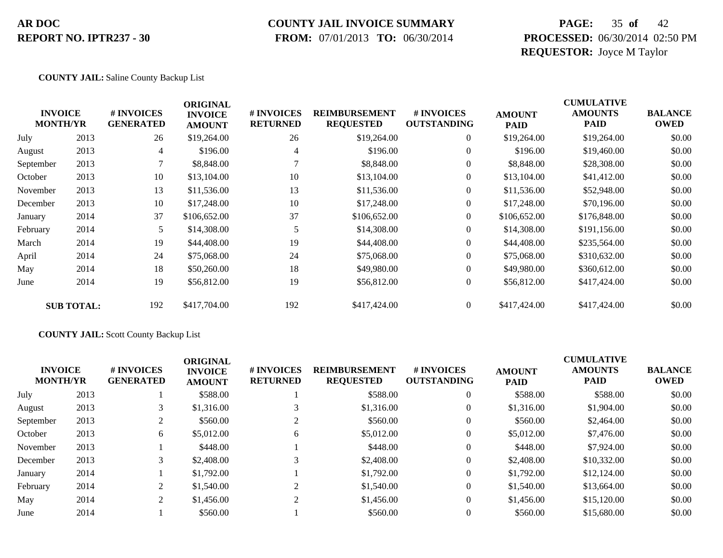### **COUNTY JAIL INVOICE SUMMARY**

 **FROM:** 07/01/2013 **TO:** 06/30/2014

### **PAGE:** 35 **of** 42 **PROCESSED:** 06/30/2014 02:50 PM **REQUESTOR:** Joyce M Taylor

#### **COUNTY JAIL:** Saline County Backup List

| <b>MONTH/YR</b> | <b>INVOICE</b>    | # INVOICES<br><b>GENERATED</b> | <b>ORIGINAL</b><br><b>INVOICE</b><br><b>AMOUNT</b> | # INVOICES<br><b>RETURNED</b> | <b>REIMBURSEMENT</b><br><b>REQUESTED</b> | # INVOICES<br><b>OUTSTANDING</b> | <b>AMOUNT</b><br><b>PAID</b> | <b>CUMULATIVE</b><br><b>AMOUNTS</b><br><b>PAID</b> | <b>BALANCE</b><br><b>OWED</b> |
|-----------------|-------------------|--------------------------------|----------------------------------------------------|-------------------------------|------------------------------------------|----------------------------------|------------------------------|----------------------------------------------------|-------------------------------|
| July            | 2013              | 26                             | \$19,264.00                                        | 26                            | \$19,264.00                              | $\overline{0}$                   | \$19,264.00                  | \$19,264.00                                        | \$0.00                        |
| August          | 2013              | $\overline{4}$                 | \$196.00                                           | 4                             | \$196.00                                 | $\overline{0}$                   | \$196.00                     | \$19,460.00                                        | \$0.00                        |
| September       | 2013              | 7                              | \$8,848.00                                         |                               | \$8,848.00                               | $\overline{0}$                   | \$8,848.00                   | \$28,308.00                                        | \$0.00                        |
| October         | 2013              | 10                             | \$13,104.00                                        | 10                            | \$13,104.00                              | $\overline{0}$                   | \$13,104.00                  | \$41,412.00                                        | \$0.00                        |
| November        | 2013              | 13                             | \$11,536.00                                        | 13                            | \$11,536.00                              | $\boldsymbol{0}$                 | \$11,536.00                  | \$52,948.00                                        | \$0.00                        |
| December        | 2013              | 10                             | \$17,248.00                                        | 10                            | \$17,248.00                              | $\overline{0}$                   | \$17,248.00                  | \$70,196.00                                        | \$0.00                        |
| January         | 2014              | 37                             | \$106,652.00                                       | 37                            | \$106,652.00                             | $\overline{0}$                   | \$106,652.00                 | \$176,848.00                                       | \$0.00                        |
| February        | 2014              | 5                              | \$14,308.00                                        | 5                             | \$14,308.00                              | $\overline{0}$                   | \$14,308.00                  | \$191,156.00                                       | \$0.00                        |
| March           | 2014              | 19                             | \$44,408.00                                        | 19                            | \$44,408.00                              | $\overline{0}$                   | \$44,408.00                  | \$235,564.00                                       | \$0.00                        |
| April           | 2014              | 24                             | \$75,068.00                                        | 24                            | \$75,068.00                              | $\overline{0}$                   | \$75,068.00                  | \$310,632.00                                       | \$0.00                        |
| May             | 2014              | 18                             | \$50,260.00                                        | 18                            | \$49,980.00                              | $\overline{0}$                   | \$49,980.00                  | \$360,612.00                                       | \$0.00                        |
| June            | 2014              | 19                             | \$56,812.00                                        | 19                            | \$56,812.00                              | $\boldsymbol{0}$                 | \$56,812.00                  | \$417,424.00                                       | \$0.00                        |
|                 | <b>SUB TOTAL:</b> | 192                            | \$417,704.00                                       | 192                           | \$417,424.00                             | $\overline{0}$                   | \$417,424.00                 | \$417,424.00                                       | \$0.00                        |

#### **COUNTY JAIL:** Scott County Backup List

|           | <b>INVOICE</b><br><b>MONTH/YR</b> | # INVOICES<br><b>GENERATED</b> | <b>ORIGINAL</b><br><b>INVOICE</b><br><b>AMOUNT</b> | # INVOICES<br><b>RETURNED</b> | <b>REIMBURSEMENT</b><br><b>REQUESTED</b> | # INVOICES<br><b>OUTSTANDING</b> | <b>AMOUNT</b><br><b>PAID</b> | <b>CUMULATIVE</b><br><b>AMOUNTS</b><br>PAID | <b>BALANCE</b><br><b>OWED</b> |
|-----------|-----------------------------------|--------------------------------|----------------------------------------------------|-------------------------------|------------------------------------------|----------------------------------|------------------------------|---------------------------------------------|-------------------------------|
| July      | 2013                              |                                | \$588.00                                           |                               | \$588.00                                 | $\overline{0}$                   | \$588.00                     | \$588.00                                    | \$0.00                        |
| August    | 2013                              |                                | \$1,316.00                                         |                               | \$1,316.00                               | $\overline{0}$                   | \$1,316.00                   | \$1,904.00                                  | \$0.00                        |
| September | 2013                              | 2                              | \$560.00                                           |                               | \$560.00                                 | $\overline{0}$                   | \$560.00                     | \$2,464.00                                  | \$0.00                        |
| October   | 2013                              | 6                              | \$5,012.00                                         | 6                             | \$5,012.00                               | $\overline{0}$                   | \$5,012.00                   | \$7,476.00                                  | \$0.00                        |
| November  | 2013                              |                                | \$448.00                                           |                               | \$448.00                                 | $\overline{0}$                   | \$448.00                     | \$7,924.00                                  | \$0.00                        |
| December  | 2013                              | 3                              | \$2,408.00                                         | $\sim$                        | \$2,408.00                               | $\overline{0}$                   | \$2,408.00                   | \$10,332.00                                 | \$0.00                        |
| January   | 2014                              |                                | \$1,792.00                                         |                               | \$1,792.00                               | $\overline{0}$                   | \$1,792.00                   | \$12,124.00                                 | \$0.00                        |
| February  | 2014                              | 2                              | \$1,540.00                                         |                               | \$1,540.00                               | $\overline{0}$                   | \$1,540.00                   | \$13,664.00                                 | \$0.00                        |
| May       | 2014                              | $\overline{2}$                 | \$1,456.00                                         | $\sim$                        | \$1,456.00                               | $\overline{0}$                   | \$1,456.00                   | \$15,120.00                                 | \$0.00                        |
| June      | 2014                              |                                | \$560.00                                           |                               | \$560.00                                 | $\overline{0}$                   | \$560.00                     | \$15,680.00                                 | \$0.00                        |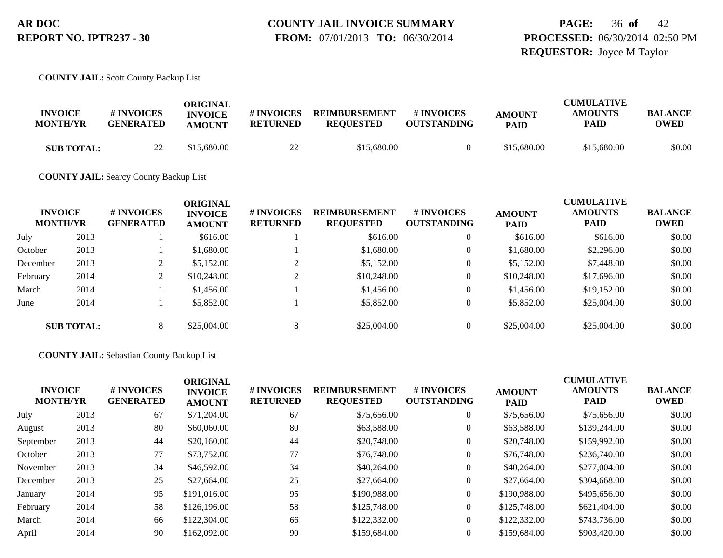### **PAGE:** 36 **of** 42 **PROCESSED:** 06/30/2014 02:50 PM **REQUESTOR:** Joyce M Taylor

**COUNTY JAIL:** Scott County Backup List

| <b>INVOICE</b><br><b>MONTH/YR</b> | # INVOICES<br><b>GENERATED</b> | ORIGINAL<br><b>INVOICE</b><br><b>AMOUNT</b> | # INVOICES<br><b>RETURNED</b>              | <b>REIMBURSEMENT</b><br><b>REOUESTED</b> | # INVOICES<br><b>OUTSTANDING</b> | <b>AMOUNT</b><br><b>PAID</b> | <b>CUMULATIVE</b><br><b>AMOUNTS</b><br><b>PAID</b> | <b>BALANCE</b><br><b>OWED</b> |
|-----------------------------------|--------------------------------|---------------------------------------------|--------------------------------------------|------------------------------------------|----------------------------------|------------------------------|----------------------------------------------------|-------------------------------|
| <b>SUB TOTAL:</b>                 | 22<br>∠∠                       | \$15,680.00                                 | $\gamma\gamma$<br>$\overline{\phantom{a}}$ | \$15,680.00                              |                                  | \$15,680.00                  | \$15,680.00                                        | \$0.00                        |

**COUNTY JAIL:** Searcy County Backup List

| <b>INVOICE</b><br><b>MONTH/YR</b> |                   | <b># INVOICES</b><br><b>GENERATED</b> | ORIGINAL<br><b>INVOICE</b><br><b>AMOUNT</b> | <b># INVOICES</b><br><b>RETURNED</b> | <b>REIMBURSEMENT</b><br><b>REQUESTED</b> | <b># INVOICES</b><br><b>OUTSTANDING</b> | <b>AMOUNT</b><br><b>PAID</b> | <b>CUMULATIVE</b><br><b>AMOUNTS</b><br><b>PAID</b> | <b>BALANCE</b><br><b>OWED</b> |
|-----------------------------------|-------------------|---------------------------------------|---------------------------------------------|--------------------------------------|------------------------------------------|-----------------------------------------|------------------------------|----------------------------------------------------|-------------------------------|
| July                              | 2013              |                                       | \$616.00                                    |                                      | \$616.00                                 |                                         | \$616.00                     | \$616.00                                           | \$0.00                        |
| October                           | 2013              |                                       | \$1,680.00                                  |                                      | \$1,680.00                               |                                         | \$1,680.00                   | \$2,296.00                                         | \$0.00                        |
| December                          | 2013              |                                       | \$5,152.00                                  |                                      | \$5,152.00                               |                                         | \$5,152.00                   | \$7,448.00                                         | \$0.00                        |
| February                          | 2014              | ◠                                     | \$10,248.00                                 |                                      | \$10,248.00                              |                                         | \$10,248.00                  | \$17,696.00                                        | \$0.00                        |
| March                             | 2014              |                                       | \$1,456.00                                  |                                      | \$1,456.00                               |                                         | \$1,456.00                   | \$19,152.00                                        | \$0.00                        |
| June                              | 2014              |                                       | \$5,852.00                                  |                                      | \$5,852.00                               |                                         | \$5,852.00                   | \$25,004.00                                        | \$0.00                        |
|                                   | <b>SUB TOTAL:</b> | 8                                     | \$25,004.00                                 | 8                                    | \$25,004.00                              |                                         | \$25,004.00                  | \$25,004.00                                        | \$0.00                        |

#### **COUNTY JAIL:** Sebastian County Backup List

| <b>INVOICE</b><br><b>MONTH/YR</b> |      | # INVOICES<br><b>GENERATED</b> | <b>ORIGINAL</b><br><b>INVOICE</b><br><b>AMOUNT</b> | # INVOICES<br><b>RETURNED</b> | <b>REIMBURSEMENT</b><br><b>REQUESTED</b> | # INVOICES<br><b>OUTSTANDING</b> | <b>AMOUNT</b><br><b>PAID</b> | <b>CUMULATIVE</b><br><b>AMOUNTS</b><br><b>PAID</b> | <b>BALANCE</b><br><b>OWED</b> |
|-----------------------------------|------|--------------------------------|----------------------------------------------------|-------------------------------|------------------------------------------|----------------------------------|------------------------------|----------------------------------------------------|-------------------------------|
| July                              | 2013 | 67                             | \$71,204.00                                        | 67                            | \$75,656.00                              | $\overline{0}$                   | \$75,656.00                  | \$75,656.00                                        | \$0.00                        |
| August                            | 2013 | 80                             | \$60,060.00                                        | 80                            | \$63,588.00                              | $\overline{0}$                   | \$63,588.00                  | \$139,244.00                                       | \$0.00                        |
| September                         | 2013 | 44                             | \$20,160.00                                        | 44                            | \$20,748.00                              | $\overline{0}$                   | \$20,748.00                  | \$159,992.00                                       | \$0.00                        |
| October                           | 2013 | 77                             | \$73,752.00                                        | 77                            | \$76,748.00                              | $\overline{0}$                   | \$76,748.00                  | \$236,740.00                                       | \$0.00                        |
| November                          | 2013 | 34                             | \$46,592.00                                        | 34                            | \$40,264.00                              | $\overline{0}$                   | \$40,264.00                  | \$277,004.00                                       | \$0.00                        |
| December                          | 2013 | 25                             | \$27,664.00                                        | 25                            | \$27,664.00                              | $\overline{0}$                   | \$27,664.00                  | \$304,668.00                                       | \$0.00                        |
| January                           | 2014 | 95                             | \$191,016.00                                       | 95                            | \$190,988.00                             | $\overline{0}$                   | \$190,988.00                 | \$495,656.00                                       | \$0.00                        |
| February                          | 2014 | 58                             | \$126,196.00                                       | 58                            | \$125,748.00                             | $\Omega$                         | \$125,748.00                 | \$621,404.00                                       | \$0.00                        |
| March                             | 2014 | 66                             | \$122,304.00                                       | 66                            | \$122,332.00                             | $\Omega$                         | \$122,332.00                 | \$743,736.00                                       | \$0.00                        |
| April                             | 2014 | 90                             | \$162,092.00                                       | 90                            | \$159,684.00                             | $\Omega$                         | \$159,684.00                 | \$903,420.00                                       | \$0.00                        |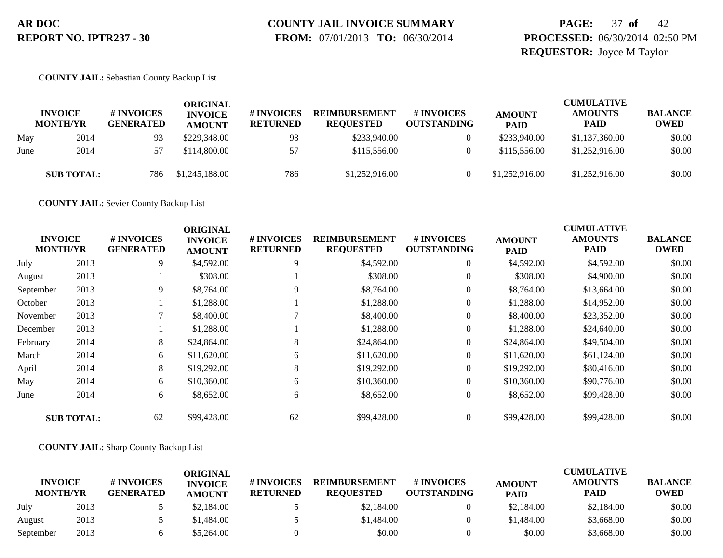# **COUNTY JAIL INVOICE SUMMARY**

 **FROM:** 07/01/2013 **TO:** 06/30/2014

### **PAGE:** 37 **of** 42 **PROCESSED:** 06/30/2014 02:50 PM **REQUESTOR:** Joyce M Taylor

#### **COUNTY JAIL:** Sebastian County Backup List

|      | <b>INVOICE</b><br><b>MONTH/YR</b> | # INVOICES<br><b>GENERATED</b> | ORIGINAL<br><b>INVOICE</b><br><b>AMOUNT</b> | <b>#INVOICES</b><br><b>RETURNED</b> | <b>REIMBURSEMENT</b><br><b>REQUESTED</b> | # INVOICES<br><b>OUTSTANDING</b> | <b>AMOUNT</b><br><b>PAID</b> | <b>CUMULATIVE</b><br><b>AMOUNTS</b><br><b>PAID</b> | <b>BALANCE</b><br><b>OWED</b> |
|------|-----------------------------------|--------------------------------|---------------------------------------------|-------------------------------------|------------------------------------------|----------------------------------|------------------------------|----------------------------------------------------|-------------------------------|
| May  | 2014                              | 93                             | \$229,348.00                                | 93                                  | \$233,940.00                             |                                  | \$233,940.00                 | \$1,137,360.00                                     | \$0.00                        |
| June | 2014                              | 57                             | \$114,800,00                                | 57                                  | \$115,556.00                             |                                  | \$115,556.00                 | \$1,252,916.00                                     | \$0.00                        |
|      | <b>SUB TOTAL:</b>                 | 786                            | \$1,245,188.00                              | 786                                 | \$1,252,916.00                           |                                  | \$1,252,916.00               | \$1,252,916.00                                     | \$0.00                        |

**COUNTY JAIL:** Sevier County Backup List

|           |                                   |                                | <b>ORIGINAL</b>                 |                               |                                          |                                        |                              | <b>CUMULATIVE</b>      |                               |
|-----------|-----------------------------------|--------------------------------|---------------------------------|-------------------------------|------------------------------------------|----------------------------------------|------------------------------|------------------------|-------------------------------|
|           | <b>INVOICE</b><br><b>MONTH/YR</b> | # INVOICES<br><b>GENERATED</b> | <b>INVOICE</b><br><b>AMOUNT</b> | # INVOICES<br><b>RETURNED</b> | <b>REIMBURSEMENT</b><br><b>REQUESTED</b> | <b>#INVOICES</b><br><b>OUTSTANDING</b> | <b>AMOUNT</b><br><b>PAID</b> | <b>AMOUNTS</b><br>PAID | <b>BALANCE</b><br><b>OWED</b> |
| July      | 2013                              | 9                              | \$4,592.00                      | 9                             | \$4,592.00                               | $\overline{0}$                         | \$4,592.00                   | \$4,592.00             | \$0.00                        |
| August    | 2013                              |                                | \$308.00                        |                               | \$308.00                                 | 0                                      | \$308.00                     | \$4,900.00             | \$0.00                        |
| September | 2013                              | 9                              | \$8,764.00                      | 9                             | \$8,764.00                               | $\overline{0}$                         | \$8,764.00                   | \$13,664.00            | \$0.00                        |
| October   | 2013                              |                                | \$1,288.00                      |                               | \$1,288.00                               |                                        | \$1,288.00                   | \$14,952.00            | \$0.00                        |
| November  | 2013                              |                                | \$8,400.00                      |                               | \$8,400.00                               | $\overline{0}$                         | \$8,400.00                   | \$23,352.00            | \$0.00                        |
| December  | 2013                              |                                | \$1,288.00                      |                               | \$1,288.00                               | $\overline{0}$                         | \$1,288.00                   | \$24,640.00            | \$0.00                        |
| February  | 2014                              | 8                              | \$24,864.00                     | 8                             | \$24,864.00                              | $\overline{0}$                         | \$24,864.00                  | \$49,504.00            | \$0.00                        |
| March     | 2014                              | 6                              | \$11,620.00                     | 6                             | \$11,620.00                              | $\overline{0}$                         | \$11,620.00                  | \$61,124.00            | \$0.00                        |
| April     | 2014                              | 8                              | \$19,292.00                     | 8                             | \$19,292.00                              | $\overline{0}$                         | \$19,292.00                  | \$80,416.00            | \$0.00                        |
| May       | 2014                              | 6                              | \$10,360.00                     | 6                             | \$10,360.00                              | $\overline{0}$                         | \$10,360.00                  | \$90,776.00            | \$0.00                        |
| June      | 2014                              | 6                              | \$8,652.00                      | 6                             | \$8,652.00                               | $\overline{0}$                         | \$8,652.00                   | \$99,428.00            | \$0.00                        |
|           | <b>SUB TOTAL:</b>                 | 62                             | \$99,428.00                     | 62                            | \$99,428.00                              |                                        | \$99,428.00                  | \$99,428.00            | \$0.00                        |

#### **COUNTY JAIL:** Sharp County Backup List

|                                   |      |                                | ORIGINAL                        |                               |                                          |                                        |                              | <b>CUMULATIVE</b>             |                               |
|-----------------------------------|------|--------------------------------|---------------------------------|-------------------------------|------------------------------------------|----------------------------------------|------------------------------|-------------------------------|-------------------------------|
| <b>INVOICE</b><br><b>MONTH/YR</b> |      | # INVOICES<br><b>GENERATED</b> | <b>INVOICE</b><br><b>AMOUNT</b> | # INVOICES<br><b>RETURNED</b> | <b>REIMBURSEMENT</b><br><b>REOUESTED</b> | <b>#INVOICES</b><br><b>OUTSTANDING</b> | <b>AMOUNT</b><br><b>PAID</b> | <b>AMOUNTS</b><br><b>PAID</b> | <b>BALANCE</b><br><b>OWED</b> |
| July                              | 2013 |                                | \$2,184.00                      |                               | \$2,184.00                               |                                        | \$2,184.00                   | \$2,184.00                    | \$0.00                        |
| August                            | 2013 |                                | \$1,484.00                      |                               | \$1,484.00                               |                                        | \$1,484.00                   | \$3,668.00                    | \$0.00                        |
| September                         | 2013 |                                | \$5.264.00                      |                               | \$0.00                                   |                                        | \$0.00                       | \$3,668.00                    | \$0.00                        |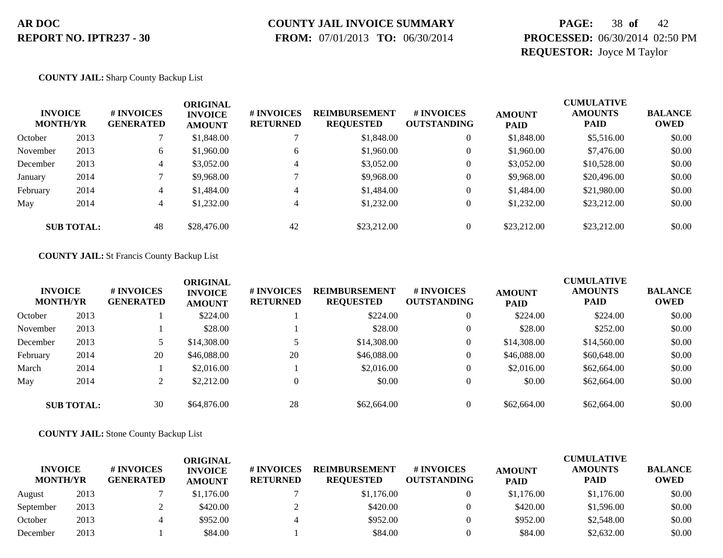### **COUNTY JAIL INVOICE SUMMARY**

 **FROM:** 07/01/2013 **TO:** 06/30/2014

### **PAGE:** 38 **of** 42 **PROCESSED:** 06/30/2014 02:50 PM **REQUESTOR:** Joyce M Taylor

#### **COUNTY JAIL:** Sharp County Backup List

| <b>INVOICE</b><br><b>MONTH/YR</b> |                   | # INVOICES<br><b>GENERATED</b> | <b>ORIGINAL</b><br><b>INVOICE</b><br><b>AMOUNT</b> | <b># INVOICES</b><br><b>RETURNED</b> | <b>REIMBURSEMENT</b><br><b>REQUESTED</b> | <b>#INVOICES</b><br><b>OUTSTANDING</b> | <b>AMOUNT</b><br><b>PAID</b> | <b>CUMULATIVE</b><br><b>AMOUNTS</b><br><b>PAID</b> | <b>BALANCE</b><br><b>OWED</b> |
|-----------------------------------|-------------------|--------------------------------|----------------------------------------------------|--------------------------------------|------------------------------------------|----------------------------------------|------------------------------|----------------------------------------------------|-------------------------------|
| October                           | 2013              |                                | \$1,848.00                                         |                                      | \$1,848.00                               |                                        | \$1,848.00                   | \$5,516.00                                         | \$0.00                        |
| November                          | 2013              | 6                              | \$1,960.00                                         | 6                                    | \$1,960.00                               |                                        | \$1,960.00                   | \$7,476.00                                         | \$0.00                        |
| December                          | 2013              | 4                              | \$3,052.00                                         |                                      | \$3,052.00                               |                                        | \$3,052.00                   | \$10,528.00                                        | \$0.00                        |
| January                           | 2014              |                                | \$9,968.00                                         |                                      | \$9,968.00                               |                                        | \$9,968.00                   | \$20,496.00                                        | \$0.00                        |
| February                          | 2014              | 4                              | \$1,484.00                                         |                                      | \$1,484.00                               |                                        | \$1,484.00                   | \$21,980.00                                        | \$0.00                        |
| May                               | 2014              | 4                              | \$1,232.00                                         |                                      | \$1,232.00                               |                                        | \$1,232.00                   | \$23,212.00                                        | \$0.00                        |
|                                   | <b>SUB TOTAL:</b> | 48                             | \$28,476.00                                        | 42                                   | \$23,212.00                              |                                        | \$23,212.00                  | \$23,212.00                                        | \$0.00                        |

#### **COUNTY JAIL:** St Francis County Backup List

|          | <b>INVOICE</b><br><b>MONTH/YR</b> | <b># INVOICES</b><br><b>GENERATED</b> | <b>ORIGINAL</b><br><b>INVOICE</b><br><b>AMOUNT</b> | <b># INVOICES</b><br><b>RETURNED</b> | <b>REIMBURSEMENT</b><br><b>REQUESTED</b> | # INVOICES<br><b>OUTSTANDING</b> | <b>AMOUNT</b><br><b>PAID</b> | <b>CUMULATIVE</b><br><b>AMOUNTS</b><br><b>PAID</b> | <b>BALANCE</b><br><b>OWED</b> |
|----------|-----------------------------------|---------------------------------------|----------------------------------------------------|--------------------------------------|------------------------------------------|----------------------------------|------------------------------|----------------------------------------------------|-------------------------------|
| October  | 2013                              |                                       | \$224.00                                           |                                      | \$224.00                                 | $\overline{0}$                   | \$224.00                     | \$224.00                                           | \$0.00                        |
| November | 2013                              |                                       | \$28.00                                            |                                      | \$28.00                                  | $\overline{0}$                   | \$28.00                      | \$252.00                                           | \$0.00                        |
| December | 2013                              |                                       | \$14,308.00                                        |                                      | \$14,308.00                              | $\overline{0}$                   | \$14,308.00                  | \$14,560.00                                        | \$0.00                        |
| February | 2014                              | 20                                    | \$46,088,00                                        | 20                                   | \$46,088.00                              | $\overline{0}$                   | \$46,088,00                  | \$60,648.00                                        | \$0.00                        |
| March    | 2014                              |                                       | \$2,016.00                                         |                                      | \$2,016.00                               | $\overline{0}$                   | \$2,016.00                   | \$62,664.00                                        | \$0.00                        |
| May      | 2014                              | ↑                                     | \$2,212.00                                         | $\overline{0}$                       | \$0.00                                   | $\overline{0}$                   | \$0.00                       | \$62,664.00                                        | \$0.00                        |
|          | <b>SUB TOTAL:</b>                 | 30                                    | \$64,876.00                                        | 28                                   | \$62,664.00                              | $\overline{0}$                   | \$62,664.00                  | \$62,664.00                                        | \$0.00                        |

#### **COUNTY JAIL:** Stone County Backup List

| <b>INVOICE</b><br><b>MONTH/YR</b> |      | # INVOICES<br><b>GENERATED</b> | ORIGINAL<br><b>INVOICE</b><br><b>AMOUNT</b> | # INVOICES<br><b>RETURNED</b> | <b>REIMBURSEMENT</b><br><b>REOUESTED</b> | <b>#INVOICES</b><br><b>OUTSTANDING</b> | <b>AMOUNT</b><br><b>PAID</b> | <b>CUMULATIVE</b><br><b>AMOUNTS</b><br><b>PAID</b> | <b>BALANCE</b><br><b>OWED</b> |
|-----------------------------------|------|--------------------------------|---------------------------------------------|-------------------------------|------------------------------------------|----------------------------------------|------------------------------|----------------------------------------------------|-------------------------------|
| August                            | 2013 |                                | \$1,176.00                                  |                               | \$1,176.00                               |                                        | \$1,176.00                   | \$1,176.00                                         | \$0.00                        |
| September                         | 2013 |                                | \$420.00                                    |                               | \$420.00                                 |                                        | \$420.00                     | \$1,596.00                                         | \$0.00                        |
| October                           | 2013 |                                | \$952.00                                    |                               | \$952.00                                 |                                        | \$952.00                     | \$2,548.00                                         | \$0.00                        |
| December                          | 2013 |                                | \$84.00                                     |                               | \$84.00                                  |                                        | \$84.00                      | \$2,632.00                                         | \$0.00                        |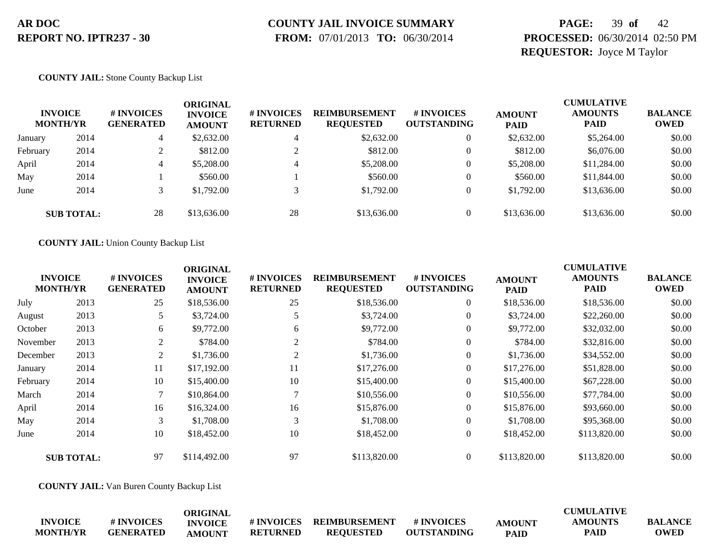# **COUNTY JAIL INVOICE SUMMARY**

 **FROM:** 07/01/2013 **TO:** 06/30/2014

### **PAGE:** 39 **of** 42 **PROCESSED:** 06/30/2014 02:50 PM **REQUESTOR:** Joyce M Taylor

#### **COUNTY JAIL:** Stone County Backup List

|          | <b>INVOICE</b><br><b>MONTH/YR</b> | # INVOICES<br><b>GENERATED</b> | ORIGINAL<br><b>INVOICE</b><br><b>AMOUNT</b> | # INVOICES<br><b>RETURNED</b> | <b>REIMBURSEMENT</b><br><b>REQUESTED</b> | # INVOICES<br><b>OUTSTANDING</b> | <b>AMOUNT</b><br><b>PAID</b> | <b>CUMULATIVE</b><br><b>AMOUNTS</b><br><b>PAID</b> | <b>BALANCE</b><br><b>OWED</b> |
|----------|-----------------------------------|--------------------------------|---------------------------------------------|-------------------------------|------------------------------------------|----------------------------------|------------------------------|----------------------------------------------------|-------------------------------|
| January  | 2014                              | 4                              | \$2,632.00                                  |                               | \$2,632.00                               | $\overline{0}$                   | \$2,632.00                   | \$5,264.00                                         | \$0.00                        |
| February | 2014                              |                                | \$812.00                                    |                               | \$812.00                                 | $\overline{0}$                   | \$812.00                     | \$6,076.00                                         | \$0.00                        |
| April    | 2014                              | 4                              | \$5,208.00                                  | 4                             | \$5,208.00                               | $\overline{0}$                   | \$5,208.00                   | \$11,284.00                                        | \$0.00                        |
| May      | 2014                              |                                | \$560.00                                    |                               | \$560.00                                 | $\Omega$                         | \$560.00                     | \$11,844.00                                        | \$0.00                        |
| June     | 2014                              |                                | \$1,792.00                                  |                               | \$1,792.00                               | $\theta$                         | \$1,792.00                   | \$13,636.00                                        | \$0.00                        |
|          | <b>SUB TOTAL:</b>                 | 28                             | \$13,636.00                                 | 28                            | \$13,636.00                              | $\Omega$                         | \$13,636.00                  | \$13,636.00                                        | \$0.00                        |

#### **COUNTY JAIL:** Union County Backup List

| <b>INVOICE</b>    |                 | # INVOICES       | <b>ORIGINAL</b><br><b>INVOICE</b> | # INVOICES      | <b>REIMBURSEMENT</b> | # INVOICES         | <b>AMOUNT</b> | <b>CUMULATIVE</b><br><b>AMOUNTS</b> | <b>BALANCE</b> |
|-------------------|-----------------|------------------|-----------------------------------|-----------------|----------------------|--------------------|---------------|-------------------------------------|----------------|
|                   | <b>MONTH/YR</b> | <b>GENERATED</b> | <b>AMOUNT</b>                     | <b>RETURNED</b> | <b>REQUESTED</b>     | <b>OUTSTANDING</b> | <b>PAID</b>   | PAID                                | <b>OWED</b>    |
| July              | 2013            | 25               | \$18,536.00                       | 25              | \$18,536.00          | $\overline{0}$     | \$18,536.00   | \$18,536.00                         | \$0.00         |
| August            | 2013            | 5                | \$3,724.00                        |                 | \$3,724.00           | $\boldsymbol{0}$   | \$3,724.00    | \$22,260.00                         | \$0.00         |
| October           | 2013            | 6                | \$9,772.00                        | 6               | \$9,772.00           | $\overline{0}$     | \$9,772.00    | \$32,032.00                         | \$0.00         |
| November          | 2013            | 2                | \$784.00                          | $\sim$          | \$784.00             | $\overline{0}$     | \$784.00      | \$32,816.00                         | \$0.00         |
| December          | 2013            | 2                | \$1,736.00                        | 2               | \$1,736.00           | $\overline{0}$     | \$1,736.00    | \$34,552.00                         | \$0.00         |
| January           | 2014            | 11               | \$17,192.00                       | 11              | \$17,276.00          | $\overline{0}$     | \$17,276.00   | \$51,828.00                         | \$0.00         |
| February          | 2014            | 10               | \$15,400.00                       | 10              | \$15,400.00          | $\overline{0}$     | \$15,400.00   | \$67,228.00                         | \$0.00         |
| March             | 2014            | 7                | \$10,864.00                       |                 | \$10,556.00          | $\overline{0}$     | \$10,556.00   | \$77,784.00                         | \$0.00         |
| April             | 2014            | 16               | \$16,324.00                       | 16              | \$15,876.00          | $\overline{0}$     | \$15,876.00   | \$93,660.00                         | \$0.00         |
| May               | 2014            | 3                | \$1,708.00                        | 3               | \$1,708.00           | $\overline{0}$     | \$1,708.00    | \$95,368.00                         | \$0.00         |
| June              | 2014            | 10               | \$18,452.00                       | 10              | \$18,452.00          | $\boldsymbol{0}$   | \$18,452.00   | \$113,820.00                        | \$0.00         |
| <b>SUB TOTAL:</b> |                 | 97               | \$114,492.00                      | 97              | \$113,820.00         | $\Omega$           | \$113,820.00  | \$113,820.00                        | \$0.00         |

**COUNTY JAIL:** Van Buren County Backup List

|                 |                  | ORIGINAL       |                   |                  |             |               | <b>CUMULATIVE</b> |                |
|-----------------|------------------|----------------|-------------------|------------------|-------------|---------------|-------------------|----------------|
| <b>INVOICE</b>  | # INVOICES       | <b>INVOICE</b> | <b># INVOICES</b> | REIMBURSEMENT    | # INVOICES  | <b>AMOUNT</b> | <b>AMOUNTS</b>    | <b>BALANCE</b> |
| <b>MONTH/YR</b> | <b>GENERATED</b> | <b>AMOUNT</b>  | <b>RETURNED</b>   | <b>REOUESTED</b> | OUTSTANDING | <b>PAID</b>   | <b>PAID</b>       | <b>OWED</b>    |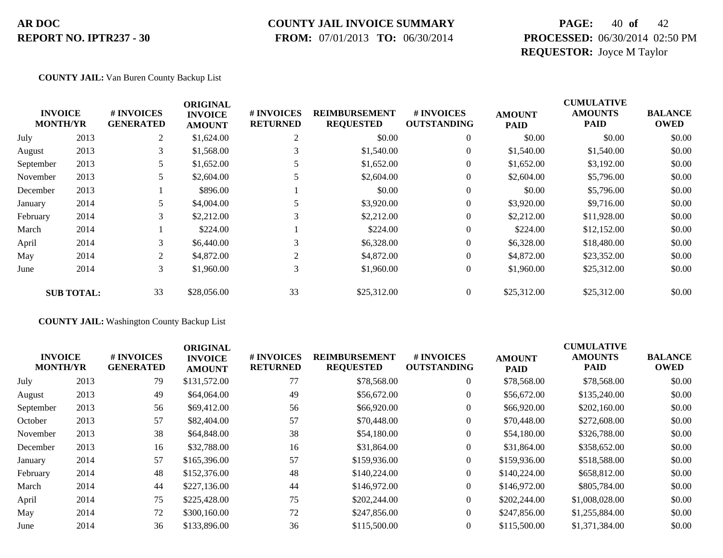#### **COUNTY JAIL INVOICE SUMMARY**

 **FROM:** 07/01/2013 **TO:** 06/30/2014

### **PAGE:** 40 **of** 42 **PROCESSED:** 06/30/2014 02:50 PM **REQUESTOR:** Joyce M Taylor

#### **COUNTY JAIL:** Van Buren County Backup List

|                                   |                   |                                | <b>ORIGINAL</b>                 |                               |                                          |                                  |                              | <b>CUMULATIVE</b>             |                               |
|-----------------------------------|-------------------|--------------------------------|---------------------------------|-------------------------------|------------------------------------------|----------------------------------|------------------------------|-------------------------------|-------------------------------|
| <b>INVOICE</b><br><b>MONTH/YR</b> |                   | # INVOICES<br><b>GENERATED</b> | <b>INVOICE</b><br><b>AMOUNT</b> | # INVOICES<br><b>RETURNED</b> | <b>REIMBURSEMENT</b><br><b>REQUESTED</b> | # INVOICES<br><b>OUTSTANDING</b> | <b>AMOUNT</b><br><b>PAID</b> | <b>AMOUNTS</b><br><b>PAID</b> | <b>BALANCE</b><br><b>OWED</b> |
| July                              | 2013              | 2                              | \$1,624.00                      | 2                             | \$0.00                                   | $\theta$                         | \$0.00                       | \$0.00                        | \$0.00                        |
| August                            | 2013              | 3                              | \$1,568.00                      | 3                             | \$1,540.00                               | 0                                | \$1,540.00                   | \$1,540.00                    | \$0.00                        |
| September                         | 2013              |                                | \$1,652.00                      |                               | \$1,652.00                               | 0                                | \$1,652.00                   | \$3,192.00                    | \$0.00                        |
| November                          | 2013              |                                | \$2,604.00                      |                               | \$2,604.00                               | $\overline{0}$                   | \$2,604.00                   | \$5,796.00                    | \$0.00                        |
| December                          | 2013              |                                | \$896.00                        |                               | \$0.00                                   | $\overline{0}$                   | \$0.00                       | \$5,796.00                    | \$0.00                        |
| January                           | 2014              |                                | \$4,004.00                      |                               | \$3,920.00                               | $\overline{0}$                   | \$3,920.00                   | \$9,716.00                    | \$0.00                        |
| February                          | 2014              | 3                              | \$2,212.00                      | 3                             | \$2,212.00                               | $\overline{0}$                   | \$2,212.00                   | \$11,928.00                   | \$0.00                        |
| March                             | 2014              |                                | \$224.00                        |                               | \$224.00                                 | $\overline{0}$                   | \$224.00                     | \$12,152.00                   | \$0.00                        |
| April                             | 2014              | 3                              | \$6,440.00                      | 3                             | \$6,328.00                               | $\theta$                         | \$6,328.00                   | \$18,480.00                   | \$0.00                        |
| May                               | 2014              | $\overline{2}$                 | \$4,872.00                      | 2                             | \$4,872.00                               | $\overline{0}$                   | \$4,872.00                   | \$23,352.00                   | \$0.00                        |
| June                              | 2014              | 3                              | \$1,960.00                      | 3                             | \$1,960.00                               | $\overline{0}$                   | \$1,960.00                   | \$25,312.00                   | \$0.00                        |
|                                   | <b>SUB TOTAL:</b> | 33                             | \$28,056.00                     | 33                            | \$25,312.00                              | $\overline{0}$                   | \$25,312.00                  | \$25,312.00                   | \$0.00                        |

**COUNTY JAIL:** Washington County Backup List

| <b>INVOICE</b><br><b>MONTH/YR</b> |      | # INVOICES<br><b>GENERATED</b> | <b>ORIGINAL</b><br><b>INVOICE</b><br><b>AMOUNT</b> | # INVOICES<br><b>RETURNED</b> | <b>REIMBURSEMENT</b><br><b>REQUESTED</b> | <b>#INVOICES</b><br><b>OUTSTANDING</b> | <b>AMOUNT</b><br><b>PAID</b> | <b>CUMULATIVE</b><br><b>AMOUNTS</b><br><b>PAID</b> | <b>BALANCE</b><br><b>OWED</b> |
|-----------------------------------|------|--------------------------------|----------------------------------------------------|-------------------------------|------------------------------------------|----------------------------------------|------------------------------|----------------------------------------------------|-------------------------------|
| July                              | 2013 | 79                             | \$131,572.00                                       | 77                            | \$78,568.00                              | $\mathbf{0}$                           | \$78,568.00                  | \$78,568.00                                        | \$0.00                        |
| August                            | 2013 | 49                             | \$64,064.00                                        | 49                            | \$56,672.00                              | $\overline{0}$                         | \$56,672.00                  | \$135,240.00                                       | \$0.00                        |
| September                         | 2013 | 56                             | \$69,412.00                                        | 56                            | \$66,920.00                              | $\overline{0}$                         | \$66,920.00                  | \$202,160.00                                       | \$0.00                        |
| October                           | 2013 | 57                             | \$82,404.00                                        | 57                            | \$70,448.00                              | $\overline{0}$                         | \$70,448.00                  | \$272,608.00                                       | \$0.00                        |
| November                          | 2013 | 38                             | \$64,848.00                                        | 38                            | \$54,180.00                              | $\overline{0}$                         | \$54,180.00                  | \$326,788.00                                       | \$0.00                        |
| December                          | 2013 | 16                             | \$32,788.00                                        | 16                            | \$31,864.00                              | $\overline{0}$                         | \$31,864.00                  | \$358,652.00                                       | \$0.00                        |
| January                           | 2014 | 57                             | \$165,396.00                                       | 57                            | \$159,936.00                             | $\overline{0}$                         | \$159,936.00                 | \$518,588.00                                       | \$0.00                        |
| February                          | 2014 | 48                             | \$152,376.00                                       | 48                            | \$140,224.00                             | $\overline{0}$                         | \$140,224.00                 | \$658,812.00                                       | \$0.00                        |
| March                             | 2014 | 44                             | \$227,136.00                                       | 44                            | \$146,972.00                             | $\Omega$                               | \$146,972.00                 | \$805,784.00                                       | \$0.00                        |
| April                             | 2014 | 75                             | \$225,428.00                                       | 75                            | \$202,244.00                             | $\overline{0}$                         | \$202,244.00                 | \$1,008,028.00                                     | \$0.00                        |
| May                               | 2014 | 72                             | \$300,160.00                                       | 72                            | \$247,856.00                             | $\Omega$                               | \$247,856.00                 | \$1,255,884.00                                     | \$0.00                        |
| June                              | 2014 | 36                             | \$133,896.00                                       | 36                            | \$115,500.00                             | $\overline{0}$                         | \$115,500.00                 | \$1,371,384.00                                     | \$0.00                        |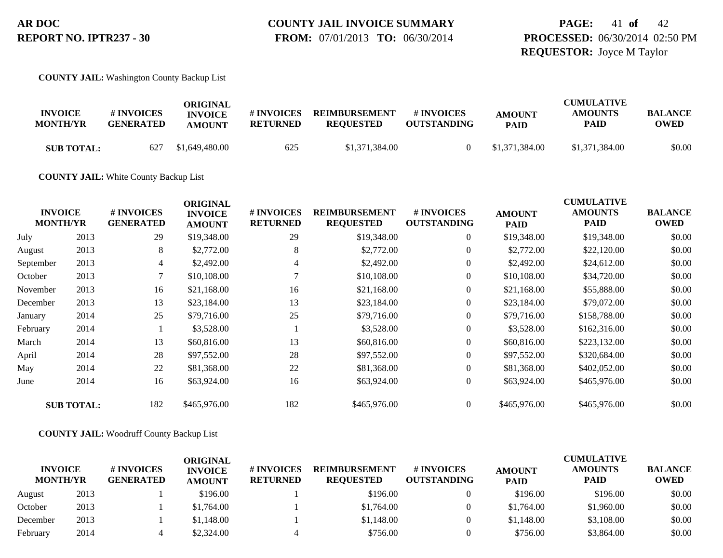### **PAGE:** 41 **of** 42 **PROCESSED:** 06/30/2014 02:50 PM **REQUESTOR:** Joyce M Taylor

**COUNTY JAIL:** Washington County Backup List

| <b>INVOICE</b><br><b>MONTH/YR</b> | # INVOICES<br><b>GENERATED</b> | ORIGINAL<br><b>INVOICE</b><br><b>AMOUNT</b> | # INVOICES<br><b>RETURNED</b> | <b>REIMBURSEMENT</b><br><b>REQUESTED</b> | # INVOICES<br><b>OUTSTANDING</b> | <b>AMOUNT</b><br><b>PAID</b> | <b>CUMULATIVE</b><br><b>AMOUNTS</b><br>PAID | <b>BALANCE</b><br><b>OWED</b> |
|-----------------------------------|--------------------------------|---------------------------------------------|-------------------------------|------------------------------------------|----------------------------------|------------------------------|---------------------------------------------|-------------------------------|
| <b>SUB TOTAL:</b>                 | 627                            | \$1,649,480.00                              | 625                           | \$1,371,384.00                           |                                  | \$1,371,384.00               | \$1,371,384.00                              | \$0.00                        |

**COUNTY JAIL:** White County Backup List

| <b>INVOICE</b><br><b>MONTH/YR</b> |                   | # INVOICES<br><b>GENERATED</b> | <b>ORIGINAL</b><br><b>INVOICE</b><br><b>AMOUNT</b> | # INVOICES<br><b>RETURNED</b> | <b>REIMBURSEMENT</b><br><b>REQUESTED</b> | # INVOICES<br><b>OUTSTANDING</b> | <b>AMOUNT</b><br><b>PAID</b> | <b>CUMULATIVE</b><br><b>AMOUNTS</b><br><b>PAID</b> | <b>BALANCE</b><br><b>OWED</b> |
|-----------------------------------|-------------------|--------------------------------|----------------------------------------------------|-------------------------------|------------------------------------------|----------------------------------|------------------------------|----------------------------------------------------|-------------------------------|
| July                              | 2013              | 29                             | \$19,348.00                                        | 29                            | \$19,348.00                              | $\overline{0}$                   | \$19,348.00                  | \$19,348.00                                        | \$0.00                        |
| August                            | 2013              | 8                              | \$2,772.00                                         | 8                             | \$2,772.00                               | $\overline{0}$                   | \$2,772.00                   | \$22,120.00                                        | \$0.00                        |
| September                         | 2013              | 4                              | \$2,492.00                                         | 4                             | \$2,492.00                               | $\overline{0}$                   | \$2,492.00                   | \$24,612.00                                        | \$0.00                        |
| October                           | 2013              | 7                              | \$10,108.00                                        |                               | \$10,108.00                              | $\overline{0}$                   | \$10,108.00                  | \$34,720.00                                        | \$0.00                        |
| November                          | 2013              | 16                             | \$21,168.00                                        | 16                            | \$21,168.00                              | $\overline{0}$                   | \$21,168.00                  | \$55,888.00                                        | \$0.00                        |
| December                          | 2013              | 13                             | \$23,184.00                                        | 13                            | \$23,184.00                              | $\overline{0}$                   | \$23,184.00                  | \$79,072.00                                        | \$0.00                        |
| January                           | 2014              | 25                             | \$79,716.00                                        | 25                            | \$79,716.00                              | $\overline{0}$                   | \$79,716.00                  | \$158,788.00                                       | \$0.00                        |
| February                          | 2014              |                                | \$3,528.00                                         |                               | \$3,528.00                               | $\boldsymbol{0}$                 | \$3,528.00                   | \$162,316.00                                       | \$0.00                        |
| March                             | 2014              | 13                             | \$60,816.00                                        | 13                            | \$60,816.00                              | $\overline{0}$                   | \$60,816.00                  | \$223,132.00                                       | \$0.00                        |
| April                             | 2014              | 28                             | \$97,552.00                                        | 28                            | \$97,552.00                              | $\overline{0}$                   | \$97,552.00                  | \$320,684.00                                       | \$0.00                        |
| May                               | 2014              | 22                             | \$81,368.00                                        | 22                            | \$81,368.00                              | $\overline{0}$                   | \$81,368.00                  | \$402,052.00                                       | \$0.00                        |
| June                              | 2014              | 16                             | \$63,924.00                                        | 16                            | \$63,924.00                              | $\overline{0}$                   | \$63,924.00                  | \$465,976.00                                       | \$0.00                        |
|                                   | <b>SUB TOTAL:</b> | 182                            | \$465,976.00                                       | 182                           | \$465,976.00                             | $\overline{0}$                   | \$465,976.00                 | \$465,976.00                                       | \$0.00                        |

**COUNTY JAIL:** Woodruff County Backup List

| <b>INVOICE</b><br><b>MONTH/YR</b> |      | # INVOICES<br><b>GENERATED</b> | ORIGINAL<br><b>INVOICE</b><br><b>AMOUNT</b> | # INVOICES<br><b>RETURNED</b> | <b>REIMBURSEMENT</b><br><b>REQUESTED</b> | # INVOICES<br><b>OUTSTANDING</b> | <b>AMOUNT</b><br><b>PAID</b> | <b>CUMULATIVE</b><br><b>AMOUNTS</b><br><b>PAID</b> | <b>BALANCE</b><br><b>OWED</b> |
|-----------------------------------|------|--------------------------------|---------------------------------------------|-------------------------------|------------------------------------------|----------------------------------|------------------------------|----------------------------------------------------|-------------------------------|
| August                            | 2013 |                                | \$196.00                                    |                               | \$196.00                                 |                                  | \$196.00                     | \$196.00                                           | \$0.00                        |
| October                           | 2013 |                                | \$1,764.00                                  |                               | \$1,764.00                               |                                  | \$1,764.00                   | \$1,960.00                                         | \$0.00                        |
| December                          | 2013 |                                | \$1,148.00                                  |                               | \$1,148.00                               |                                  | \$1,148.00                   | \$3,108.00                                         | \$0.00                        |
| February                          | 2014 |                                | \$2,324.00                                  |                               | \$756.00                                 |                                  | \$756.00                     | \$3,864.00                                         | \$0.00                        |